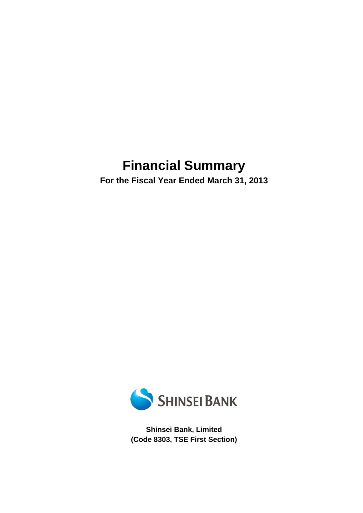# **Financial Summary**

**For the Fiscal Year Ended March 31, 2013** 



**Shinsei Bank, Limited (Code 8303, TSE First Section)**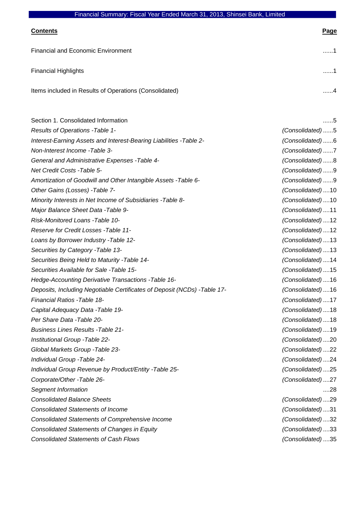| <b>Contents</b>                                        | Page |
|--------------------------------------------------------|------|
| <b>Financial and Economic Environment</b>              | . 1  |
| <b>Financial Highlights</b>                            | . 1  |
| Items included in Results of Operations (Consolidated) | . 4  |

| Section 1. Consolidated Information                                       | 5                |
|---------------------------------------------------------------------------|------------------|
| Results of Operations - Table 1-                                          | (Consolidated)5  |
| Interest-Earning Assets and Interest-Bearing Liabilities - Table 2-       | (Consolidated)6  |
| Non-Interest Income - Table 3-                                            | (Consolidated)7  |
| General and Administrative Expenses - Table 4-                            | (Consolidated)8  |
| Net Credit Costs - Table 5-                                               | (Consolidated)9  |
| Amortization of Goodwill and Other Intangible Assets - Table 6-           | (Consolidated)9  |
| Other Gains (Losses) - Table 7-                                           | (Consolidated)10 |
| Minority Interests in Net Income of Subsidiaries - Table 8-               | (Consolidated)10 |
| Major Balance Sheet Data - Table 9-                                       | (Consolidated)11 |
| Risk-Monitored Loans - Table 10-                                          | (Consolidated)12 |
| Reserve for Credit Losses - Table 11-                                     | (Consolidated)12 |
| Loans by Borrower Industry - Table 12-                                    | (Consolidated)13 |
| Securities by Category - Table 13-                                        | (Consolidated)13 |
| Securities Being Held to Maturity - Table 14-                             | (Consolidated)14 |
| Securities Available for Sale -Table 15-                                  | (Consolidated)15 |
| Hedge-Accounting Derivative Transactions - Table 16-                      | (Consolidated)16 |
| Deposits, Including Negotiable Certificates of Deposit (NCDs) - Table 17- | (Consolidated)16 |
| Financial Ratios - Table 18-                                              | (Consolidated)17 |
| Capital Adequacy Data - Table 19-                                         | (Consolidated)18 |
| Per Share Data - Table 20-                                                | (Consolidated)18 |
| <b>Business Lines Results - Table 21-</b>                                 | (Consolidated)19 |
| Institutional Group - Table 22-                                           | (Consolidated)20 |
| Global Markets Group - Table 23-                                          | (Consolidated)22 |
| Individual Group - Table 24-                                              | (Consolidated)24 |
| Individual Group Revenue by Product/Entity - Table 25-                    | (Consolidated)25 |
| Corporate/Other -Table 26-                                                | (Consolidated)27 |
| Segment Information                                                       | 28               |
| <b>Consolidated Balance Sheets</b>                                        | (Consolidated)29 |
| <b>Consolidated Statements of Income</b>                                  | (Consolidated)31 |
| <b>Consolidated Statements of Comprehensive Income</b>                    | (Consolidated)32 |
| <b>Consolidated Statements of Changes in Equity</b>                       | (Consolidated)33 |
| <b>Consolidated Statements of Cash Flows</b>                              | (Consolidated)35 |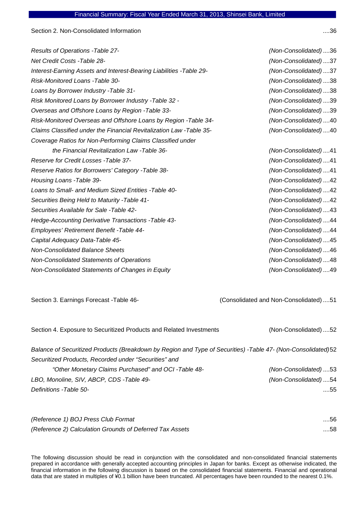Section 2. Non-Consolidated Information ....36

| Results of Operations - Table 27-                                    | (Non-Consolidated)36 |
|----------------------------------------------------------------------|----------------------|
| <b>Net Credit Costs - Table 28-</b>                                  | (Non-Consolidated)37 |
| Interest-Earning Assets and Interest-Bearing Liabilities -Table 29-  | (Non-Consolidated)37 |
| Risk-Monitored Loans - Table 30-                                     | (Non-Consolidated)38 |
| Loans by Borrower Industry - Table 31-                               | (Non-Consolidated)38 |
| Risk Monitored Loans by Borrower Industry - Table 32 -               | (Non-Consolidated)39 |
| Overseas and Offshore Loans by Region - Table 33-                    | (Non-Consolidated)39 |
| Risk-Monitored Overseas and Offshore Loans by Region -Table 34-      | (Non-Consolidated)40 |
| Claims Classified under the Financial Revitalization Law - Table 35- | (Non-Consolidated)40 |
| Coverage Ratios for Non-Performing Claims Classified under           |                      |
| the Financial Revitalization Law -Table 36-                          | (Non-Consolidated)41 |
| Reserve for Credit Losses - Table 37-                                | (Non-Consolidated)41 |
| Reserve Ratios for Borrowers' Category - Table 38-                   | (Non-Consolidated)41 |
| Housing Loans - Table 39-                                            | (Non-Consolidated)42 |
| Loans to Small- and Medium Sized Entities - Table 40-                | (Non-Consolidated)42 |
| Securities Being Held to Maturity - Table 41-                        | (Non-Consolidated)42 |
| Securities Available for Sale - Table 42-                            | (Non-Consolidated)43 |
| Hedge-Accounting Derivative Transactions - Table 43-                 | (Non-Consolidated)44 |
| Employees' Retirement Benefit - Table 44-                            | (Non-Consolidated)44 |
| Capital Adequacy Data-Table 45-                                      | (Non-Consolidated)45 |
| <b>Non-Consolidated Balance Sheets</b>                               | (Non-Consolidated)46 |
| Non-Consolidated Statements of Operations                            | (Non-Consolidated)48 |
| Non-Consolidated Statements of Changes in Equity                     | (Non-Consolidated)49 |

Section 3. Earnings Forecast -Table 46- (Consolidated and Non-Consolidated) ....51

| Section 4. Exposure to Securitized Products and Related Investments                                           | (Non-Consolidated)52 |
|---------------------------------------------------------------------------------------------------------------|----------------------|
| Balance of Securitized Products (Breakdown by Region and Type of Securities) -Table 47- (Non-Consolidated) 52 |                      |
| Securitized Products, Recorded under "Securities" and                                                         |                      |
| "Other Monetary Claims Purchased" and OCI - Table 48-                                                         | (Non-Consolidated)53 |
| LBO, Monoline, SIV, ABCP, CDS -Table 49-                                                                      | (Non-Consolidated)54 |
| Definitions - Table 50-                                                                                       | 55                   |

| (Reference 1) BOJ Press Club Format                      | $\dots$ 56 |
|----------------------------------------------------------|------------|
| (Reference 2) Calculation Grounds of Deferred Tax Assets | $\dots$ 58 |

The following discussion should be read in conjunction with the consolidated and non-consolidated financial statements prepared in accordance with generally accepted accounting principles in Japan for banks. Except as otherwise indicated, the financial information in the following discussion is based on the consolidated financial statements. Financial and operational data that are stated in multiples of ¥0.1 billion have been truncated. All percentages have been rounded to the nearest 0.1%.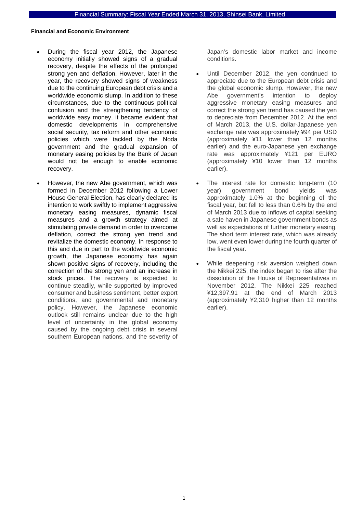### **Financial and Economic Environment**

- During the fiscal year 2012, the Japanese economy initially showed signs of a gradual recovery, despite the effects of the prolonged strong yen and deflation. However, later in the year, the recovery showed signs of weakness due to the continuing European debt crisis and a worldwide economic slump. In addition to these circumstances, due to the continuous political confusion and the strengthening tendency of worldwide easy money, it became evident that domestic developments in comprehensive social security, tax reform and other economic policies which were tackled by the Noda government and the gradual expansion of monetary easing policies by the Bank of Japan would not be enough to enable economic recovery.
- However, the new Abe government, which was formed in December 2012 following a Lower House General Election, has clearly declared its intention to work swiftly to implement aggressive monetary easing measures, dynamic fiscal measures and a growth strategy aimed at stimulating private demand in order to overcome deflation, correct the strong yen trend and revitalize the domestic economy. In response to this and due in part to the worldwide economic growth, the Japanese economy has again shown positive signs of recovery, including the correction of the strong yen and an increase in stock prices. The recovery is expected to continue steadily, while supported by improved consumer and business sentiment, better export conditions, and governmental and monetary policy. However, the Japanese economic outlook still remains unclear due to the high level of uncertainty in the global economy caused by the ongoing debt crisis in several southern European nations, and the severity of

Japan's domestic labor market and income conditions.

- Until December 2012, the yen continued to appreciate due to the European debt crisis and the global economic slump. However, the new Abe government's intention to deploy aggressive monetary easing measures and correct the strong yen trend has caused the yen to depreciate from December 2012. At the end of March 2013, the U.S. dollar-Japanese yen exchange rate was approximately ¥94 per USD (approximately ¥11 lower than 12 months earlier) and the euro-Japanese yen exchange rate was approximately ¥121 per EURO (approximately ¥10 lower than 12 months earlier).
- The interest rate for domestic long-term (10 year) government bond yields was approximately 1.0% at the beginning of the fiscal year, but fell to less than 0.6% by the end of March 2013 due to inflows of capital seeking a safe haven in Japanese government bonds as well as expectations of further monetary easing. The short term interest rate, which was already low, went even lower during the fourth quarter of the fiscal year.
- While deepening risk aversion weighed down the Nikkei 225, the index began to rise after the dissolution of the House of Representatives in November 2012. The Nikkei 225 reached ¥12,397.91 at the end of March 2013 (approximately ¥2,310 higher than 12 months earlier).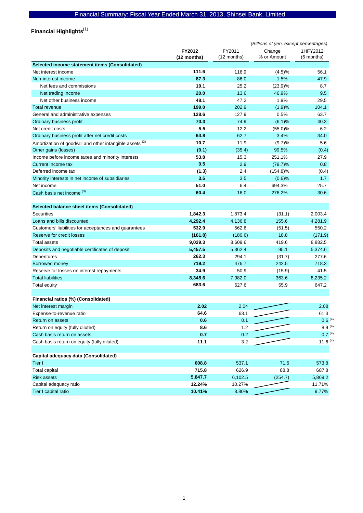Financial Highlights<sup>(1)</sup>

|                                                                     | (Billions of yen, except percentages) |                       |                       |                        |  |
|---------------------------------------------------------------------|---------------------------------------|-----------------------|-----------------------|------------------------|--|
|                                                                     | FY2012<br>(12 months)                 | FY2011<br>(12 months) | Change<br>% or Amount | 1HFY2012<br>(6 months) |  |
| Selected income statement items (Consolidated)                      |                                       |                       |                       |                        |  |
| Net interest income                                                 | 111.6                                 | 116.9                 | (4.5)%                | 56.1                   |  |
| Non-interest income                                                 | 87.3                                  | 86.0                  | 1.5%                  | 47.9                   |  |
| Net fees and commissions                                            | 19.1                                  | 25.2                  | (23.9)%               | 8.7                    |  |
| Net trading income                                                  | 20.0                                  | 13.6                  | 46.9%                 | 9.5                    |  |
| Net other business income                                           | 48.1                                  | 47.2                  | 1.9%                  | 29.5                   |  |
| <b>Total revenue</b>                                                | 199.0                                 | 202.9                 | (1.9)%                | 104.1                  |  |
| General and administrative expenses                                 | 128.6                                 | 127.9                 | 0.5%                  | 63.7                   |  |
| Ordinary business profit                                            | 70.3                                  | 74.9                  | (6.1)%                | 40.3                   |  |
| Net credit costs                                                    | 5.5                                   | 12.2                  | (55.0)%               | 6.2                    |  |
| Ordinary business profit after net credit costs                     | 64.8                                  | 62.7                  | 3.4%                  | 34.0                   |  |
| Amortization of goodwill and other intangible assets <sup>(2)</sup> | 10.7                                  | 11.9                  | (9.7)%                | 5.6                    |  |
| Other gains (losses)                                                | (0.1)                                 | (35.4)                | 99.5%                 | (0.4)                  |  |
| Income before income taxes and minority interests                   | 53.8                                  | 15.3                  | 251.1%                | 27.9                   |  |
| Current income tax                                                  | 0.5                                   | 2.9                   | $(79.7)\%$            | 0.8                    |  |
| Deferred income tax                                                 | (1.3)                                 | 2.4                   | $(154.8)\%$           | (0.4)                  |  |
| Minority interests in net income of subsidiaries                    | 3.5                                   | 3.5                   | $(0.6)$ %             | 1.7                    |  |
| Net income                                                          | 51.0                                  | 6.4                   | 694.3%                | 25.7                   |  |
| Cash basis net income <sup>(3)</sup>                                | 60.4                                  | 16.0                  | 276.2%                | 30.6                   |  |
| Selected balance sheet items (Consolidated)                         |                                       |                       |                       |                        |  |
| <b>Securities</b>                                                   | 1,842.3                               | 1,873.4               | (31.1)                | 2,003.4                |  |
| Loans and bills discounted                                          | 4,292.4                               | 4,136.8               | 155.6                 | 4,281.9                |  |
| Customers' liabilities for acceptances and guarantees               | 532.9                                 | 562.6                 | (51.5)                | 550.2                  |  |
| Reserve for credit losses                                           | (161.8)                               | (180.6)               | 18.8                  | (171.9)                |  |
| <b>Total assets</b>                                                 | 9,029.3                               | 8,609.6               | 419.6                 | 8,882.5                |  |
| Deposits and negotiable certificates of deposit                     | 5,457.5                               | 5,362.4               | 95.1                  | 5,374.6                |  |
| <b>Debentures</b>                                                   | 262.3                                 | 294.1                 | (31.7)                | 277.6                  |  |
| Borrowed money                                                      | 719.2                                 | 476.7                 | 242.5                 | 718.3                  |  |
| Reserve for losses on interest repayments                           | 34.9                                  | 50.9                  | (15.9)                | 41.5                   |  |
| <b>Total liabilities</b>                                            | 8,345.6                               | 7,982.0               | 363.6                 | 8,235.2                |  |
| <b>Total equity</b>                                                 | 683.6                                 | 627.6                 | 55.9                  | 647.2                  |  |
| Financial ratios (%) (Consolidated)                                 |                                       |                       |                       |                        |  |
| Net interest margin                                                 | 2.02                                  | 2.04                  |                       | 2.08                   |  |
| Expense-to-revenue ratio                                            | 64.6                                  | 63.1                  |                       | 61.3                   |  |
| Return on assets                                                    | 0.6                                   | 0.1                   |                       | $0.6^{(4)}$            |  |
| Return on equity (fully diluted)                                    | 8.6                                   | 1.2                   |                       | $8.9^{(4)}$            |  |
| Cash basis return on assets                                         | 0.7                                   | 0.2                   |                       | $0.7^{(4)}$            |  |
| Cash basis return on equity (fully diluted)                         | 11.1                                  | 3.2                   |                       | 11.6 $(4)$             |  |
| Capital adequacy data (Consolidated)                                |                                       |                       |                       |                        |  |
| Tier I                                                              | 608.8                                 | 537.1                 | 71.6                  | 573.8                  |  |
| Total capital                                                       | 715.8                                 | 626.9                 | 88.8                  | 687.8                  |  |
| <b>Risk assets</b>                                                  | 5,847.7                               | 6,102.5               | (254.7)               | 5,869.2                |  |
| Capital adequacy ratio                                              | 12.24%                                | 10.27%                |                       | 11.71%                 |  |
| Tier I capital ratio                                                | 10.41%                                | 8.80%                 |                       | 9.77%                  |  |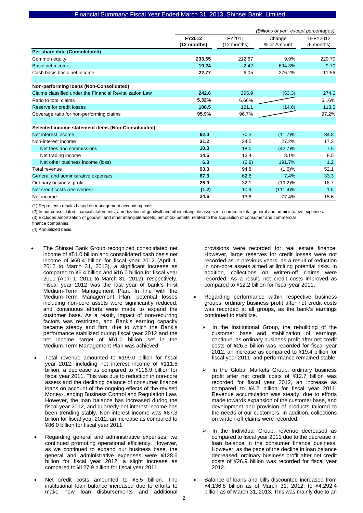|                                                          | (Billions of yen, except percentages) |                       |                       |                        |  |
|----------------------------------------------------------|---------------------------------------|-----------------------|-----------------------|------------------------|--|
|                                                          | FY2012<br>(12 months)                 | FY2011<br>(12 months) | Change<br>% or Amount | 1HFY2012<br>(6 months) |  |
| Per share data (Consolidated)                            |                                       |                       |                       |                        |  |
| Common equity                                            | 233.65                                | 212.67                | 9.9%                  | 220.70                 |  |
| Basic net income                                         | 19.24                                 | 2.42                  | 694.3%                | 9.70                   |  |
| Cash basis basic net income                              | 22.77                                 | 6.05                  | 276.2%                | 11.56                  |  |
|                                                          |                                       |                       |                       |                        |  |
| Non-performing loans (Non-Consolidated)                  |                                       |                       |                       |                        |  |
| Claims classified under the Financial Revitalization Law | 242.6                                 | 295.9                 | (53.3)                | 274.6                  |  |
| Ratio to total claims                                    | 5.32%                                 | 6.66%                 |                       | 6.16%                  |  |
| Reserve for credit losses                                | 106.5                                 | 121.1                 | (14.6)                | 113.5                  |  |
| Coverage ratio for non-performing claims                 | 95.9%                                 | 96.7%                 |                       | 97.2%                  |  |
|                                                          |                                       |                       |                       |                        |  |
| Selected income statement items (Non-Consolidated)       |                                       |                       |                       |                        |  |
| Net interest income                                      | 62.0                                  | 70.3                  | $(11.7)\%$            | 34.8                   |  |
| Non-interest income                                      | 31.2                                  | 24.5                  | 27.2%                 | 17.3                   |  |
| Net fees and commissions                                 | 10.3                                  | 18.0                  | $(42.7)\%$            | 7.5                    |  |
| Net trading income                                       | 14.5                                  | 13.4                  | 8.1%                  | 8.5                    |  |
| Net other business income (loss)                         | 6.3                                   | (6.9)                 | 191.7%                | 1.2                    |  |
| Total revenue                                            | 93.3                                  | 94.8                  | (1.6)%                | 52.1                   |  |
| General and administrative expenses                      | 67.3                                  | 62.6                  | 7.4%                  | 33.3                   |  |
| Ordinary business profit                                 | 25.9                                  | 32.1                  | $(19.2)\%$            | 18.7                   |  |
| Net credit costs (recoveries)                            | (1.2)                                 | 10.9                  | $(111.4)\%$           | 1.5                    |  |
| Net income                                               | 24.6                                  | 13.8                  | 77.4%                 | 15.6                   |  |

(1) Represents results based on management accounting basis.

(2) In our consolidated financial statements, amortization of goodwill and other intangible assets is recorded in total general and administrative expenses. (3) Excludes amortization of goodwill and other intangible assets, net of tax benefit, related to the acquisition of consumer and commercial

finance companies.

(4) Annualized basis.

- The Shinsei Bank Group recognized consolidated net income of ¥51.0 billion and consolidated cash basis net income of ¥60.4 billion for fiscal year 2012 (April 1, 2012 to March 31, 2013), a significant increase as compared to ¥6.4 billion and ¥16.0 billion for fiscal year 2011 (April 1, 2011 to March 31, 2012), respectively. Fiscal year 2012 was the last year of bank's First Medium-Term Management Plan. In line with the Medium-Term Management Plan, potential losses including non-core assets were significantly reduced, and continuous efforts were made to expand the customer base. As a result, impact of non-recurring factors was restricted, and Bank's earning capacity became steady and firm, due to which the Bank's performance stabilized during fiscal year 2012 and the net income target of ¥51.0 billion set in the Medium-Term Management Plan was achieved.
- Total revenue amounted to ¥199.0 billion for fiscal year 2012, including net interest income of ¥111.6 billion, a decrease as compared to ¥116.9 billion for fiscal year 2011. This was due to reduction in non-core assets and the declining balance of consumer finance loans on account of the ongoing effects of the revised Money-Lending Business Control and Regulation Law. However, the loan balance has increased during the fiscal year 2012, and quarterly net interest income has been trending stably. Non-interest income was ¥87.3 billion for fiscal year 2012, an increase as compared to ¥86.0 billion for fiscal year 2011.
- Regarding general and administrative expenses, we continued promoting operational efficiency. However, as we continued to expand our business base, the general and administrative expenses were ¥128.6 billion for fiscal year 2012, a slight increase as compared to ¥127.9 billion for fiscal year 2011.
- Net credit costs amounted to ¥5.5 billion. The institutional loan balance increased due to efforts to make new loan disbursements and additional

provisions were recorded for real estate finance. However, large reserves for credit losses were not recorded as in previous years, as a result of reduction in non-core assets aimed at limiting potential risks. In addition, collections on written-off claims were recorded. As a result, net credit costs improved as compared to ¥12.2 billion for fiscal year 2011.

- Regarding performance within respective business groups, ordinary business profit after net credit costs was recorded at all groups, as the bank's earnings continued to stabilize.
	- In the Institutional Group, the rebuilding of the customer base and stabilization of earnings continue, as ordinary business profit after net credit costs of ¥26.3 billion was recorded for fiscal year 2012, an increase as compared to ¥19.4 billion for fiscal year 2011, and performance remained stable.
	- In the Global Markets Group, ordinary business profit after net credit costs of ¥12.7 billion was recorded for fiscal year 2012, an increase as compared to ¥4.2 billion for fiscal year 2011. Revenue accumulation was steady, due to efforts made towards expansion of the customer base, and development and provision of products tailored to the needs of our customers. In addition, collections on written-off claims were recorded.
	- $\triangleright$  In the Individual Group, revenue decreased as compared to fiscal year 2011 due to the decrease in loan balance in the consumer finance business. However, as the pace of the decline in loan balance decreased, ordinary business profit after net credit costs of ¥26.9 billion was recorded for fiscal year 2012.
- Balance of loans and bills discounted increased from ¥4,136.8 billion as of March 31, 2012, to ¥4,292.4 billion as of March 31, 2013. This was mainly due to an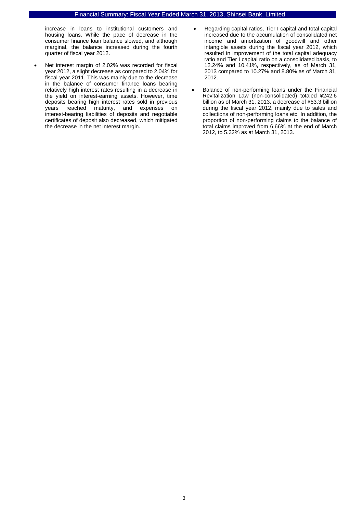increase in loans to institutional customers and housing loans. While the pace of decrease in the consumer finance loan balance slowed, and although marginal, the balance increased during the fourth quarter of fiscal year 2012.

- Net interest margin of 2.02% was recorded for fiscal year 2012, a slight decrease as compared to 2.04% for fiscal year 2011. This was mainly due to the decrease in the balance of consumer finance loans bearing relatively high interest rates resulting in a decrease in the yield on interest-earning assets. However, time deposits bearing high interest rates sold in previous years reached maturity, and expenses on interest-bearing liabilities of deposits and negotiable certificates of deposit also decreased, which mitigated the decrease in the net interest margin.
- Regarding capital ratios, Tier I capital and total capital increased due to the accumulation of consolidated net income and amortization of goodwill and other intangible assets during the fiscal year 2012, which resulted in improvement of the total capital adequacy ratio and Tier I capital ratio on a consolidated basis, to 12.24% and 10.41%, respectively, as of March 31, 2013 compared to 10.27% and 8.80% as of March 31, 2012.
- Balance of non-performing loans under the Financial Revitalization Law (non-consolidated) totaled ¥242.6 billion as of March 31, 2013, a decrease of ¥53.3 billion during the fiscal year 2012, mainly due to sales and collections of non-performing loans etc. In addition, the proportion of non-performing claims to the balance of total claims improved from 6.66% at the end of March 2012, to 5.32% as at March 31, 2013.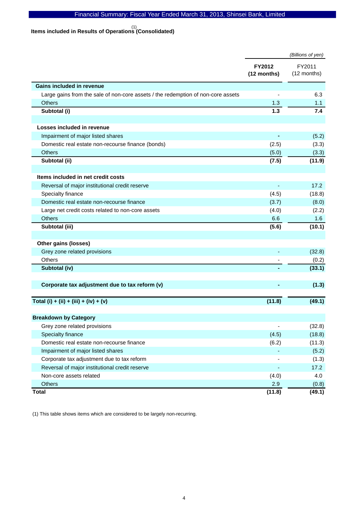# **Items included in Results of Operations (Consolidated)**  (1)

|                                                                                  |                              | (Billions of yen)     |
|----------------------------------------------------------------------------------|------------------------------|-----------------------|
|                                                                                  | <b>FY2012</b><br>(12 months) | FY2011<br>(12 months) |
| Gains included in revenue                                                        |                              |                       |
| Large gains from the sale of non-core assets / the redemption of non-core assets |                              | 6.3                   |
| <b>Others</b>                                                                    | 1.3                          | 1.1                   |
| Subtotal (i)                                                                     | 1.3                          | 7.4                   |
| Losses included in revenue                                                       |                              |                       |
| Impairment of major listed shares                                                |                              | (5.2)                 |
| Domestic real estate non-recourse finance (bonds)                                | (2.5)                        | (3.3)                 |
| <b>Others</b>                                                                    | (5.0)                        | (3.3)                 |
| Subtotal (ii)                                                                    | (7.5)                        | (11.9)                |
|                                                                                  |                              |                       |
| Items included in net credit costs                                               |                              |                       |
| Reversal of major institutional credit reserve                                   |                              | 17.2                  |
| Specialty finance                                                                | (4.5)                        | (18.8)                |
| Domestic real estate non-recourse finance                                        | (3.7)                        | (8.0)                 |
| Large net credit costs related to non-core assets                                | (4.0)                        | (2.2)                 |
| <b>Others</b>                                                                    | 6.6                          | 1.6                   |
| Subtotal (iii)                                                                   | (5.6)                        | (10.1)                |
|                                                                                  |                              |                       |
| Other gains (losses)                                                             |                              |                       |
| Grey zone related provisions                                                     |                              | (32.8)                |
| <b>Others</b>                                                                    |                              | (0.2)                 |
| Subtotal (iv)                                                                    |                              | (33.1)                |
| Corporate tax adjustment due to tax reform (v)                                   |                              | (1.3)                 |
| Total (i) + (ii) + (iii) + (iv) + (v)                                            | (11.8)                       | (49.1)                |
| <b>Breakdown by Category</b>                                                     |                              |                       |
| Grey zone related provisions                                                     | $\overline{\phantom{a}}$     | (32.8)                |
| Specialty finance                                                                | (4.5)                        | (18.8)                |
| Domestic real estate non-recourse finance                                        | (6.2)                        | (11.3)                |
| Impairment of major listed shares                                                |                              | (5.2)                 |
| Corporate tax adjustment due to tax reform                                       |                              | (1.3)                 |
| Reversal of major institutional credit reserve                                   |                              | 17.2                  |
| Non-core assets related                                                          | (4.0)                        | 4.0                   |
| <b>Others</b>                                                                    | 2.9                          | (0.8)                 |
| <b>Total</b>                                                                     | (11.8)                       | (49.1)                |

(1) This table shows items which are considered to be largely non-recurring.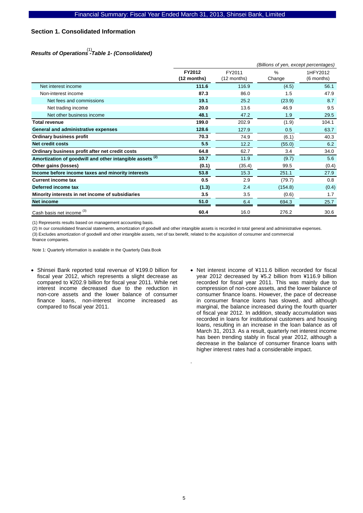### **Section 1. Consolidated Information**

# *Results of Operations -Table 1- (Consolidated)*  (1)

|                                                                     | (Billions of yen, except percentages) |                       |                         |                        |  |
|---------------------------------------------------------------------|---------------------------------------|-----------------------|-------------------------|------------------------|--|
|                                                                     | FY2012<br>$(12$ months)               | FY2011<br>(12 months) | $\frac{0}{0}$<br>Change | 1HFY2012<br>(6 months) |  |
| Net interest income                                                 | 111.6                                 | 116.9                 | (4.5)                   | 56.1                   |  |
| Non-interest income                                                 | 87.3                                  | 86.0                  | 1.5                     | 47.9                   |  |
| Net fees and commissions                                            | 19.1                                  | 25.2                  | (23.9)                  | 8.7                    |  |
| Net trading income                                                  | 20.0                                  | 13.6                  | 46.9                    | 9.5                    |  |
| Net other business income                                           | 48.1                                  | 47.2                  | 1.9                     | 29.5                   |  |
| Total revenue                                                       | 199.0                                 | 202.9                 | (1.9)                   | 104.1                  |  |
| General and administrative expenses                                 | 128.6                                 | 127.9                 | 0.5                     | 63.7                   |  |
| <b>Ordinary business profit</b>                                     | 70.3                                  | 74.9                  | (6.1)                   | 40.3                   |  |
| <b>Net credit costs</b>                                             | 5.5                                   | 12.2                  | (55.0)                  | 6.2                    |  |
| Ordinary business profit after net credit costs                     | 64.8                                  | 62.7                  | 3.4                     | 34.0                   |  |
| Amortization of goodwill and other intangible assets <sup>(2)</sup> | 10.7                                  | 11.9                  | (9.7)                   | 5.6                    |  |
| Other gains (losses)                                                | (0.1)                                 | (35.4)                | 99.5                    | (0.4)                  |  |
| Income before income taxes and minority interests                   | 53.8                                  | 15.3                  | 251.1                   | 27.9                   |  |
| <b>Current income tax</b>                                           | 0.5                                   | 2.9                   | (79.7)                  | 0.8                    |  |
| Deferred income tax                                                 | (1.3)                                 | 2.4                   | (154.8)                 | (0.4)                  |  |
| Minority interests in net income of subsidiaries                    | 3.5                                   | 3.5                   | (0.6)                   | 1.7                    |  |
| Net income                                                          | 51.0                                  | 6.4                   | 694.3                   | 25.7                   |  |
| Cash basis net income <sup>(3)</sup>                                | 60.4                                  | 16.0                  | 276.2                   | 30.6                   |  |

(1) Represents results based on management accounting basis.

(2) In our consolidated financial statements, amortization of goodwill and other intangible assets is recorded in total general and administrative expenses. (3) Excludes amortization of goodwill and other intangible assets, net of tax benefit, related to the acquisition of consumer and commercial finance companies.

Note 1: Quarterly information is available in the Quarterly Data Book

- Shinsei Bank reported total revenue of ¥199.0 billion for fiscal year 2012, which represents a slight decrease as compared to ¥202.9 billion for fiscal year 2011. While net interest income decreased due to the reduction in non-core assets and the lower balance of consumer finance loans, non-interest income increased as compared to fiscal year 2011.
- Net interest income of ¥111.6 billion recorded for fiscal year 2012 decreased by ¥5.2 billion from ¥116.9 billion recorded for fiscal year 2011. This was mainly due to compression of non-core assets, and the lower balance of consumer finance loans. However, the pace of decrease in consumer finance loans has slowed, and although marginal, the balance increased during the fourth quarter of fiscal year 2012. In addition, steady accumulation was recorded in loans for institutional customers and housing loans, resulting in an increase in the loan balance as of March 31, 2013. As a result, quarterly net interest income has been trending stably in fiscal year 2012, although a decrease in the balance of consumer finance loans with higher interest rates had a considerable impact.

.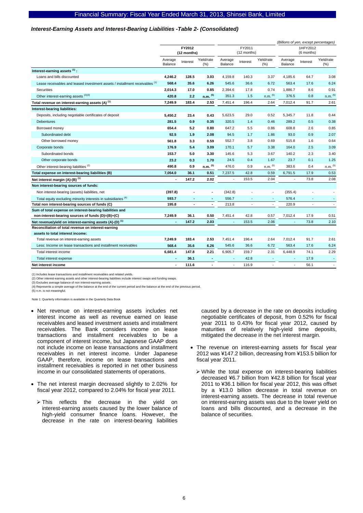#### *Interest-Earning Assets and Interest-Bearing Liabilities -Table 2- (Consolidated)*

|                                                                                         |                       |          |                       |                          |                          |                   |                          |                          | (Billions of yen, except percentages) |
|-----------------------------------------------------------------------------------------|-----------------------|----------|-----------------------|--------------------------|--------------------------|-------------------|--------------------------|--------------------------|---------------------------------------|
|                                                                                         | FY2012<br>(12 months) |          | FY2011<br>(12 months) |                          | 1HFY2012<br>(6 months)   |                   |                          |                          |                                       |
|                                                                                         | Average<br>Balance    | Interest | Yield/rate<br>(%)     | Average<br>Balance       | Interest                 | Yield/rate<br>(%) | Average<br>Balance       | Interest                 | Yield/rate<br>$(\% )$                 |
| Interest-earning assets (1):                                                            |                       |          |                       |                          |                          |                   |                          |                          |                                       |
| Loans and bills discounted                                                              | 4,246.2               | 128.5    | 3.03                  | 4,159.8                  | 140.3                    | 3.37              | 4,185.6                  | 64.7                     | 3.08                                  |
| Lease receivables and leased investment assets / installment receivables (1)            | 568.4                 | 35.6     | 6.26                  | 545.6                    | 36.6                     | 6.72              | 563.4                    | 17.6                     | 6.24                                  |
| Securities                                                                              | 2,014.3               | 17.0     | 0.85                  | 2,394.6                  | 17.8                     | 0.74              | 1,886.7                  | 8.6                      | 0.91                                  |
| Other interest-earning assets (2)(3)                                                    | 420.8                 | 2.2      | $n.m.$ $(5)$          | 351.3                    | 1.5                      | $n.m.$ $(5)$      | 376.5                    | 0.8                      | $n.m.$ (5)                            |
| Total revenue on interest-earning assets (A) <sup>(1)</sup>                             | 7,249.9               | 183.4    | 2.53                  | 7,451.4                  | 196.4                    | 2.64              | 7,012.4                  | 91.7                     | 2.61                                  |
| Interest-bearing liabilities:                                                           |                       |          |                       |                          |                          |                   |                          |                          |                                       |
| Deposits, including negotiable certificates of deposit                                  | 5.450.2               | 23.4     | 0.43                  | 5,623.5                  | 29.0                     | 0.52              | 5,345.7                  | 11.8                     | 0.44                                  |
| Debentures                                                                              | 281.5                 | 0.9      | 0.35                  | 320.5                    | 1.4                      | 0.46              | 289.2                    | 0.5                      | 0.38                                  |
| Borrowed money                                                                          | 654.4                 | 5.2      | 0.80                  | 647.2                    | 5.5                      | 0.86              | 608.8                    | 2.6                      | 0.85                                  |
| Subordinated debt                                                                       | 92.5                  | 1.9      | 2.08                  | 94.5                     | 1.7                      | 1.86              | 93.0                     | 0.9                      | 2.07                                  |
| Other borrowed money                                                                    | 561.8                 | 3.3      | 0.59                  | 552.7                    | 3.8                      | 0.69              | 515.8                    | 1.6                      | 0.64                                  |
| Corporate bonds                                                                         | 176.9                 | 5.4      | 3.09                  | 170.1                    | 5.7                      | 3.38              | 164.0                    | 2.5                      | 3.09                                  |
| Subordinated bonds                                                                      | 153.7                 | 5.0      | 3.30                  | 145.6                    | 5.3                      | 3.67              | 140.2                    | 2.3                      | 3.40                                  |
| Other corporate bonds                                                                   | 23.2                  | 0.3      | 1.70                  | 24.5                     | 0.4                      | 1.67              | 23.7                     | 0.1                      | 1.25                                  |
| Other interest-bearing liabilities <sup>(2)</sup>                                       | 490.8                 | 0.9      | n.m. <sup>(5)</sup>   | 476.0                    | 0.9                      | $n.m.$ $(5)$      | 383.6                    | 0.4                      | $n.m.$ $(5)$                          |
| Total expense on interest-bearing liabilities (B)                                       | 7,054.0               | 36.1     | 0.51                  | 7,237.5                  | 42.8                     | 0.59              | 6,791.5                  | 17.9                     | 0.53                                  |
| Net interest margin (A)-(B) <sup>(1)</sup>                                              | $\blacksquare$        | 147.2    | 2.02                  | $\overline{\phantom{a}}$ | 153.5                    | 2.04              | $\overline{\phantom{a}}$ | 73.8                     | 2.08                                  |
| Non interest-bearing sources of funds:                                                  |                       |          |                       |                          |                          |                   |                          |                          |                                       |
| Non interest-bearing (assets) liabilities, net                                          | (397.8)               |          | $\overline{a}$        | (342.8)                  |                          |                   | (355.4)                  |                          |                                       |
| Total equity excluding minority interests in subsidiaries (4)                           | 593.7                 | ٠        | ٠                     | 556.7                    | $\blacksquare$           |                   | 576.4                    | ٠                        |                                       |
| Total non interest-bearing sources of funds (C)                                         | 195.8                 | ٠        | $\blacksquare$        | 213.8                    | $\overline{\phantom{a}}$ | $\sim$            | 220.9                    | $\overline{\phantom{a}}$ | $\overline{\phantom{a}}$              |
| Sum of total expense on interest-bearing liabilities and                                |                       |          |                       |                          |                          |                   |                          |                          |                                       |
| non-interest-bearing sources of funds (D)=(B)+(C)                                       | 7,249.9               | 36.1     | 0.50                  | 7,451.4                  | 42.8                     | 0.57              | 7,012.4                  | 17.9                     | 0.51                                  |
| Net revenue/yield on interest-earning assets (A)-(D) <sup>(1)</sup>                     |                       | 147.2    | 2.03                  |                          | 153.5                    | 2.06              |                          | 73.8                     | 2.10                                  |
| Reconciliation of total revenue on interest-earning<br>assets to total interest income: |                       |          |                       |                          |                          |                   |                          |                          |                                       |
| Total revenue on interest-earning assets                                                | 7,249.9               | 183.4    | 2.53                  | 7,451.4                  | 196.4                    | 2.64              | 7,012.4                  | 91.7                     | 2.61                                  |
| Less: Income on lease transactions and installment receivables                          | 568.4                 | 35.6     | 6.26                  | 545.6                    | 36.6                     | 6.72              | 563.4                    | 17.6                     | 6.24                                  |
| Total interest income                                                                   | 6,681.4               | 147.8    | 2.21                  | 6,905.7                  | 159.7                    | 2.31              | 6,448.9                  | 74.1                     | 2.29                                  |
| Total interest expense                                                                  |                       | 36.1     |                       |                          | 42.8                     |                   |                          | 17.9                     |                                       |
| Net interest income                                                                     | $\blacksquare$        | 111.6    | $\blacksquare$        |                          | 116.9                    |                   | $\blacksquare$           | 56.1                     |                                       |
|                                                                                         |                       |          |                       |                          |                          |                   |                          |                          |                                       |

(1) Includes lease transactions and installment receivables and related yields.

(2) Other interest-earning assets and other interest-bearing liabilities include interest swaps and funding swaps. (3) Excludes average balance of non interest-earning assets.

(4) Represents a simple average of the balance at the end of the current period and the balance at the end of the previous period.

(5) n.m. is not meaningful.

Note 1: Quarterly information is available in the Quarterly Data Book

- Net revenue on interest-earning assets includes net interest income as well as revenue earned on lease receivables and leased investment assets and installment receivables. The Bank considers income on lease transactions and installment receivables to be a component of interest income, but Japanese GAAP does not include income on lease transactions and installment receivables in net interest income. Under Japanese GAAP, therefore, income on lease transactions and installment receivables is reported in net other business income in our consolidated statements of operations.
- The net interest margin decreased slightly to 2.02% for fiscal year 2012, compared to 2.04% for fiscal year 2011.
	- ¾ This reflects the decrease in the yield on interest-earning assets caused by the lower balance of high-yield consumer finance loans. However, the decrease in the rate on interest-bearing liabilities

caused by a decrease in the rate on deposits including negotiable certificates of deposit, from 0.52% for fiscal year 2011 to 0.43% for fiscal year 2012, caused by maturities of relatively high-yield time deposits, mitigated the decrease in the net interest margin.

- The revenue on interest-earning assets for fiscal year 2012 was ¥147.2 billion, decreasing from ¥153.5 billion for fiscal year 2011.
	- $\triangleright$  While the total expense on interest-bearing liabilities decreased ¥6.7 billion from ¥42.8 billion for fiscal year 2011 to ¥36.1 billion for fiscal year 2012, this was offset by a ¥13.0 billion decrease in total revenue on interest-earning assets. The decrease in total revenue on interest-earning assets was due to the lower yield on loans and bills discounted, and a decrease in the balance of securities.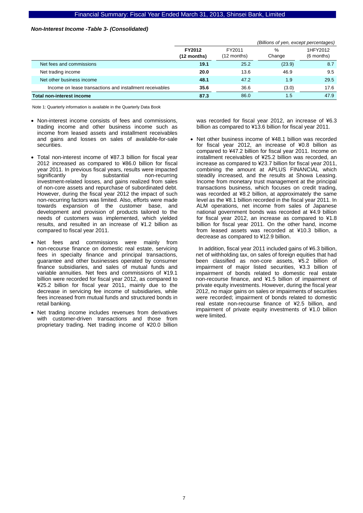#### *Non-Interest Income -Table 3- (Consolidated)*

|                                                          |                       | (Billions of yen, except percentages) |               |                        |  |  |
|----------------------------------------------------------|-----------------------|---------------------------------------|---------------|------------------------|--|--|
|                                                          | FY2012<br>(12 months) | FY2011<br>(12 months)                 | %<br>Change   | 1HFY2012<br>(6 months) |  |  |
| Net fees and commissions                                 | 19.1                  | 25.2                                  | (23.9)        | 8.7                    |  |  |
| Net trading income                                       | 20.0                  | 13.6                                  | 46.9          | 9.5                    |  |  |
| Net other business income                                | 48.1                  | 47.2                                  | 1.9           | 29.5                   |  |  |
| Income on lease transactions and installment receivables | 35.6                  | 36.6                                  | (3.0)         | 17.6                   |  |  |
| Total non-interest income                                | 87.3                  | 86.0                                  | $1.5^{\circ}$ | 47.9                   |  |  |

Note 1: Quarterly information is available in the Quarterly Data Book

- Non-interest income consists of fees and commissions, trading income and other business income such as income from leased assets and installment receivables and gains and losses on sales of available-for-sale securities.
- Total non-interest income of ¥87.3 billion for fiscal year 2012 increased as compared to ¥86.0 billion for fiscal year 2011. In previous fiscal years, results were impacted significantly by substantial non-recurring investment-related losses, and gains realized from sales of non-core assets and repurchase of subordinated debt. However, during the fiscal year 2012 the impact of such non-recurring factors was limited. Also, efforts were made towards expansion of the customer base, and development and provision of products tailored to the needs of customers was implemented, which yielded results, and resulted in an increase of ¥1.2 billion as compared to fiscal year 2011.
- Net fees and commissions were mainly from non-recourse finance on domestic real estate, servicing fees in specialty finance and principal transactions, guarantee and other businesses operated by consumer finance subsidiaries, and sales of mutual funds and variable annuities. Net fees and commissions of ¥19.1 billion were recorded for fiscal year 2012, as compared to ¥25.2 billion for fiscal year 2011, mainly due to the decrease in servicing fee income of subsidiaries, while fees increased from mutual funds and structured bonds in retail banking.
- Net trading income includes revenues from derivatives with customer-driven transactions and those from proprietary trading. Net trading income of ¥20.0 billion

was recorded for fiscal year 2012, an increase of ¥6.3 billion as compared to ¥13.6 billion for fiscal year 2011.

• Net other business income of ¥48.1 billion was recorded for fiscal year 2012, an increase of ¥0.8 billion as compared to ¥47.2 billion for fiscal year 2011. Income on installment receivables of ¥25.2 billion was recorded, an increase as compared to ¥23.7 billion for fiscal year 2011, combining the amount at APLUS FINANCIAL which steadily increased, and the results at Showa Leasing. Income from monetary trust management at the principal transactions business, which focuses on credit trading, was recorded at ¥8.2 billion, at approximately the same level as the ¥8.1 billion recorded in the fiscal year 2011. In ALM operations, net income from sales of Japanese national government bonds was recorded at ¥4.9 billion for fiscal year 2012, an increase as compared to ¥1.8 billion for fiscal year 2011. On the other hand, income from leased assets was recorded at ¥10.3 billion, a decrease as compared to ¥12.9 billion.

In addition, fiscal year 2011 included gains of ¥6.3 billion, net of withholding tax, on sales of foreign equities that had been classified as non-core assets, ¥5.2 billion of impairment of major listed securities, ¥3.3 billion of impairment of bonds related to domestic real estate non-recourse finance, and ¥1.5 billion of impairment of private equity investments. However, during the fiscal year 2012, no major gains on sales or impairments of securities were recorded; impairment of bonds related to domestic real estate non-recourse finance of ¥2.5 billion, and impairment of private equity investments of ¥1.0 billion were limited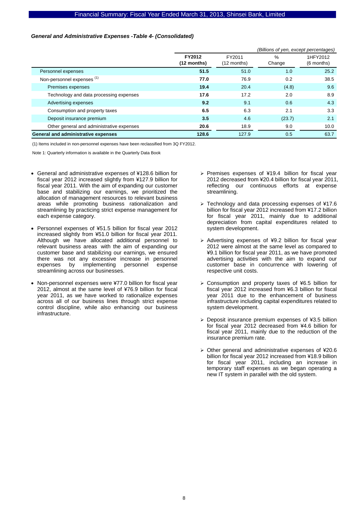### *General and Administrative Expenses -Table 4- (Consolidated)*

|                                           | (Billions of yen, except percentages) |                         |                |                          |  |
|-------------------------------------------|---------------------------------------|-------------------------|----------------|--------------------------|--|
|                                           | FY2012<br>$(12$ months)               | FY2011<br>$(12$ months) | $\%$<br>Change | 1HFY2012<br>$(6$ months) |  |
| Personnel expenses                        | 51.5                                  | 51.0                    | 1.0            | 25.2                     |  |
| Non-personnel expenses <sup>(1)</sup>     | 77.0                                  | 76.9                    | 0.2            | 38.5                     |  |
| Premises expenses                         | 19.4                                  | 20.4                    | (4.8)          | 9.6                      |  |
| Technology and data processing expenses   | 17.6                                  | 17.2                    | 2.0            | 8.9                      |  |
| Advertising expenses                      | 9.2                                   | 9.1                     | 0.6            | 4.3                      |  |
| Consumption and property taxes            | 6.5                                   | 6.3                     | 2.1            | 3.3                      |  |
| Deposit insurance premium                 | 3.5                                   | 4.6                     | (23.7)         | 2.1                      |  |
| Other general and administrative expenses | 20.6                                  | 18.9                    | 9.0            | 10.0                     |  |
| General and administrative expenses       | 128.6                                 | 127.9                   | 0.5            | 63.7                     |  |

(1) Items included in non-personnel expenses have been reclassified from 3Q FY2012.

- General and administrative expenses of ¥128.6 billion for fiscal year 2012 increased slightly from ¥127.9 billion for fiscal year 2011. With the aim of expanding our customer base and stabilizing our earnings, we prioritized the allocation of management resources to relevant business areas while promoting business rationalization and streamlining by practicing strict expense management for each expense category.
- Personnel expenses of ¥51.5 billion for fiscal year 2012 increased slightly from ¥51.0 billion for fiscal year 2011. Although we have allocated additional personnel to relevant business areas with the aim of expanding our customer base and stabilizing our earnings, we ensured there was not any excessive increase in personnel expense<br>expenses by implementing personnel expense implementing personnel expense streamlining across our businesses.
- Non-personnel expenses were ¥77.0 billion for fiscal year 2012, almost at the same level of ¥76.9 billion for fiscal year 2011, as we have worked to rationalize expenses across all of our business lines through strict expense control discipline, while also enhancing our business infrastructure.
- ¾ Premises expenses of ¥19.4 billion for fiscal year 2012 decreased from ¥20.4 billion for fiscal year 2011, reflecting our continuous efforts at expense streamlining.
- ¾ Technology and data processing expenses of ¥17.6 billion for fiscal year 2012 increased from ¥17.2 billion for fiscal year 2011, mainly due to additional depreciation from capital expenditures related to system development.
- $\triangleright$  Advertising expenses of ¥9.2 billion for fiscal year 2012 were almost at the same level as compared to ¥9.1 billion for fiscal year 2011, as we have promoted advertising activities with the aim to expand our customer base in concurrence with lowering of respective unit costs.
- ¾ Consumption and property taxes of ¥6.5 billion for fiscal year 2012 increased from ¥6.3 billion for fiscal year 2011 due to the enhancement of business infrastructure including capital expenditures related to system development.
- $\geq$  Deposit insurance premium expenses of ¥3.5 billion for fiscal year 2012 decreased from ¥4.6 billion for fiscal year 2011, mainly due to the reduction of the insurance premium rate.
- ¾ Other general and administrative expenses of ¥20.6 billion for fiscal year 2012 increased from ¥18.9 billion for fiscal year 2011, including an increase in temporary staff expenses as we began operating a new IT system in parallel with the old system.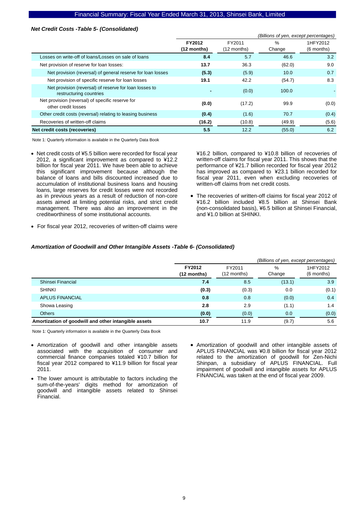### *Net Credit Costs -Table 5- (Consolidated)*

|                                                                                   |                         |                       | (Billions of yen, except percentages) |                        |
|-----------------------------------------------------------------------------------|-------------------------|-----------------------|---------------------------------------|------------------------|
|                                                                                   | FY2012<br>$(12$ months) | FY2011<br>(12 months) | %<br>Change                           | 1HFY2012<br>(6 months) |
| Losses on write-off of loans/Losses on sale of loans                              | 8.4                     | 5.7                   | 46.6                                  | 3.2                    |
| Net provision of reserve for loan losses:                                         | 13.7                    | 36.3                  | (62.0)                                | 9.0                    |
| Net provision (reversal) of general reserve for loan losses                       | (5.3)                   | (5.9)                 | 10.0                                  | 0.7                    |
| Net provision of specific reserve for loan losses                                 | 19.1                    | 42.2                  | (54.7)                                | 8.3                    |
| Net provision (reversal) of reserve for loan losses to<br>restructuring countries |                         | (0.0)                 | 100.0                                 |                        |
| Net provision (reversal) of specific reserve for<br>other credit losses           | (0.0)                   | (17.2)                | 99.9                                  | (0.0)                  |
| Other credit costs (reversal) relating to leasing business                        | (0.4)                   | (1.6)                 | 70.7                                  | (0.4)                  |
| Recoveries of written-off claims                                                  | (16.2)                  | (10.8)                | (49.9)                                | (5.6)                  |
| Net credit costs (recoveries)                                                     | 5.5                     | 12.2                  | (55.0)                                | 6.2                    |

Note 1: Quarterly information is available in the Quarterly Data Book

• Net credit costs of ¥5.5 billion were recorded for fiscal year 2012, a significant improvement as compared to ¥12.2 billion for fiscal year 2011. We have been able to achieve this significant improvement because although the balance of loans and bills discounted increased due to accumulation of institutional business loans and housing loans, large reserves for credit losses were not recorded as in previous years as a result of reduction of non-core assets aimed at limiting potential risks, and strict credit management. There was also an improvement in the creditworthiness of some institutional accounts.

¥16.2 billion, compared to ¥10.8 billion of recoveries of written-off claims for fiscal year 2011. This shows that the performance of ¥21.7 billion recorded for fiscal year 2012 has improved as compared to ¥23.1 billion recorded for fiscal year 2011, even when excluding recoveries of written-off claims from net credit costs.

- The recoveries of written-off claims for fiscal year 2012 of ¥16.2 billion included ¥8.5 billion at Shinsei Bank (non-consolidated basis), ¥6.5 billion at Shinsei Financial, and ¥1.0 billion at SHINKI.
- For fiscal year 2012, recoveries of written-off claims were

#### *Amortization of Goodwill and Other Intangible Assets -Table 6- (Consolidated)*

|                                                      |                       |                       | (Billions of yen, except percentages) |                        |
|------------------------------------------------------|-----------------------|-----------------------|---------------------------------------|------------------------|
|                                                      | FY2012<br>(12 months) | FY2011<br>(12 months) | $\frac{0}{0}$<br>Change               | 1HFY2012<br>(6 months) |
| Shinsei Financial                                    | 7.4                   | 8.5                   | (13.1)                                | 3.9                    |
| <b>SHINKI</b>                                        | (0.3)                 | (0.3)                 | 0.0                                   | (0.1)                  |
| <b>APLUS FINANCIAL</b>                               | 0.8                   | 0.8                   | (0.0)                                 | 0.4                    |
| Showa Leasing                                        | 2.8                   | 2.9                   | (1.1)                                 | 1.4                    |
| <b>Others</b>                                        | (0.0)                 | (0.0)                 | 0.0                                   | (0.0)                  |
| Amortization of goodwill and other intangible assets | 10.7                  | 11.9                  | (9.7)                                 | 5.6                    |

- Amortization of goodwill and other intangible assets associated with the acquisition of consumer and commercial finance companies totaled ¥10.7 billion for fiscal year 2012 compared to ¥11.9 billion for fiscal year 2011.
- The lower amount is attributable to factors including the sum-of-the-years' digits method for amortization of goodwill and intangible assets related to Shinsei Financial.
- Amortization of goodwill and other intangible assets of APLUS FINANCIAL was ¥0.8 billion for fiscal year 2012 related to the amortization of goodwill for Zen-Nichi Shinpan, a subsidiary of APLUS FINANCIAL. Full impairment of goodwill and intangible assets for APLUS FINANCIAL was taken at the end of fiscal year 2009.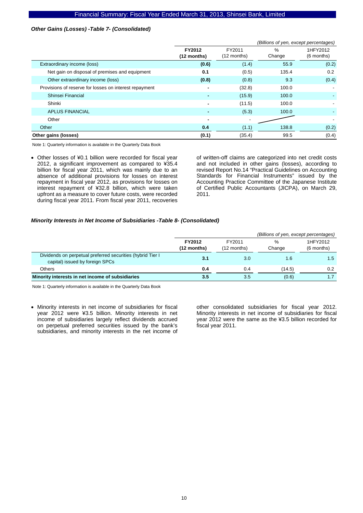### *Other Gains (Losses) -Table 7- (Consolidated)*

|                                                        |                       |                         | (Billions of yen, except percentages) |                        |
|--------------------------------------------------------|-----------------------|-------------------------|---------------------------------------|------------------------|
|                                                        | FY2012<br>(12 months) | FY2011<br>$(12$ months) | $\%$<br>Change                        | 1HFY2012<br>(6 months) |
| Extraordinary income (loss)                            | (0.6)                 | (1.4)                   | 55.9                                  | (0.2)                  |
| Net gain on disposal of premises and equipment         | 0.1                   | (0.5)                   | 135.4                                 | 0.2                    |
| Other extraordinary income (loss)                      | (0.8)                 | (0.8)                   | 9.3                                   | (0.4)                  |
| Provisions of reserve for losses on interest repayment |                       | (32.8)                  | 100.0                                 | ۰                      |
| Shinsei Financial                                      |                       | (15.9)                  | 100.0                                 |                        |
| Shinki                                                 | $\blacksquare$        | (11.5)                  | 100.0                                 |                        |
| <b>APLUS FINANCIAL</b>                                 |                       | (5.3)                   | 100.0                                 |                        |
| Other                                                  | $\blacksquare$        |                         |                                       |                        |
| Other                                                  | 0.4                   | (1.1)                   | 138.8                                 | (0.2)                  |
| Other gains (losses)                                   | (0.1)                 | (35.4)                  | 99.5                                  | (0.4)                  |

Note 1: Quarterly information is available in the Quarterly Data Book

• Other losses of ¥0.1 billion were recorded for fiscal year 2012, a significant improvement as compared to ¥35.4 billion for fiscal year 2011, which was mainly due to an absence of additional provisions for losses on interest repayment in fiscal year 2012, as provisions for losses on interest repayment of ¥32.8 billion, which were taken upfront as a measure to cover future costs, were recorded during fiscal year 2011. From fiscal year 2011, recoveries

of written-off claims are categorized into net credit costs and not included in other gains (losses), according to revised Report No.14 "Practical Guidelines on Accounting Standards for Financial Instruments" issued by the Accounting Practice Committee of the Japanese Institute of Certified Public Accountants (JICPA), on March 29, 2011.

#### *Minority Interests in Net Income of Subsidiaries -Table 8- (Consolidated)*

|                                                                                               |                         |                       | (Billions of yen, except percentages) |                          |  |  |  |
|-----------------------------------------------------------------------------------------------|-------------------------|-----------------------|---------------------------------------|--------------------------|--|--|--|
|                                                                                               | FY2012<br>$(12$ months) | FY2011<br>(12 months) | %<br>Change                           | 1HFY2012<br>$(6$ months) |  |  |  |
| Dividends on perpetual preferred securities (hybrid Tier I<br>capital) issued by foreign SPCs | 3.1                     | 3.0                   | 1.6                                   | 1.5                      |  |  |  |
| Others                                                                                        | 0.4                     | 0.4                   | (14.5)                                | 0.2                      |  |  |  |
| Minority interests in net income of subsidiaries                                              | 3.5                     | 3.5                   | (0.6)                                 |                          |  |  |  |

Note 1: Quarterly information is available in the Quarterly Data Book

• Minority interests in net income of subsidiaries for fiscal year 2012 were ¥3.5 billion. Minority interests in net income of subsidiaries largely reflect dividends accrued on perpetual preferred securities issued by the bank's subsidiaries, and minority interests in the net income of

other consolidated subsidiaries for fiscal year 2012. Minority interests in net income of subsidiaries for fiscal year 2012 were the same as the ¥3.5 billion recorded for fiscal year 2011.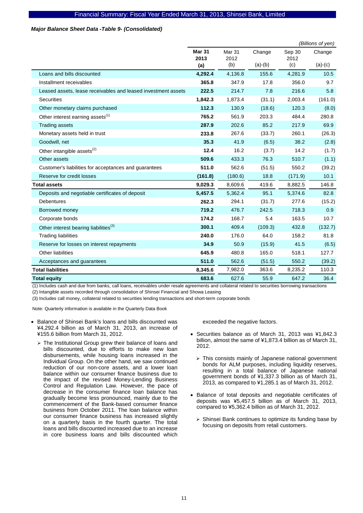### *Major Balance Sheet Data -Table 9- (Consolidated)*

|                                                               |               |               |           |             | (Billions of yen) |
|---------------------------------------------------------------|---------------|---------------|-----------|-------------|-------------------|
|                                                               | <b>Mar 31</b> | <b>Mar 31</b> | Change    | Sep 30      | Change            |
|                                                               | 2013<br>(a)   | 2012<br>(b)   | $(a)-(b)$ | 2012<br>(c) | $(a)-(c)$         |
| Loans and bills discounted                                    | 4,292.4       | 4,136.8       | 155.6     | 4,281.9     | 10.5              |
| Installment receivables                                       | 365.8         | 347.9         | 17.8      | 356.0       | 9.7               |
| Leased assets, lease receivables and leased investment assets | 222.5         | 214.7         | 7.8       | 216.6       | 5.8               |
| Securities                                                    | 1,842.3       | 1,873.4       | (31.1)    | 2,003.4     | (161.0)           |
| Other monetary claims purchased                               | 112.3         | 130.9         | (18.6)    | 120.3       | (8.0)             |
| Other interest earning assets <sup>(1)</sup>                  | 765.2         | 561.9         | 203.3     | 484.4       | 280.8             |
| <b>Trading assets</b>                                         | 287.9         | 202.6         | 85.2      | 217.9       | 69.9              |
| Monetary assets held in trust                                 | 233.8         | 267.6         | (33.7)    | 260.1       | (26.3)            |
| Goodwill, net                                                 | 35.3          | 41.9          | (6.5)     | 38.2        | (2.8)             |
| Other intangible assets <sup>(2)</sup>                        | 12.4          | 16.2          | (3.7)     | 14.2        | (1.7)             |
| Other assets                                                  | 509.6         | 433.3         | 76.3      | 510.7       | (1.1)             |
| Customer's liabilities for acceptances and guarantees         | 511.0         | 562.6         | (51.5)    | 550.2       | (39.2)            |
| Reserve for credit losses                                     | (161.8)       | (180.6)       | 18.8      | (171.9)     | 10.1              |
| <b>Total assets</b>                                           | 9,029.3       | 8,609.6       | 419.6     | 8,882.5     | 146.8             |
| Deposits and negotiable certificates of deposit               | 5,457.5       | 5,362.4       | 95.1      | 5,374.6     | 82.8              |
| <b>Debentures</b>                                             | 262.3         | 294.1         | (31.7)    | 277.6       | (15.2)            |
| Borrowed money                                                | 719.2         | 476.7         | 242.5     | 718.3       | 0.9               |
| Corporate bonds                                               | 174.2         | 168.7         | 5.4       | 163.5       | 10.7              |
| Other interest bearing liabilities <sup>(3)</sup>             | 300.1         | 409.4         | (109.3)   | 432.8       | (132.7)           |
| <b>Trading liabilities</b>                                    | 240.0         | 176.0         | 64.0      | 158.2       | 81.8              |
| Reserve for losses on interest repayments                     | 34.9          | 50.9          | (15.9)    | 41.5        | (6.5)             |
| Other liabilities                                             | 645.9         | 480.8         | 165.0     | 518.1       | 127.7             |
| Acceptances and guarantees                                    | 511.0         | 562.6         | (51.5)    | 550.2       | (39.2)            |
| <b>Total liabilities</b>                                      | 8,345.6       | 7,982.0       | 363.6     | 8,235.2     | 110.3             |
| <b>Total equity</b>                                           | 683.6         | 627.6         | 55.9      | 647.2       | 36.4              |

(1) Includes cash and due from banks, call loans, receivables under resale agreements and collateral related to securities borrowing transactions

(2) Intangible assets recorded through consolidation of Shinsei Financial and Showa Leasing

(3) Includes call money, collateral related to securities lending transactions and short-term corporate bonds

Note: Quarterly information is available in the Quarterly Data Book

- Balance of Shinsei Bank's loans and bills discounted was ¥4,292.4 billion as of March 31, 2013, an increase of ¥155.6 billion from March 31, 2012.
	- ¾ The Institutional Group grew their balance of loans and bills discounted, due to efforts to make new loan disbursements, while housing loans increased in the Individual Group. On the other hand, we saw continued reduction of our non-core assets, and a lower loan balance within our consumer finance business due to the impact of the revised Money-Lending Business Control and Regulation Law. However, the pace of decrease in the consumer finance loan balance has gradually become less pronounced, mainly due to the commencement of the Bank-based consumer finance business from October 2011. The loan balance within our consumer finance business has increased slightly on a quarterly basis in the fourth quarter. The total loans and bills discounted increased due to an increase in core business loans and bills discounted which

exceeded the negative factors.

- Securities balance as of March 31, 2013 was ¥1,842.3 billion, almost the same of ¥1,873.4 billion as of March 31, 2012.
	- $\triangleright$  This consists mainly of Japanese national government bonds for ALM purposes, including liquidity reserves, resulting in a total balance of Japanese national government bonds of ¥1,337.3 billion as of March 31, 2013, as compared to ¥1,285.1 as of March 31, 2012.
- Balance of total deposits and negotiable certificates of deposits was ¥5,457.5 billion as of March 31, 2013, compared to ¥5,362.4 billion as of March 31, 2012.
	- $\triangleright$  Shinsei Bank continues to optimize its funding base by focusing on deposits from retail customers.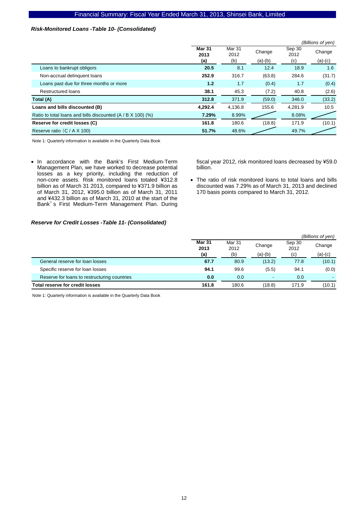### *Risk-Monitored Loans -Table 10- (Consolidated)*

|                                                               |                       |                |           |                | (Billions of yen) |
|---------------------------------------------------------------|-----------------------|----------------|-----------|----------------|-------------------|
|                                                               | <b>Mar 31</b><br>2013 | Mar 31<br>2012 | Change    | Sep 30<br>2012 | Change            |
|                                                               | (a)                   | (b)            | $(a)-(b)$ | (c)            | $(a)-(c)$         |
| Loans to bankrupt obligors                                    | 20.5                  | 8.1            | 12.4      | 18.9           | 1.6               |
| Non-accrual delinquent loans                                  | 252.9                 | 316.7          | (63.8)    | 284.6          | (31.7)            |
| Loans past due for three months or more                       | 1.2                   | 1.7            | (0.4)     | 1.7            | (0.4)             |
| Restructured loans                                            | 38.1                  | 45.3           | (7.2)     | 40.8           | (2.6)             |
| Total (A)                                                     | 312.8                 | 371.9          | (59.0)    | 346.0          | (33.2)            |
| Loans and bills discounted (B)                                | 4,292.4               | 4,136.8        | 155.6     | 4.281.9        | 10.5              |
| Ratio to total loans and bills discounted $(A / B X 100)$ (%) | 7.29%                 | 8.99%          |           | 8.08%          |                   |
| Reserve for credit losses (C)                                 | 161.8                 | 180.6          | (18.8)    | 171.9          | (10.1)            |
| Reserve ratio (C / A X 100)                                   | 51.7%                 | 48.6%          |           | 49.7%          |                   |

Note 1: Quarterly information is available in the Quarterly Data Book

• In accordance with the Bank's First Medium-Term Management Plan, we have worked to decrease potential losses as a key priority, including the reduction of non-core assets. Risk monitored loans totaled ¥312.8 billion as of March 31 2013, compared to ¥371.9 billion as of March 31, 2012, ¥395.0 billion as of March 31, 2011 and ¥432.3 billion as of March 31, 2010 at the start of the Bank's First Medium-Term Management Plan. During

fiscal year 2012, risk monitored loans decreased by ¥59.0 billion.

• The ratio of risk monitored loans to total loans and bills discounted was 7.29% as of March 31, 2013 and declined 170 basis points compared to March 31, 2012.

### *Reserve for Credit Losses -Table 11- (Consolidated)*

|                                              |                       |                |                          |                | (Billions of yen) |
|----------------------------------------------|-----------------------|----------------|--------------------------|----------------|-------------------|
|                                              | <b>Mar 31</b><br>2013 | Mar 31<br>2012 | Change                   | Sep 30<br>2012 | Change            |
|                                              | (a)                   | (b)            | $(a)-(b)$                | (c)            | (a)-(c)           |
| General reserve for loan losses              | 67.7                  | 80.9           | (13.2)                   | 77.8           | (10.1)            |
| Specific reserve for loan losses             | 94.1                  | 99.6           | (5.5)                    | 94.1           | (0.0)             |
| Reserve for loans to restructuring countries | 0.0                   | 0.0            | $\overline{\phantom{a}}$ | 0.0            |                   |
| <b>Total reserve for credit losses</b>       | 161.8                 | 180.6          | (18.8)                   | 171.9          | (10.1)            |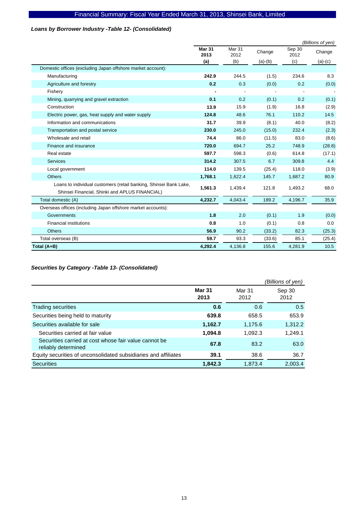### *Loans by Borrower Industry -Table 12- (Consolidated)*

|                                                                                                                     |                       |                           |           |                | (Billions of yen) |
|---------------------------------------------------------------------------------------------------------------------|-----------------------|---------------------------|-----------|----------------|-------------------|
|                                                                                                                     | <b>Mar 31</b><br>2013 | Mar <sub>31</sub><br>2012 | Change    | Sep 30<br>2012 | Change            |
|                                                                                                                     | (a)                   | (b)                       | $(a)-(b)$ | (c)            | $(a)-(c)$         |
| Domestic offices (excluding Japan offshore market account):                                                         |                       |                           |           |                |                   |
| Manufacturing                                                                                                       | 242.9                 | 244.5                     | (1.5)     | 234.6          | 8.3               |
| Agriculture and forestry                                                                                            | 0.2                   | 0.3                       | (0.0)     | 0.2            | (0.0)             |
| Fishery                                                                                                             |                       |                           |           |                |                   |
| Mining, quarrying and gravel extraction                                                                             | 0.1                   | 0.2                       | (0.1)     | 0.2            | (0.1)             |
| Construction                                                                                                        | 13.9                  | 15.9                      | (1.9)     | 16.8           | (2.9)             |
| Electric power, gas, heat supply and water supply                                                                   | 124.8                 | 48.6                      | 76.1      | 110.2          | 14.5              |
| Information and communications                                                                                      | 31.7                  | 39.9                      | (8.1)     | 40.0           | (8.2)             |
| Transportation and postal service                                                                                   | 230.0                 | 245.0                     | (15.0)    | 232.4          | (2.3)             |
| Wholesale and retail                                                                                                | 74.4                  | 86.0                      | (11.5)    | 83.0           | (8.6)             |
| Finance and insurance                                                                                               | 720.0                 | 694.7                     | 25.2      | 748.9          | (28.8)            |
| Real estate                                                                                                         | 597.7                 | 598.3                     | (0.6)     | 614.8          | (17.1)            |
| <b>Services</b>                                                                                                     | 314.2                 | 307.5                     | 6.7       | 309.8          | 4.4               |
| Local government                                                                                                    | 114.0                 | 139.5                     | (25.4)    | 118.0          | (3.9)             |
| <b>Others</b>                                                                                                       | 1,768.1               | 1,622.4                   | 145.7     | 1,687.2        | 80.9              |
| Loans to individual customers (retail banking, Shinsei Bank Lake,<br>Shinsei Financial, Shinki and APLUS FINANCIAL) | 1,561.3               | 1,439.4                   | 121.8     | 1,493.2        | 68.0              |
| Total domestic (A)                                                                                                  | 4,232.7               | 4,043.4                   | 189.2     | 4,196.7        | 35.9              |
| Overseas offices (including Japan offshore market accounts):                                                        |                       |                           |           |                |                   |
| Governments                                                                                                         | 1.8                   | 2.0                       | (0.1)     | 1.9            | (0.0)             |
| <b>Financial institutions</b>                                                                                       | 0.8                   | 1.0                       | (0.1)     | 0.8            | 0.0               |
| <b>Others</b>                                                                                                       | 56.9                  | 90.2                      | (33.2)    | 82.3           | (25.3)            |
| Total overseas (B)                                                                                                  | 59.7                  | 93.3                      | (33.6)    | 85.1           | (25.4)            |
| Total (A+B)                                                                                                         | 4,292.4               | 4,136.8                   | 155.6     | 4,281.9        | 10.5              |

*Securities by Category -Table 13- (Consolidated)* 

|                                                                              |                       |                | (Billions of yen) |
|------------------------------------------------------------------------------|-----------------------|----------------|-------------------|
|                                                                              | <b>Mar 31</b><br>2013 | Mar 31<br>2012 | Sep 30<br>2012    |
| Trading securities                                                           | 0.6                   | 0.6            | 0.5               |
| Securities being held to maturity                                            | 639.8                 | 658.5          | 653.9             |
| Securities available for sale                                                | 1,162.7               | 1.175.6        | 1,312.2           |
| Securities carried at fair value                                             | 1,094.8               | 1,092.3        | 1,249.1           |
| Securities carried at cost whose fair value cannot be<br>reliably determined | 67.8                  | 83.2           | 63.0              |
| Equity securities of unconsolidated subsidiaries and affiliates              | 39.1                  | 38.6           | 36.7              |
| <b>Securities</b>                                                            | 1,842.3               | 1.873.4        | 2.003.4           |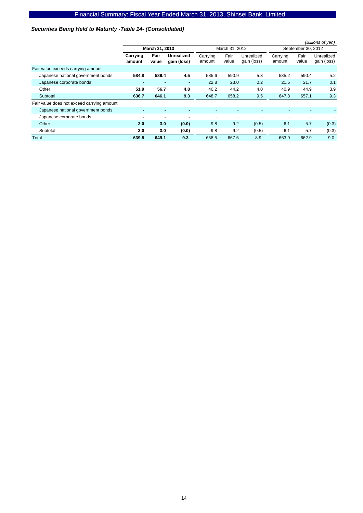### *Securities Being Held to Maturity -Table 14- (Consolidated)*

|                                            |                    |                |                                  |                    |                          |                           |                    |                    | (Billions of yen)         |  |
|--------------------------------------------|--------------------|----------------|----------------------------------|--------------------|--------------------------|---------------------------|--------------------|--------------------|---------------------------|--|
|                                            |                    | March 31, 2013 |                                  |                    | March 31, 2012           |                           |                    | September 30, 2012 |                           |  |
|                                            | Carrying<br>amount | Fair<br>value  | <b>Unrealized</b><br>gain (loss) | Carrying<br>amount | Fair<br>value            | Unrealized<br>gain (loss) | Carrying<br>amount | Fair<br>value      | Unrealized<br>gain (loss) |  |
| Fair value exceeds carrying amount         |                    |                |                                  |                    |                          |                           |                    |                    |                           |  |
| Japanese national government bonds         | 584.8              | 589.4          | 4.5                              | 585.6              | 590.9                    | 5.3                       | 585.2              | 590.4              | 5.2                       |  |
| Japanese corporate bonds                   |                    | ۰              | $\overline{\phantom{a}}$         | 22.8               | 23.0                     | 0.2                       | 21.5               | 21.7               | 0.1                       |  |
| Other                                      | 51.9               | 56.7           | 4.8                              | 40.2               | 44.2                     | 4.0                       | 40.9               | 44.9               | 3.9                       |  |
| Subtotal                                   | 636.7              | 646.1          | 9.3                              | 648.7              | 658.2                    | 9.5                       | 647.8              | 657.1              | 9.3                       |  |
| Fair value does not exceed carrying amount |                    |                |                                  |                    |                          |                           |                    |                    |                           |  |
| Japanese national government bonds         | ۰                  |                |                                  |                    |                          | ۰                         |                    |                    |                           |  |
| Japanese corporate bonds                   | ۰                  |                |                                  | ٠                  | $\overline{\phantom{a}}$ | ٠                         |                    |                    |                           |  |
| Other                                      | 3.0                | 3.0            | (0.0)                            | 9.8                | 9.2                      | (0.5)                     | 6.1                | 5.7                | (0.3)                     |  |
| Subtotal                                   | 3.0                | 3.0            | (0.0)                            | 9.8                | 9.2                      | (0.5)                     | 6.1                | 5.7                | (0.3)                     |  |
| Total                                      | 639.8              | 649.1          | 9.3                              | 658.5              | 667.5                    | 8.9                       | 653.9              | 662.9              | 9.0                       |  |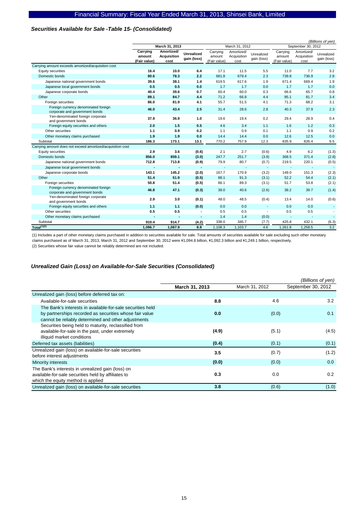### *Securities Available for Sale -Table 15- (Consolidated)*

|                                                                        |                                    |                                          |                                  |                                    |                                   |                           |                                    |                                   | (Billions of yen)         |
|------------------------------------------------------------------------|------------------------------------|------------------------------------------|----------------------------------|------------------------------------|-----------------------------------|---------------------------|------------------------------------|-----------------------------------|---------------------------|
|                                                                        |                                    | March 31, 2013                           |                                  |                                    | March 31, 2012                    |                           |                                    | September 30, 2012                |                           |
|                                                                        | Carrying<br>amount<br>(Fair value) | Amortized/<br><b>Acquisition</b><br>cost | <b>Unrealized</b><br>gain (loss) | Carrying<br>amount<br>(Fair value) | Amortized/<br>Acquisition<br>cost | Unrealized<br>gain (loss) | Carrying<br>amount<br>(Fair value) | Amortized/<br>Acquisition<br>cost | Unrealized<br>gain (loss) |
| Carrying amount exceeds amortized/acquisition cost                     |                                    |                                          |                                  |                                    |                                   |                           |                                    |                                   |                           |
| Equity securities                                                      | 16.4                               | 10.0                                     | 6.4                              | 17.1                               | 11.5                              | 5.5                       | 11.0                               | 7.7                               | 3.2                       |
| Domestic bonds                                                         | 80.6                               | 78.3                                     | 2.2                              | 681.8                              | 679.4                             | 2.3                       | 739.8                              | 736.9                             | 2.8                       |
| Japanese national government bonds                                     | 39.6                               | 38.1                                     | 1.4                              | 619.5                              | 617.6                             | 1.9                       | 671.4                              | 669.4                             | 1.9                       |
| Japanese local government bonds                                        | 0.5                                | 0.5                                      | 0.0                              | 1.7                                | 1.7                               | 0.0                       | 1.7                                | 1.7                               | 0.0                       |
| Japanese corporate bonds                                               | 40.4                               | 39.6                                     | 0.7                              | 60.4                               | 60.0                              | 0.3                       | 66.6                               | 65.7                              | 0.8                       |
| Other                                                                  | 89.1                               | 84.7                                     | 4.4                              | 71.2                               | 66.8                              | 4.4                       | 85.1                               | 81.7                              | 3.4                       |
| Foreign securities                                                     | 86.0                               | 81.9                                     | 4.1                              | 55.7                               | 51.5                              | 4.1                       | 71.3                               | 68.2                              | 3.1                       |
| Foreign currency denominated foreign<br>corporate and government bonds | 46.0                               | 43.4                                     | 2.5                              | 31.4                               | 28.6                              | 2.8                       | 40.3                               | 37.9                              | 2.3                       |
| Yen-denominated foreign corporate<br>and government bonds              | 37.9                               | 36.9                                     | 1.0                              | 19.6                               | 19.4                              | 0.2                       | 29.4                               | 28.9                              | 0.4                       |
| Foreign equity securities and others                                   | 2.0                                | 1.5                                      | 0.5                              | 4.6                                | 3.4                               | 1.1                       | 1.6                                | 1.2                               | 0.3                       |
| Other securities                                                       | 1.1                                | 0.9                                      | 0.2                              | 1.1                                | 0.9                               | 0.1                       | 1.1                                | 0.9                               | 0.2                       |
| Other monetary claims purchased                                        | 1.9                                | 1.9                                      | 0.0                              | 14.4                               | 14.4                              | 0.0                       | 12.6                               | 12.5                              | 0.0                       |
| Subtotal                                                               | 186.3                              | 173.1                                    | 13.1                             | 770.2                              | 757.9                             | 12.3                      | 835.9                              | 826.4                             | 9.5                       |
| Carrying amount does not exceed amortized/acquisition cost             |                                    |                                          |                                  |                                    |                                   |                           |                                    |                                   |                           |
| Equity securities                                                      | 2.9                                | 3.6                                      | (0.6)                            | 2.1                                | 2.7                               | (0.6)                     | 4.9                                | 6.2                               | (1.3)                     |
| Domestic bonds                                                         | 856.0                              | 859.1                                    | (3.0)                            | 247.7                              | 251.7                             | (3.9)                     | 368.5                              | 371.4                             | (2.8)                     |
| Japanese national government bonds                                     | 712.8                              | 713.8                                    | (0.9)                            | 79.9                               | 80.7                              | (0.7)                     | 219.5                              | 220.1                             | (0.5)                     |
| Japanese local government bonds                                        |                                    |                                          | $\blacksquare$                   |                                    |                                   | $\overline{\phantom{a}}$  |                                    | $\overline{\phantom{a}}$          | $\overline{\phantom{a}}$  |
| Japanese corporate bonds                                               | 143.1                              | 145.2                                    | (2.0)                            | 167.7                              | 170.9                             | (3.2)                     | 149.0                              | 151.3                             | (2.3)                     |
| Other                                                                  | 51.4                               | 51.9                                     | (0.5)                            | 88.1                               | 91.3                              | (3.1)                     | 52.2                               | 54.4                              | (2.1)                     |
| Foreign securities                                                     | 50.8                               | 51.4                                     | (0.5)                            | 86.1                               | 89.3                              | (3.1)                     | 51.7                               | 53.8                              | (2.1)                     |
| Foreign currency denominated foreign<br>corporate and government bonds | 46.8                               | 47.1                                     | (0.3)                            | 38.0                               | 40.6                              | (2.6)                     | 38.2                               | 39.7                              | (1.4)                     |
| Yen-denominated foreign corporate<br>and government bonds              | 2.9                                | 3.0                                      | (0.1)                            | 48.0                               | 48.5                              | (0.4)                     | 13.4                               | 14.0                              | (0.6)                     |
| Foreign equity securities and others                                   | 1.1                                | 1.1                                      | (0.0)                            | 0.0                                | 0.0                               | $\overline{\phantom{a}}$  | 0.0                                | 0.0                               |                           |
| Other securities                                                       | 0.5                                | 0.5                                      |                                  | 0.5                                | 0.5                               | ÷,                        | 0.5                                | 0.5                               |                           |
| Other monetary claims purchased                                        |                                    |                                          | $\blacksquare$                   | 1.4                                | 1.4                               | (0.0)                     |                                    | $\overline{\phantom{a}}$          |                           |
| Subtotal                                                               | 910.4                              | 914.7                                    | (4.2)                            | 338.0                              | 345.7                             | (7.7)                     | 425.8                              | 432.1                             | (6.3)                     |
| Total <sup>(1)(2)</sup>                                                | 1,096.7                            | 1,087.9                                  | 8.8                              | 1,108.3                            | 1,103.7                           | 4.6                       | 1,261.8                            | 1,258.5                           | 3.2                       |

(1) Includes a part of other monetary claims purchased in addition to securities available for sale. Total amounts of securities available for sale excluding such other monetary claims purchased as of March 31, 2013, March 31, 2012 and September 30, 2012 were ¥1,094.8 billion, ¥1,092.3 billion and ¥1,249.1 billion, respectively. (2) Securities whose fair value cannot be reliably determined are not included.

### *Unrealized Gain (Loss) on Available-for-Sale Securities (Consolidated)*

|                                                                                                                                                                              |                |                | (Billions of yen)  |
|------------------------------------------------------------------------------------------------------------------------------------------------------------------------------|----------------|----------------|--------------------|
|                                                                                                                                                                              | March 31, 2013 | March 31, 2012 | September 30, 2012 |
| Unrealized gain (loss) before deferred tax on:                                                                                                                               |                |                |                    |
| Available-for-sale securities                                                                                                                                                | 8.8            | 4.6            | 3.2                |
| The Bank's interests in available-for-sale securities held<br>by partnerships recorded as securities whose fair value<br>cannot be reliably determined and other adjustments | 0.0            | (0.0)          | 0.1                |
| Securities being held to maturity, reclassified from<br>available-for-sale in the past, under extremely<br>illiquid market conditions                                        | (4.9)          | (5.1)          | (4.5)              |
| Deferred tax assets (liabilities)                                                                                                                                            | (0.4)          | (0.1)          | (0.1)              |
| Unrealized gain (loss) on available-for-sale securities<br>before interest adjustments                                                                                       | 3.5            | (0.7)          | (1.2)              |
| Minority interests                                                                                                                                                           | (0.0)          | (0.0)          | 0.0                |
| The Bank's interests in unrealized gain (loss) on<br>available-for-sale securities held by affiliates to<br>which the equity method is applied                               | 0.3            | 0.0            | 0.2                |
| Unrealized gain (loss) on available-for-sale securities                                                                                                                      | 3.8            | (0.6)          | (1.0)              |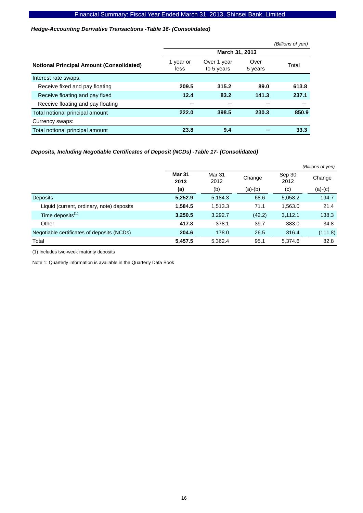### *Hedge-Accounting Derivative Transactions -Table 16- (Consolidated)*

|                                                 |                   |                           |                 | (Billions of yen) |
|-------------------------------------------------|-------------------|---------------------------|-----------------|-------------------|
|                                                 |                   | March 31, 2013            |                 |                   |
| <b>Notional Principal Amount (Consolidated)</b> | 1 year or<br>less | Over 1 year<br>to 5 years | Over<br>5 years | Total             |
| Interest rate swaps:                            |                   |                           |                 |                   |
| Receive fixed and pay floating                  | 209.5             | 315.2                     | 89.0            | 613.8             |
| Receive floating and pay fixed                  | 12.4              | 83.2                      | 141.3           | 237.1             |
| Receive floating and pay floating               |                   |                           |                 |                   |
| Total notional principal amount                 | 222.0             | 398.5                     | 230.3           | 850.9             |
| Currency swaps:                                 |                   |                           |                 |                   |
| Total notional principal amount                 | 23.8              | 9.4                       |                 | 33.3              |

### *Deposits, Including Negotiable Certificates of Deposit (NCDs) -Table 17- (Consolidated)*

|                                            |                       |                |           |                | (Billions of yen) |
|--------------------------------------------|-----------------------|----------------|-----------|----------------|-------------------|
|                                            | <b>Mar 31</b><br>2013 | Mar 31<br>2012 | Change    | Sep 30<br>2012 | Change            |
|                                            | (a)                   | (b)            | $(a)-(b)$ | (c)            | $(a)-(c)$         |
| <b>Deposits</b>                            | 5,252.9               | 5,184.3        | 68.6      | 5,058.2        | 194.7             |
| Liquid (current, ordinary, note) deposits  | 1,584.5               | 1,513.3        | 71.1      | 1,563.0        | 21.4              |
| Time deposits <sup>(1)</sup>               | 3,250.5               | 3,292.7        | (42.2)    | 3,112.1        | 138.3             |
| Other                                      | 417.8                 | 378.1          | 39.7      | 383.0          | 34.8              |
| Negotiable certificates of deposits (NCDs) | 204.6                 | 178.0          | 26.5      | 316.4          | (111.8)           |
| Total                                      | 5,457.5               | 5,362.4        | 95.1      | 5,374.6        | 82.8              |

(1) Includes two-week maturity deposits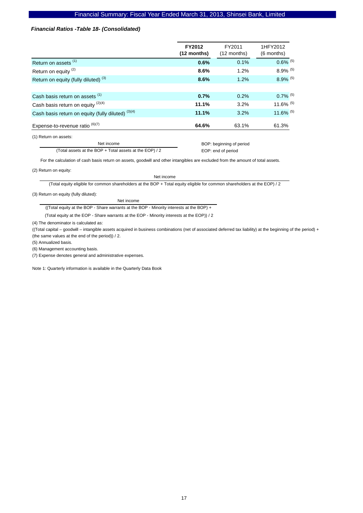### *Financial Ratios -Table 18- (Consolidated)*

|                                                    | FY2012<br>$(12$ months)  | FY2011<br>$(12$ months) | 1HFY2012<br>$(6$ months) |  |
|----------------------------------------------------|--------------------------|-------------------------|--------------------------|--|
| Return on assets <sup>(1)</sup>                    | 0.6%                     | 0.1%                    | $0.6\%$ <sup>(5)</sup>   |  |
| Return on equity <sup>(2)</sup>                    | 8.6%                     | 1.2%                    | $8.9\%$ <sup>(5)</sup>   |  |
| Return on equity (fully diluted) <sup>(3)</sup>    | 8.6%                     | 1.2%                    | 8.9% (5)                 |  |
|                                                    |                          |                         |                          |  |
| Cash basis return on assets (1)                    | 0.7%                     | 0.2%                    | $0.7\%$ <sup>(5)</sup>   |  |
| Cash basis return on equity (2)(4)                 | 11.1%                    | 3.2%                    | 11.6% (5)                |  |
| Cash basis return on equity (fully diluted) (3)(4) | 11.1%                    | 3.2%                    | 11.6% (5)                |  |
| Expense-to-revenue ratio $^{(6)(7)}$               | 64.6%                    | 63.1%                   | 61.3%                    |  |
| (1) Return on assets:                              |                          |                         |                          |  |
| Net income                                         | BOP: beginning of period |                         |                          |  |

(Total assets at the BOP + Total assets at the EOP) / 2

For the calculation of cash basis return on assets, goodwill and other intangibles are excluded from the amount of total assets.

(2) Return on equity:

Net income

EOP: end of period

(Total equity eligible for common shareholders at the BOP + Total equity eligible for common shareholders at the EOP) / 2

(3) Return on equity (fully diluted):

Net income

((Total equity at the BOP - Share warrants at the BOP - Minority interests at the BOP) +

(Total equity at the EOP - Share warrants at the EOP - Minority interests at the EOP)) / 2

(4) The denominator is calculated as:

((Total capital – goodwill – intangible assets acquired in business combinations (net of associated deferred tax liability) at the beginning of the period) + (the same values at the end of the period)) / 2.

(5) Annualized basis.

(6) Management accounting basis.

(7) Expense denotes general and administrative expenses.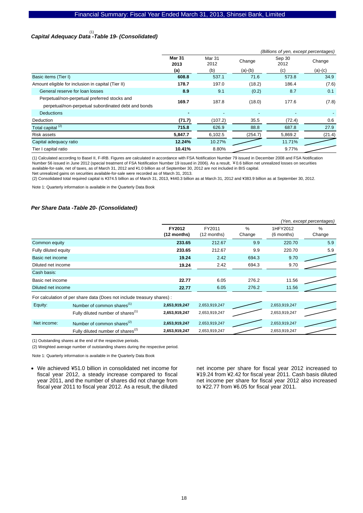# *Capital Adequacy Data -Table 19- (Consolidated)*  (1)

|                                                     |                       |                |           | (Billions of yen, except percentages) |           |
|-----------------------------------------------------|-----------------------|----------------|-----------|---------------------------------------|-----------|
|                                                     | <b>Mar 31</b><br>2013 | Mar 31<br>2012 | Change    | Sep 30<br>2012                        | Change    |
|                                                     | (a)                   | (b)            | $(a)-(b)$ | (c)                                   | $(a)-(c)$ |
| Basic items (Tier I)                                | 608.8                 | 537.1          | 71.6      | 573.8                                 | 34.9      |
| Amount eligible for inclusion in capital (Tier II)  | 178.7                 | 197.0          | (18.2)    | 186.4                                 | (7.6)     |
| General reserve for loan losses                     | 8.9                   | 9.1            | (0.2)     | 8.7                                   | 0.1       |
| Perpetual/non-perpetual preferred stocks and        | 169.7                 | 187.8          | (18.0)    | 177.6                                 | (7.8)     |
| perpetual/non-perpetual subordinated debt and bonds |                       |                |           |                                       |           |
| Deductions                                          | ٠                     |                |           |                                       |           |
| Deduction                                           | (71.7)                | (107.2)        | 35.5      | (72.4)                                | 0.6       |
| Total capital <sup>(2)</sup>                        | 715.8                 | 626.9          | 88.8      | 687.8                                 | 27.9      |
| Risk assets                                         | 5,847.7               | 6,102.5        | (254.7)   | 5,869.2                               | (21.4)    |
| Capital adequacy ratio                              | 12.24%                | 10.27%         |           | 11.71%                                |           |
| Tier I capital ratio                                | 10.41%                | 8.80%          |           | 9.77%                                 |           |

(1) Calculated according to Basel II, F-IRB. Figures are calculated in accordance with FSA Notification Number 79 issued in December 2008 and FSA Notification Number 56 issued in June 2012 (special treatment of FSA Notification Number 19 issued in 2006). As a result, ¥0.6 billion net unrealized losses on securities available-for-sale, net of taxes, as of March 31, 2012 and \1.0 billion as of September 30, 2012 are not included in BIS capital.

Net unrealized gains on securities available-for-sale were recorded as of March 31, 2013.

(2) Consolidated total required capital is \374.5 billion as of March 31, 2013, \440.3 billion as at March 31, 2012 and \383.9 billion as at September 30, 2012.

Note 1: Quarterly information is available in the Quarterly Data Book

#### *Per Share Data -Table 20- (Consolidated)*

|                      |                                                                        |                       |                       |                         |                        | (Yen, except percentages) |
|----------------------|------------------------------------------------------------------------|-----------------------|-----------------------|-------------------------|------------------------|---------------------------|
|                      |                                                                        | FY2012<br>(12 months) | FY2011<br>(12 months) | $\frac{0}{0}$<br>Change | 1HFY2012<br>(6 months) | %<br>Change               |
| Common equity        |                                                                        | 233.65                | 212.67                | 9.9                     | 220.70                 | 5.9                       |
| Fully diluted equity |                                                                        | 233.65                | 212.67                | 9.9                     | 220.70                 | 5.9                       |
| Basic net income     |                                                                        | 19.24                 | 2.42                  | 694.3                   | 9.70                   |                           |
| Diluted net income   |                                                                        | 19.24                 | 2.42                  | 694.3                   | 9.70                   |                           |
| Cash basis:          |                                                                        |                       |                       |                         |                        |                           |
| Basic net income     |                                                                        | 22.77                 | 6.05                  | 276.2                   | 11.56                  |                           |
| Diluted net income   |                                                                        | 22.77                 | 6.05                  | 276.2                   | 11.56                  |                           |
|                      | For calculation of per share data (Does not include treasury shares) : |                       |                       |                         |                        |                           |
| Equity:              | Number of common shares <sup>(1)</sup>                                 | 2,653,919,247         | 2,653,919,247         |                         | 2,653,919,247          |                           |
|                      | Fully diluted number of shares <sup>(1)</sup>                          | 2,653,919,247         | 2,653,919,247         |                         | 2,653,919,247          |                           |
| Net income:          | Number of common shares <sup>(2)</sup>                                 | 2,653,919,247         | 2,653,919,247         |                         | 2,653,919,247          |                           |
|                      | Fully diluted number of shares <sup>(2)</sup>                          | 2,653,919,247         | 2,653,919,247         |                         | 2,653,919,247          |                           |

(1) Outstanding shares at the end of the respective periods.

(2) Weighted average number of outstanding shares during the respective period.

Note 1: Quarterly information is available in the Quarterly Data Book

• We achieved ¥51.0 billion in consolidated net income for fiscal year 2012, a steady increase compared to fiscal year 2011, and the number of shares did not change from fiscal year 2011 to fiscal year 2012. As a result, the diluted

net income per share for fiscal year 2012 increased to ¥19.24 from ¥2.42 for fiscal year 2011. Cash basis diluted net income per share for fiscal year 2012 also increased to ¥22.77 from ¥6.05 for fiscal year 2011.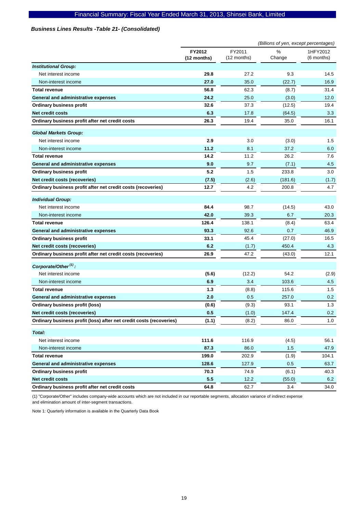### *Business Lines Results -Table 21- (Consolidated)*

|                                                                     | (Billions of yen, except percentages) |                       |             |                          |
|---------------------------------------------------------------------|---------------------------------------|-----------------------|-------------|--------------------------|
|                                                                     | FY2012<br>(12 months)                 | FY2011<br>(12 months) | %<br>Change | 1HFY2012<br>$(6$ months) |
| <b>Institutional Group:</b>                                         |                                       |                       |             |                          |
| Net interest income                                                 | 29.8                                  | 27.2                  | 9.3         | 14.5                     |
| Non-interest income                                                 | 27.0                                  | 35.0                  | (22.7)      | 16.9                     |
| <b>Total revenue</b>                                                | 56.8                                  | 62.3                  | (8.7)       | 31.4                     |
| General and administrative expenses                                 | 24.2                                  | 25.0                  | (3.0)       | 12.0                     |
| <b>Ordinary business profit</b>                                     | 32.6                                  | 37.3                  | (12.5)      | 19.4                     |
| <b>Net credit costs</b>                                             | 6.3                                   | 17.8                  | (64.5)      | 3.3                      |
| Ordinary business profit after net credit costs                     | 26.3                                  | 19.4                  | 35.0        | 16.1                     |
| <b>Global Markets Group:</b>                                        |                                       |                       |             |                          |
| Net interest income                                                 | 2.9                                   | 3.0                   | (3.0)       | 1.5                      |
| Non-interest income                                                 | 11.2                                  | 8.1                   | 37.2        | 6.0                      |
| <b>Total revenue</b>                                                | 14.2                                  | 11.2                  | 26.2        | 7.6                      |
| General and administrative expenses                                 | 9.0                                   | 9.7                   | (7.1)       | 4.5                      |
| <b>Ordinary business profit</b>                                     | 5.2                                   | 1.5                   | 233.8       | 3.0                      |
| Net credit costs (recoveries)                                       | (7.5)                                 | (2.6)                 | (181.6)     | (1.7)                    |
| Ordinary business profit after net credit costs (recoveries)        | 12.7                                  | 4.2                   | 200.8       | 4.7                      |
| <b>Individual Group:</b>                                            |                                       |                       |             |                          |
| Net interest income                                                 | 84.4                                  | 98.7                  | (14.5)      | 43.0                     |
| Non-interest income                                                 | 42.0                                  | 39.3                  | 6.7         | 20.3                     |
| <b>Total revenue</b>                                                | 126.4                                 | 138.1                 | (8.4)       | 63.4                     |
| General and administrative expenses                                 | 93.3                                  | 92.6                  | 0.7         | 46.9                     |
| <b>Ordinary business profit</b>                                     | 33.1                                  | 45.4                  | (27.0)      | 16.5                     |
| Net credit costs (recoveries)                                       | 6.2                                   | (1.7)                 | 450.4       | 4.3                      |
| Ordinary business profit after net credit costs (recoveries)        | 26.9                                  | 47.2                  | (43.0)      | 12.1                     |
| Corporate/Other <sup>(1)</sup> :                                    |                                       |                       |             |                          |
| Net interest income                                                 | (5.6)                                 | (12.2)                | 54.2        | (2.9)                    |
| Non-interest income                                                 | 6.9                                   | 3.4                   | 103.6       | 4.5                      |
| <b>Total revenue</b>                                                | 1.3                                   | (8.8)                 | 115.6       | 1.5                      |
| <b>General and administrative expenses</b>                          | 2.0                                   | 0.5                   | 257.0       | 0.2                      |
| <b>Ordinary business profit (loss)</b>                              | (0.6)                                 | (9.3)                 | 93.1        | 1.3                      |
| Net credit costs (recoveries)                                       | 0.5                                   | (1.0)                 | 147.4       | 0.2                      |
| Ordinary business profit (loss) after net credit costs (recoveries) | (1.1)                                 | (8.2)                 | 86.0        | 1.0                      |
| Total:                                                              |                                       |                       |             |                          |
| Net interest income                                                 | 111.6                                 | 116.9                 | (4.5)       | 56.1                     |
| Non-interest income                                                 | 87.3                                  | 86.0                  | 1.5         | 47.9                     |
| <b>Total revenue</b>                                                | 199.0                                 | 202.9                 | (1.9)       | 104.1                    |
| General and administrative expenses                                 | 128.6                                 | 127.9                 | 0.5         | 63.7                     |
| <b>Ordinary business profit</b>                                     | 70.3                                  | 74.9                  | (6.1)       | 40.3                     |
| Net credit costs                                                    | 5.5                                   | 12.2                  | (55.0)      | 6.2                      |
| Ordinary business profit after net credit costs                     | 64.8                                  | 62.7                  | 3.4         | 34.0                     |

(1) "Corporate/Other" includes company-wide accounts which are not included in our reportable segments, allocation variance of indirect expense and elimination amount of inter-segment transactions.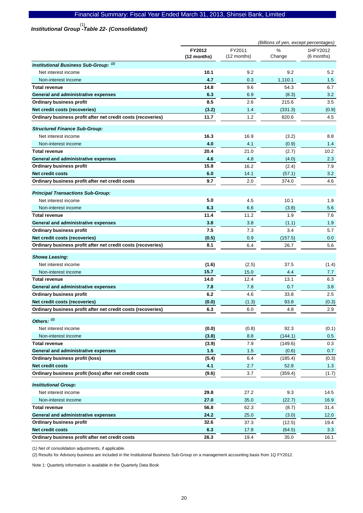# *Institutional Group -Table 22- (Consolidated)*  (1)

|                                                              |                       |                       | (Billions of yen, except percentages) |                        |
|--------------------------------------------------------------|-----------------------|-----------------------|---------------------------------------|------------------------|
|                                                              | FY2012<br>(12 months) | FY2011<br>(12 months) | %<br>Change                           | 1HFY2012<br>(6 months) |
| <b>Institutional Business Sub-Group: (2)</b>                 |                       |                       |                                       |                        |
| Net interest income                                          | 10.1                  | 9.2                   | 9.2                                   | 5.2                    |
| Non-interest income                                          | 4.7                   | 0.3                   | 1,110.1                               | 1.5                    |
| <b>Total revenue</b>                                         | 14.8                  | 9.6                   | 54.3                                  | 6.7                    |
| General and administrative expenses                          | 6.3                   | 6.9                   | (8.3)                                 | 3.2                    |
| <b>Ordinary business profit</b>                              | 8.5                   | 2.6                   | 215.6                                 | 3.5                    |
| Net credit costs (recoveries)                                | (3.2)                 | 1.4                   | (331.3)                               | (0.9)                  |
| Ordinary business profit after net credit costs (recoveries) | 11.7                  | 1.2                   | 820.6                                 | 4.5                    |
| <b>Structured Finance Sub-Group:</b>                         |                       |                       |                                       |                        |
| Net interest income                                          | 16.3                  | 16.9                  | (3.2)                                 | 8.8                    |
| Non-interest income                                          | 4.0                   | 4.1                   | (0.9)                                 | 1.4                    |
| <b>Total revenue</b>                                         | 20.4                  | 21.0                  | (2.7)                                 | 10.2                   |
| General and administrative expenses                          | 4.6                   | 4.8                   | (4.0)                                 | 2.3                    |
| <b>Ordinary business profit</b>                              | 15.8                  | 16.2                  | (2.4)                                 | 7.9                    |
| <b>Net credit costs</b>                                      | 6.0                   | 14.1                  | (57.1)                                | 3.2                    |
| Ordinary business profit after net credit costs              | 9.7                   | 2.0                   | 374.0                                 | 4.6                    |
| <b>Principal Transactions Sub-Group:</b>                     |                       |                       |                                       |                        |
| Net interest income                                          | 5.0                   | 4.5                   | 10.1                                  | 1.9                    |
| Non-interest income                                          | 6.3                   | 6.6                   | (3.8)                                 | 5.6                    |
| <b>Total revenue</b>                                         | 11.4                  | 11.2                  | 1.9                                   | 7.6                    |
| General and administrative expenses                          | 3.8                   | 3.8                   | (1.1)                                 | 1.9                    |
| <b>Ordinary business profit</b>                              | 7.5                   | 7.3                   | 3.4                                   | 5.7                    |
| Net credit costs (recoveries)                                | (0.5)                 | 0.9                   | (157.5)                               | 0.0                    |
| Ordinary business profit after net credit costs (recoveries) | 8.1                   | 6.4                   | 26.7                                  | 5.6                    |
| <b>Showa Leasing:</b>                                        |                       |                       |                                       |                        |
| Net interest income                                          | (1.6)                 | (2.5)                 | 37.5                                  | (1.4)                  |
| Non-interest income                                          | 15.7                  | 15.0                  | 4.4                                   | 7.7                    |
| <b>Total revenue</b>                                         | 14.0                  | 12.4                  | 13.1                                  | 6.3                    |
| General and administrative expenses                          | 7.8                   | 7.8                   | 0.7                                   | 3.8                    |
| <b>Ordinary business profit</b>                              | 6.2                   | 4.6                   | 33.8                                  | 2.5                    |
| Net credit costs (recoveries)                                | (0.0)                 | (1.3)                 | 93.8                                  | (0.3)                  |
| Ordinary business profit after net credit costs (recoveries) | 6.3                   | 6.0                   | 4.8                                   | 2.9                    |
| Others: (2)                                                  |                       |                       |                                       |                        |
| Net interest income                                          | (0.0)                 | (0.8)                 | 92.3                                  | (0.1)                  |
| Non-interest income                                          | (3.8)                 | 8.8                   | (144.1)                               | 0.5                    |
| <b>Total revenue</b>                                         | (3.9)                 | 7.9                   | (149.6)                               | 0.3                    |
| General and administrative expenses                          | $1.5$                 | 1.5                   | (0.6)                                 | 0.7                    |
| Ordinary business profit (loss)                              | (5.4)                 | 6.4                   | (185.4)                               | (0.3)                  |
| <b>Net credit costs</b>                                      | 4.1                   | 2.7                   | 52.8                                  | 1.3                    |
| Ordinary business profit (loss) after net credit costs       | (9.6)                 | 3.7                   | (359.4)                               | (1.7)                  |
| <b>Institutional Group:</b>                                  |                       |                       |                                       |                        |
| Net interest income                                          | 29.8                  | 27.2                  | 9.3                                   | 14.5                   |
| Non-interest income                                          | 27.0                  | 35.0                  | (22.7)                                | 16.9                   |
| <b>Total revenue</b>                                         | 56.8                  | 62.3                  | (8.7)                                 | 31.4                   |
| General and administrative expenses                          | 24.2                  | 25.0                  | (3.0)                                 | 12.0                   |
| <b>Ordinary business profit</b>                              | 32.6                  | 37.3                  | (12.5)                                | 19.4                   |
| <b>Net credit costs</b>                                      | 6.3                   | 17.8                  | (64.5)                                | 3.3                    |
| Ordinary business profit after net credit costs              | 26.3                  | 19.4                  | 35.0                                  | 16.1                   |

(1) Net of consolidation adjustments, if applicable.

(2) Results for Advisory business are included in the Institutional Business Sub-Group on a management accounting basis from 1Q FY2012.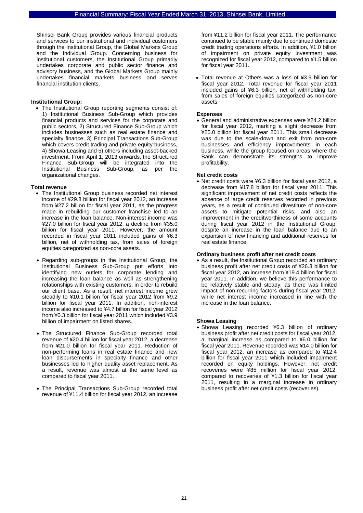Shinsei Bank Group provides various financial products and services to our institutional and individual customers through the Institutional Group, the Global Markets Group and the Individual Group. Concerning business for institutional customers, the Institutional Group primarily undertakes corporate and public sector finance and advisory business, and the Global Markets Group mainly undertakes financial markets business and serves financial institution clients.

#### **Institutional Group:**

• The Institutional Group reporting segments consist of: 1) Institutional Business Sub-Group which provides financial products and services for the corporate and public sectors, 2) Structured Finance Sub-Group which includes businesses such as real estate finance and specialty finance, 3) Principal Transactions Sub-Group which covers credit trading and private equity business, 4) Showa Leasing and 5) others including asset-backed investment. From April 1, 2013 onwards, the Structured Finance Sub-Group will be integrated into the Institutional Business Sub-Group, as per the Institutional Business organizational changes.

#### **Total revenue**

- The Institutional Group business recorded net interest income of ¥29.8 billion for fiscal year 2012, an increase from ¥27.2 billion for fiscal year 2011, as the progress made in rebuilding our customer franchise led to an increase in the loan balance. Non-interest income was ¥27.0 billion for fiscal year 2012, a decline from ¥35.0 billion for fiscal year 2011. However, the amount recorded in fiscal year 2011 included gains of ¥6.3 billion, net of withholding tax, from sales of foreign equities categorized as non-core assets.
- Regarding sub-groups in the Institutional Group, the Institutional Business Sub-Group put efforts into identifying new outlets for corporate lending and increasing the loan balance as well as strengthening relationships with existing customers, in order to rebuild our client base. As a result, net interest income grew steadily to ¥10.1 billion for fiscal year 2012 from ¥9.2 billion for fiscal year 2011. In addition, non-interest income also increased to ¥4.7 billion for fiscal year 2012 from ¥0.3 billion for fiscal year 2011 which included ¥3.9 billion of impairment on listed shares.
- The Structured Finance Sub-Group recorded total revenue of ¥20.4 billion for fiscal year 2012, a decrease from ¥21.0 billion for fiscal year 2011. Reduction of non-performing loans in real estate finance and new loan disbursements in specialty finance and other businesses led to higher quality asset replacement. As a result, revenue was almost at the same level as compared to fiscal year 2011.
- The Principal Transactions Sub-Group recorded total revenue of ¥11.4 billion for fiscal year 2012, an increase

from ¥11.2 billion for fiscal year 2011. The performance continued to be stable mainly due to continued domestic credit trading operations efforts. In addition, ¥1.0 billion of impairment on private equity investment was recognized for fiscal year 2012, compared to ¥1.5 billion for fiscal year 2011.

• Total revenue at Others was a loss of ¥3.9 billion for fiscal year 2012. Total revenue for fiscal year 2011 included gains of ¥6.3 billion, net of withholding tax, from sales of foreign equities categorized as non-core assets.

### **Expenses**

• General and administrative expenses were ¥24.2 billion for fiscal year 2012, marking a slight decrease from ¥25.0 billion for fiscal year 2011. This small decrease was due to the scale-down and exit from non-core businesses and efficiency improvements in each business, while the group focused on areas where the Bank can demonstrate its strengths to improve profitability.

#### **Net credit costs**

• Net credit costs were ¥6.3 billion for fiscal year 2012, a decrease from ¥17.8 billion for fiscal year 2011. This significant improvement of net credit costs reflects the absence of large credit reserves recorded in previous years, as a result of continued divestiture of non-core assets to mitigate potential risks, and also an improvement in the creditworthiness of some accounts during fiscal year 2012 in the Institutional Group, despite an increase in the loan balance due to an expansion of new financing and additional reserves for real estate finance.

#### **Ordinary business profit after net credit costs**

• As a result, the Institutional Group recorded an ordinary business profit after net credit costs of ¥26.3 billion for fiscal year 2012, an increase from ¥19.4 billion for fiscal year 2011. In addition, we believe this performance to be relatively stable and steady, as there was limited impact of non-recurring factors during fiscal year 2012, while net interest income increased in line with the increase in the loan balance.

#### **Showa Leasing**

• Showa Leasing recorded ¥6.3 billion of ordinary business profit after net credit costs for fiscal year 2012, a marginal increase as compared to ¥6.0 billion for fiscal year 2011. Revenue recorded was ¥14.0 billion for fiscal year 2012, an increase as compared to ¥12.4 billion for fiscal year 2011 which included impairment recorded on equity holdings. However, net credit recoveries were ¥85 million for fiscal year 2012, compared to recoveries of ¥1.3 billion for fiscal year 2011, resulting in a marginal increase in ordinary business profit after net credit costs (recoveries).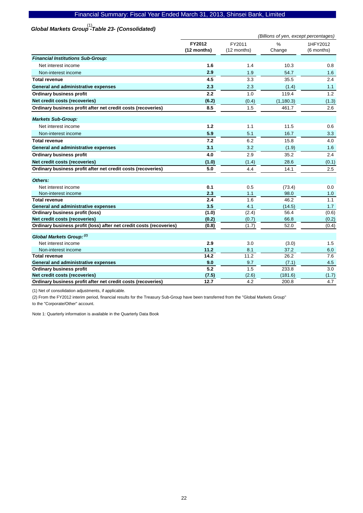# *Global Markets Group -Table 23- (Consolidated)*  (1)

|                                                                                               | (Billions of yen, except percentages) |                       |                  |                        |
|-----------------------------------------------------------------------------------------------|---------------------------------------|-----------------------|------------------|------------------------|
|                                                                                               | FY2012<br>(12 months)                 | FY2011<br>(12 months) | $\%$<br>Change   | 1HFY2012<br>(6 months) |
| <b>Financial Institutions Sub-Group:</b>                                                      |                                       |                       |                  |                        |
| Net interest income                                                                           | 1.6                                   | 1.4                   | 10.3             | 0.8                    |
| Non-interest income                                                                           | 2.9                                   | 1.9                   | 54.7             | 1.6                    |
| <b>Total revenue</b>                                                                          | 4.5                                   | 3.3                   | 35.5             | 2.4                    |
| General and administrative expenses                                                           | 2.3                                   | 2.3                   | (1.4)            | 1.1                    |
| <b>Ordinary business profit</b>                                                               | 2.2                                   | 1.0                   | 119.4            | 1.2                    |
| Net credit costs (recoveries)                                                                 | (6.2)                                 | (0.4)                 | (1, 180.3)       | (1.3)                  |
| Ordinary business profit after net credit costs (recoveries)                                  | 8.5                                   | 1.5                   | 461.7            | 2.6                    |
| <b>Markets Sub-Group:</b>                                                                     |                                       |                       |                  |                        |
| Net interest income                                                                           | 1.2                                   | 1.1                   | 11.5             | 0.6                    |
| Non-interest income                                                                           | 5.9                                   | 5.1                   | 16.7             | 3.3                    |
| <b>Total revenue</b>                                                                          | 7.2                                   | 6.2                   | 15.8             | 4.0                    |
| General and administrative expenses                                                           | 3.1                                   | 3.2                   | (1.9)            | 1.6                    |
| <b>Ordinary business profit</b>                                                               | 4.0                                   | 2.9                   | 35.2             | 2.4                    |
| Net credit costs (recoveries)                                                                 | (1.0)                                 | (1.4)                 | 28.6             | (0.1)                  |
| Ordinary business profit after net credit costs (recoveries)                                  | 5.0                                   | 4.4                   | 14.1             | 2.5                    |
| Others:                                                                                       |                                       |                       |                  |                        |
| Net interest income                                                                           | 0.1                                   | 0.5                   | (73.4)           | 0.0                    |
| Non-interest income                                                                           | 2.3                                   | 1.1                   | 98.0             | 1.0                    |
| <b>Total revenue</b>                                                                          | 2.4                                   | 1.6                   | 46.2             | 1.1                    |
| General and administrative expenses                                                           | 3.5                                   | 4.1                   | (14.5)           | 1.7                    |
| Ordinary business profit (loss)                                                               | (1.0)                                 | (2.4)                 | 56.4             | (0.6)                  |
| Net credit costs (recoveries)                                                                 | (0.2)                                 | (0.7)                 | 66.8             | (0.2)                  |
| Ordinary business profit (loss) after net credit costs (recoveries)                           | (0.8)                                 | (1.7)                 | 52.0             | (0.4)                  |
| Global Markets Group: (2)                                                                     |                                       |                       |                  |                        |
| Net interest income                                                                           | 2.9                                   | 3.0                   | (3.0)            | 1.5                    |
| Non-interest income                                                                           | 11.2                                  | 8.1                   | 37.2             | 6.0                    |
| <b>Total revenue</b>                                                                          | 14.2                                  | 11.2                  | 26.2             | 7.6                    |
| <b>General and administrative expenses</b>                                                    | 9.0<br>5.2                            | 9.7                   | (7.1)            | 4.5                    |
| <b>Ordinary business profit</b>                                                               |                                       | 1.5                   | 233.8            | 3.0                    |
| Net credit costs (recoveries)<br>Ordinary business profit after net credit costs (recoveries) | (7.5)<br>12.7                         | (2.6)<br>4.2          | (181.6)<br>200.8 | (1.7)<br>4.7           |
|                                                                                               |                                       |                       |                  |                        |

(1) Net of consolidation adjustments, if applicable.

(2) From the FY2012 interim period, financial results for the Treasury Sub-Group have been transferred from the "Global Markets Group" to the "Corporate/Other" account.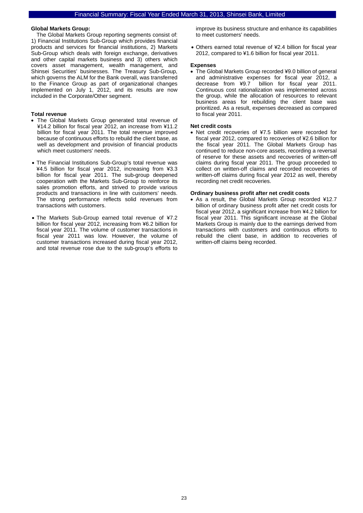#### **Global Markets Group:**

The Global Markets Group reporting segments consist of: 1) Financial Institutions Sub-Group which provides financial products and services for financial institutions, 2) Markets Sub-Group which deals with foreign exchange, derivatives and other capital markets business and 3) others which covers asset management, wealth management, and Shinsei Securities' businesses. The Treasury Sub-Group, which governs the ALM for the Bank overall, was transferred to the Finance Group as part of organizational changes implemented on July 1, 2012, and its results are now included in the Corporate/Other segment.

#### **Total revenue**

- The Global Markets Group generated total revenue of ¥14.2 billion for fiscal year 2012, an increase from ¥11.2 billion for fiscal year 2011. The total revenue improved because of continuous efforts to rebuild the client base, as well as development and provision of financial products which meet customers' needs.
- The Financial Institutions Sub-Group's total revenue was ¥4.5 billion for fiscal year 2012, increasing from ¥3.3 billion for fiscal year 2011. The sub-group deepened cooperation with the Markets Sub-Group to reinforce its sales promotion efforts, and strived to provide various products and transactions in line with customers' needs. The strong performance reflects solid revenues from transactions with customers.
- The Markets Sub-Group earned total revenue of ¥7.2 billion for fiscal year 2012, increasing from ¥6.2 billion for fiscal year 2011. The volume of customer transactions in fiscal year 2011 was low. However, the volume of customer transactions increased during fiscal year 2012, and total revenue rose due to the sub-group's efforts to

improve its business structure and enhance its capabilities to meet customers' needs.

• Others earned total revenue of ¥2.4 billion for fiscal year 2012, compared to ¥1.6 billion for fiscal year 2011.

#### **Expenses**

• The Global Markets Group recorded ¥9.0 billion of general and administrative expenses for fiscal year 2012, a billion for fiscal year 2011. Continuous cost rationalization was implemented across the group, while the allocation of resources to relevant business areas for rebuilding the client base was prioritized. As a result, expenses decreased as compared to fiscal year 2011.

#### **Net credit costs**

• Net credit recoveries of ¥7.5 billion were recorded for fiscal year 2012, compared to recoveries of ¥2.6 billion for the fiscal year 2011. The Global Markets Group has continued to reduce non-core assets, recording a reversal of reserve for these assets and recoveries of written-off claims during fiscal year 2011. The group proceeded to collect on written-off claims and recorded recoveries of written-off claims during fiscal year 2012 as well, thereby recording net credit recoveries.

#### **Ordinary business profit after net credit costs**

• As a result, the Global Markets Group recorded ¥12.7 billion of ordinary business profit after net credit costs for fiscal year 2012, a significant increase from ¥4.2 billion for fiscal year 2011. This significant increase at the Global Markets Group is mainly due to the earnings derived from transactions with customers and continuous efforts to rebuild the client base, in addition to recoveries of written-off claims being recorded.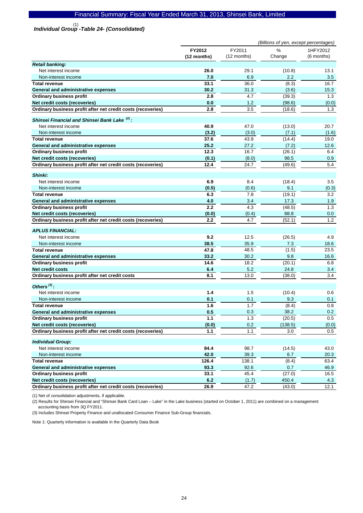# *Individual Group -Table 24- (Consolidated)*  (1)

|                                                                                               | (Billions of yen, except percentages) |              |                |              |
|-----------------------------------------------------------------------------------------------|---------------------------------------|--------------|----------------|--------------|
|                                                                                               | FY2012                                | FY2011       | %              | 1HFY2012     |
|                                                                                               | (12 months)                           | (12 months)  | Change         | $(6$ months) |
| <b>Retail banking:</b>                                                                        |                                       |              |                |              |
| Net interest income                                                                           | 26.0                                  | 29.1         | (10.8)         | 13.1         |
| Non-interest income                                                                           | 7.0                                   | 6.9          | 2.2            | 3.5          |
| <b>Total revenue</b>                                                                          | 33.1                                  | 36.0         | (8.3)          | 16.7         |
| General and administrative expenses                                                           | 30.2                                  | 31.3         | (3.6)          | 15.3         |
| <b>Ordinary business profit</b>                                                               | 2.8                                   | 4.7          | (39.3)         | 1.3          |
| Net credit costs (recoveries)                                                                 | 0.0                                   | $1.2$        | (98.6)         | (0.0)        |
| Ordinary business profit after net credit costs (recoveries)                                  | 2.8                                   | 3.5          | (18.6)         | 1.3          |
| Shinsei Financial and Shinsei Bank Lake <sup>(2)</sup> :                                      |                                       |              |                |              |
| Net interest income                                                                           | 40.9                                  | 47.0         | (13.0)         | 20.7         |
| Non-interest income                                                                           | (3.2)                                 | (3.0)        | (7.1)          | (1.6)        |
| <b>Total revenue</b>                                                                          | 37.6                                  | 43.9         | (14.4)         | 19.0         |
| General and administrative expenses                                                           | 25.2                                  | 27.2         | (7.2)          | 12.6         |
| <b>Ordinary business profit</b>                                                               | 12.3                                  | 16.7         | (26.1)         | 6.4          |
| Net credit costs (recoveries)                                                                 | (0.1)                                 | (8.0)        | 98.5           | 0.9          |
| Ordinary business profit after net credit costs (recoveries)                                  | 12.4                                  | 24.7         | (49.6)         | 5.4          |
|                                                                                               |                                       |              |                |              |
| Shinki:                                                                                       |                                       |              |                |              |
| Net interest income                                                                           | 6.9                                   | 8.4          | (18.4)         | 3.5          |
| Non-interest income                                                                           | (0.5)                                 | (0.6)        | 9.1            | (0.3)        |
| <b>Total revenue</b>                                                                          | 6.3                                   | 7.8          | (19.1)         | 3.2          |
| General and administrative expenses                                                           | 4.0<br>2.2                            | 3.4<br>4.3   | 17.3           | 1.9          |
| <b>Ordinary business profit</b>                                                               |                                       |              | (48.5)         | 1.3          |
| Net credit costs (recoveries)<br>Ordinary business profit after net credit costs (recoveries) | (0.0)<br>2.2                          | (0.4)<br>4.7 | 88.8<br>(52.1) | 0.0<br>1.2   |
|                                                                                               |                                       |              |                |              |
| <b>APLUS FINANCIAL:</b>                                                                       |                                       |              |                |              |
| Net interest income                                                                           | 9.2                                   | 12.5         | (26.5)         | 4.9          |
| Non-interest income                                                                           | 38.5                                  | 35.9         | 7.3            | 18.6         |
| <b>Total revenue</b>                                                                          | 47.8                                  | 48.5         | (1.5)          | 23.5         |
| <b>General and administrative expenses</b>                                                    | 33.2                                  | 30.2         | 9.8            | 16.6         |
| <b>Ordinary business profit</b>                                                               | 14.6                                  | 18.2         | (20.1)         | 6.8          |
| <b>Net credit costs</b>                                                                       | 6.4                                   | 5.2          | 24.8           | 3.4          |
| Ordinary business profit after net credit costs                                               | 8.1                                   | 13.0         | (38.0)         | 3.4          |
| Others $^{(3)}$ :                                                                             |                                       |              |                |              |
| Net interest income                                                                           | 1.4                                   | 1.5          | (10.4)         | 0.6          |
| Non-interest income                                                                           | 0.1                                   | 0.1          | 9.3            | 0.1          |
| <b>Total revenue</b>                                                                          | 1.6                                   | 1.7          | (8.4)          | 0.8          |
| <b>General and administrative expenses</b>                                                    | 0.5                                   | 0.3          | 38.2           | 0.2          |
| <b>Ordinary business profit</b>                                                               | 1.1                                   | 1.3          | (20.5)         | $0.5\,$      |
| Net credit costs (recoveries)                                                                 | (0.0)                                 | 0.2          | (138.5)        | (0.0)        |
| Ordinary business profit after net credit costs (recoveries)                                  | 1.1                                   | 1.1          | 3.0            | 0.5          |
| <b>Individual Group:</b>                                                                      |                                       |              |                |              |
| Net interest income                                                                           | 84.4                                  | 98.7         | (14.5)         | 43.0         |
| Non-interest income                                                                           | 42.0                                  | 39.3         | 6.7            | 20.3         |
| <b>Total revenue</b>                                                                          | 126.4                                 | 138.1        | (8.4)          | 63.4         |
| General and administrative expenses                                                           | 93.3                                  | 92.6         | 0.7            | 46.9         |
| <b>Ordinary business profit</b>                                                               | 33.1                                  | 45.4         | (27.0)         | 16.5         |
| Net credit costs (recoveries)                                                                 | 6.2                                   | (1.7)        | 450.4          | 4.3          |
| Ordinary business profit after net credit costs (recoveries)                                  | 26.9                                  | 47.2         | (43.0)         | 12.1         |
|                                                                                               |                                       |              |                |              |

(1) Net of consolidation adjustments, if applicable.

(2) Results for Shinsei Financial and "Shinsei Bank Card Loan – Lake" in the Lake business (started on October 1, 2011) are combined on a management accounting basis from 3Q FY2011.

(3) Includes Shinsei Property Finance and unallocated Consumer Finance Sub-Group financials.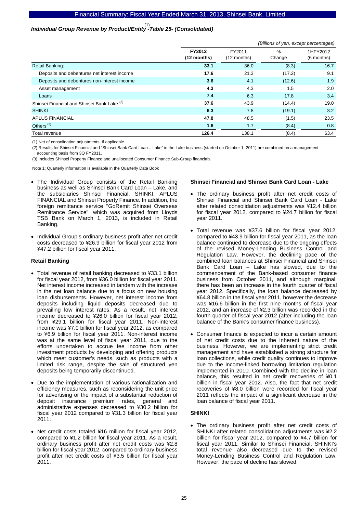# *Individual Group Revenue by Product/Entity -Table 25- (Consolidated)*  (1)

|                                             |                         |                       | (Billions of yen, except percentages) |                        |
|---------------------------------------------|-------------------------|-----------------------|---------------------------------------|------------------------|
|                                             | FY2012<br>$(12$ months) | FY2011<br>(12 months) | $\%$<br>Change                        | 1HFY2012<br>(6 months) |
| Retail Banking:                             | 33.1                    | 36.0                  | (8.3)                                 | 16.7                   |
| Deposits and debentures net interest income | 17.6                    | 21.3                  | (17.2)                                | 9.1                    |
| Deposits and debentures non-interest income | 3.6                     | 4.1                   | (12.6)                                | 1.9                    |
| Asset management                            | 4.3                     | 4.3                   | 1.5                                   | 2.0                    |
| Loans                                       | 7.4                     | 6.3                   | 17.8                                  | 3.4                    |
| Shinsei Financial and Shinsei Bank Lake (2) | 37.6                    | 43.9                  | (14.4)                                | 19.0                   |
| <b>SHINKI</b>                               | 6.3                     | 7.8                   | (19.1)                                | 3.2                    |
| <b>APLUS FINANCIAL</b>                      | 47.8                    | 48.5                  | (1.5)                                 | 23.5                   |
| Others <sup>(3)</sup>                       | 1.6                     | 1.7                   | (8.4)                                 | 0.8                    |
| Total revenue                               | 126.4                   | 138.1                 | (8.4)                                 | 63.4                   |

(1) Net of consolidation adjustments, if applicable.

(2) Results for Shinsei Financial and "Shinsei Bank Card Loan – Lake" in the Lake business (started on October 1, 2011) are combined on a management accounting basis from 3Q FY2011.

(3) Includes Shinsei Property Finance and unallocated Consumer Finance Sub-Group financials.

Note 1: Quarterly information is available in the Quarterly Data Book

- The Individual Group consists of the Retail Banking business as well as Shinsei Bank Card Loan – Lake, and the subsidiaries Shinsei Financial, SHINKI, APLUS FINANCIAL and Shinsei Property Finance. In addition, the foreign remittance service "GoRemit Shinsei Overseas Remittance Service" which was acquired from Lloyds TSB Bank on March 1, 2013, is included in Retail Banking.
- Individual Group's ordinary business profit after net credit costs decreased to ¥26.9 billion for fiscal year 2012 from ¥47.2 billion for fiscal year 2011.

#### **Retail Banking**

- Total revenue of retail banking decreased to ¥33.1 billion for fiscal year 2012, from ¥36.0 billion for fiscal year 2011. Net interest income increased in tandem with the increase in the net loan balance due to a focus on new housing loan disbursements. However, net interest income from deposits including liquid deposits decreased due to prevailing low interest rates. As a result, net interest income decreased to ¥26.0 billion for fiscal year 2012, from ¥29.1 billion for fiscal year 2011. Non-interest income was ¥7.0 billion for fiscal year 2012, as compared to ¥6.9 billion for fiscal year 2011. Non-interest income was at the same level of fiscal year 2011, due to the efforts undertaken to accrue fee income from other investment products by developing and offering products which meet customer's needs, such as products with a limited risk range, despite the sale of structured yen deposits being temporarily discontinued.
- Due to the implementation of various rationalization and efficiency measures, such as reconsidering the unit price for advertising or the impact of a substantial reduction of deposit insurance premium rates, general and administrative expenses decreased to ¥30.2 billion for fiscal year 2012 compared to ¥31.3 billion for fiscal year 2011.
- Net credit costs totaled ¥16 million for fiscal year 2012, compared to ¥1.2 billion for fiscal year 2011. As a result, ordinary business profit after net credit costs was ¥2.8 billion for fiscal year 2012, compared to ordinary business profit after net credit costs of ¥3.5 billion for fiscal year 2011.

#### **Shinsei Financial and Shinsei Bank Card Loan - Lake**

- The ordinary business profit after net credit costs of Shinsei Financial and Shinsei Bank Card Loan - Lake after related consolidation adjustments was ¥12.4 billion for fiscal year 2012, compared to ¥24.7 billion for fiscal year 2011.
- Total revenue was ¥37.6 billion for fiscal year 2012, compared to ¥43.9 billion for fiscal year 2011, as the loan balance continued to decrease due to the ongoing effects of the revised Money-Lending Business Control and Regulation Law. However, the declining pace of the combined loan balances at Shinsei Financial and Shinsei Bank Card Loan – Lake has slowed, due to the commencement of the Bank-based consumer finance business from October 2011, and although marginal, there has been an increase in the fourth quarter of fiscal year 2012. Specifically, the loan balance decreased by ¥64.8 billion in the fiscal year 2011, however the decrease was ¥16.6 billion in the first nine months of fiscal year 2012, and an increase of ¥2.3 billion was recorded in the fourth quarter of fiscal year 2012 (after including the loan balance of the Bank's consumer finance business).
- Consumer finance is expected to incur a certain amount of net credit costs due to the inherent nature of the business. However, we are implementing strict credit management and have established a strong structure for loan collections, while credit quality continues to improve due to the income-linked borrowing limitation regulation implemented in 2010. Combined with the decline in loan balance, this resulted in net credit recoveries of ¥0.1 billion in fiscal year 2012. Also, the fact that net credit recoveries of ¥8.0 billion were recorded for fiscal year 2011 reflects the impact of a significant decrease in the loan balance of fiscal year 2011.

#### **SHINKI**

The ordinary business profit after net credit costs of SHINKI after related consolidation adjustments was ¥2.2 billion for fiscal year 2012, compared to ¥4.7 billion for fiscal year 2011. Similar to Shinsei Financial, SHINKI's total revenue also decreased due to the revised Money-Lending Business Control and Regulation Law. However, the pace of decline has slowed.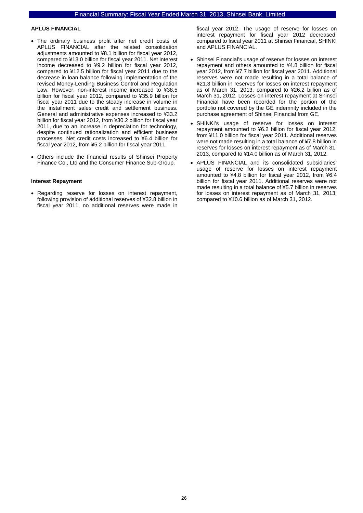#### **APLUS FINANCIAL**

- The ordinary business profit after net credit costs of APLUS FINANCIAL after the related consolidation adjustments amounted to ¥8.1 billion for fiscal year 2012, compared to ¥13.0 billion for fiscal year 2011. Net interest income decreased to ¥9.2 billion for fiscal year 2012, compared to ¥12.5 billion for fiscal year 2011 due to the decrease in loan balance following implementation of the revised Money-Lending Business Control and Regulation Law. However, non-interest income increased to ¥38.5 billion for fiscal year 2012, compared to ¥35.9 billion for fiscal year 2011 due to the steady increase in volume in the installment sales credit and settlement business. General and administrative expenses increased to ¥33.2 billion for fiscal year 2012, from ¥30.2 billion for fiscal year 2011, due to an increase in depreciation for technology, despite continued rationalization and efficient business processes. Net credit costs increased to ¥6.4 billion for fiscal year 2012, from ¥5.2 billion for fiscal year 2011.
- Others include the financial results of Shinsei Property Finance Co., Ltd and the Consumer Finance Sub-Group.

#### **Interest Repayment**

• Regarding reserve for losses on interest repayment, following provision of additional reserves of ¥32.8 billion in fiscal year 2011, no additional reserves were made in fiscal year 2012. The usage of reserve for losses on interest repayment for fiscal year 2012 decreased, compared to fiscal year 2011 at Shinsei Financial, SHINKI and APLUS FINANCIAL.

- Shinsei Financial's usage of reserve for losses on interest repayment and others amounted to ¥4.8 billion for fiscal year 2012, from ¥7.7 billion for fiscal year 2011. Additional reserves were not made resulting in a total balance of ¥21.3 billion in reserves for losses on interest repayment as of March 31, 2013, compared to ¥26.2 billion as of March 31, 2012. Losses on interest repayment at Shinsei Financial have been recorded for the portion of the portfolio not covered by the GE indemnity included in the purchase agreement of Shinsei Financial from GE.
- SHINKI's usage of reserve for losses on interest repayment amounted to ¥6.2 billion for fiscal year 2012, from ¥11.0 billion for fiscal year 2011. Additional reserves were not made resulting in a total balance of ¥7.8 billion in reserves for losses on interest repayment as of March 31, 2013, compared to ¥14.0 billion as of March 31, 2012.
- APLUS FINANCIAL and its consolidated subsidiaries' usage of reserve for losses on interest repayment amounted to ¥4.8 billion for fiscal year 2012, from ¥6.4 billion for fiscal year 2011. Additional reserves were not made resulting in a total balance of ¥5.7 billion in reserves for losses on interest repayment as of March 31, 2013, compared to ¥10.6 billion as of March 31, 2012.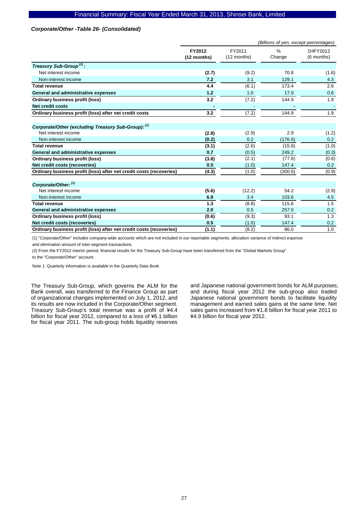#### *Corporate/Other -Table 26- (Consolidated)*

|                                                                     | (Billions of yen, except percentages) |                       |             |                        |
|---------------------------------------------------------------------|---------------------------------------|-----------------------|-------------|------------------------|
|                                                                     | FY2012<br>(12 months)                 | FY2011<br>(12 months) | %<br>Change | 1HFY2012<br>(6 months) |
| Treasury Sub-Group <sup>(2)</sup> :                                 |                                       |                       |             |                        |
| Net interest income                                                 | (2.7)                                 | (9.2)                 | 70.8        | (1.6)                  |
| Non-interest income                                                 | 7.2                                   | 3.1                   | 129.1       | 4.3                    |
| <b>Total revenue</b>                                                | 4.4                                   | (6.1)                 | 173.4       | 2.6                    |
| General and administrative expenses                                 | 1.2                                   | 1.0                   | 17.0        | 0.6                    |
| Ordinary business profit (loss)                                     | 3.2                                   | (7.2)                 | 144.9       | 1.9                    |
| <b>Net credit costs</b>                                             |                                       |                       |             |                        |
| Ordinary business profit (loss) after net credit costs              | 3.2                                   | (7.2)                 | 144.9       | 1.9                    |
| Corporate/Other (excluding Treasury Sub-Group): (1)                 |                                       |                       |             |                        |
| Net interest income                                                 | (2.8)                                 | (2.9)                 | 2.9         | (1.2)                  |
| Non-interest income                                                 | (0.2)                                 | 0.2                   | (176.6)     | 0.2                    |
| <b>Total revenue</b>                                                | (3.1)                                 | (2.6)                 | (15.6)      | (1.0)                  |
| General and administrative expenses                                 | 0.7                                   | (0.5)                 | 249.2       | (0.3)                  |
| Ordinary business profit (loss)                                     | (3.8)                                 | (2.1)                 | (77.6)      | (0.6)                  |
| Net credit costs (recoveries)                                       | 0.5                                   | (1.0)                 | 147.4       | 0.2                    |
| Ordinary business profit (loss) after net credit costs (recoveries) | (4.3)                                 | (1.0)                 | (300.6)     | (0.9)                  |
| Corporate/Other: (1)                                                |                                       |                       |             |                        |
| Net interest income                                                 | (5.6)                                 | (12.2)                | 54.2        | (2.9)                  |
| Non-interest income                                                 | 6.9                                   | 3.4                   | 103.6       | 4.5                    |
| <b>Total revenue</b>                                                | 1.3                                   | (8.8)                 | 115.6       | 1.5                    |
| General and administrative expenses                                 | 2.0                                   | 0.5                   | 257.0       | 0.2                    |
| Ordinary business profit (loss)                                     | (0.6)                                 | (9.3)                 | 93.1        | 1.3                    |
| Net credit costs (recoveries)                                       | 0.5                                   | (1.0)                 | 147.4       | 0.2                    |
| Ordinary business profit (loss) after net credit costs (recoveries) | (1.1)                                 | (8.2)                 | 86.0        | 1.0                    |

(1) "Corporate/Other" includes company-wide accounts which are not included in our reportable segments, allocation variance of indirect expense

and elimination amount of inter-segment transactions.

(2) From the FY2012 interim period, financial results for the Treasury Sub-Group have been transferred from the "Global Markets Group"

to the "Corporate/Other" account.

Note 1: Quarterly information is available in the Quarterly Data Book

The Treasury Sub-Group, which governs the ALM for the Bank overall, was transferred to the Finance Group as part of organizational changes implemented on July 1, 2012, and its results are now included in the Corporate/Other segment. Treasury Sub-Group's total revenue was a profit of ¥4.4 billion for fiscal year 2012, compared to a loss of ¥6.1 billion for fiscal year 2011. The sub-group holds liquidity reserves

and Japanese national government bonds for ALM purposes, and during fiscal year 2012 the sub-group also traded Japanese national government bonds to facilitate liquidity management and earned sales gains at the same time. Net sales gains increased from ¥1.8 billion for fiscal year 2011 to ¥4.9 billion for fiscal year 2012.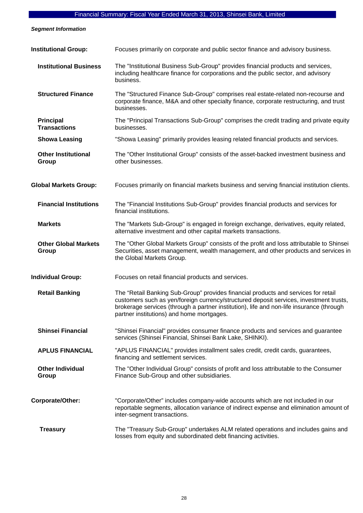*Segment Information* 

| <b>Institutional Group:</b>             | Focuses primarily on corporate and public sector finance and advisory business.                                                                                                                                                                                                                                       |
|-----------------------------------------|-----------------------------------------------------------------------------------------------------------------------------------------------------------------------------------------------------------------------------------------------------------------------------------------------------------------------|
| <b>Institutional Business</b>           | The "Institutional Business Sub-Group" provides financial products and services,<br>including healthcare finance for corporations and the public sector, and advisory<br>business.                                                                                                                                    |
| <b>Structured Finance</b>               | The "Structured Finance Sub-Group" comprises real estate-related non-recourse and<br>corporate finance, M&A and other specialty finance, corporate restructuring, and trust<br>businesses.                                                                                                                            |
| <b>Principal</b><br><b>Transactions</b> | The "Principal Transactions Sub-Group" comprises the credit trading and private equity<br>businesses.                                                                                                                                                                                                                 |
| <b>Showa Leasing</b>                    | "Showa Leasing" primarily provides leasing related financial products and services.                                                                                                                                                                                                                                   |
| <b>Other Institutional</b><br>Group     | The "Other Institutional Group" consists of the asset-backed investment business and<br>other businesses.                                                                                                                                                                                                             |
| <b>Global Markets Group:</b>            | Focuses primarily on financial markets business and serving financial institution clients.                                                                                                                                                                                                                            |
| <b>Financial Institutions</b>           | The "Financial Institutions Sub-Group" provides financial products and services for<br>financial institutions.                                                                                                                                                                                                        |
| <b>Markets</b>                          | The "Markets Sub-Group" is engaged in foreign exchange, derivatives, equity related,<br>alternative investment and other capital markets transactions.                                                                                                                                                                |
| <b>Other Global Markets</b><br>Group    | The "Other Global Markets Group" consists of the profit and loss attributable to Shinsei<br>Securities, asset management, wealth management, and other products and services in<br>the Global Markets Group.                                                                                                          |
| <b>Individual Group:</b>                | Focuses on retail financial products and services.                                                                                                                                                                                                                                                                    |
| <b>Retail Banking</b>                   | The "Retail Banking Sub-Group" provides financial products and services for retail<br>customers such as yen/foreign currency/structured deposit services, investment trusts,<br>brokerage services (through a partner institution), life and non-life insurance (through<br>partner institutions) and home mortgages. |
| <b>Shinsei Financial</b>                | "Shinsei Financial" provides consumer finance products and services and guarantee<br>services (Shinsei Financial, Shinsei Bank Lake, SHINKI).                                                                                                                                                                         |
| <b>APLUS FINANCIAL</b>                  | "APLUS FINANCIAL" provides installment sales credit, credit cards, guarantees,<br>financing and settlement services.                                                                                                                                                                                                  |
| <b>Other Individual</b><br>Group        | The "Other Individual Group" consists of profit and loss attributable to the Consumer<br>Finance Sub-Group and other subsidiaries.                                                                                                                                                                                    |
| Corporate/Other:                        | "Corporate/Other" includes company-wide accounts which are not included in our<br>reportable segments, allocation variance of indirect expense and elimination amount of<br>inter-segment transactions.                                                                                                               |
| <b>Treasury</b>                         | The "Treasury Sub-Group" undertakes ALM related operations and includes gains and<br>losses from equity and subordinated debt financing activities.                                                                                                                                                                   |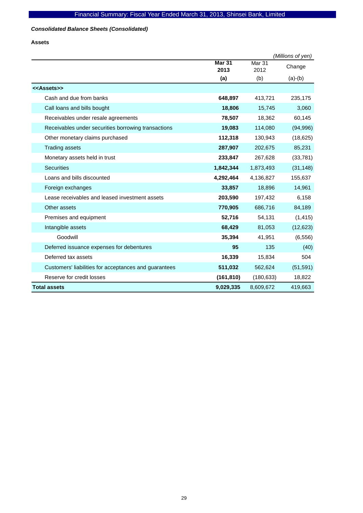### *Consolidated Balance Sheets (Consolidated)*

**Assets** 

|                                                       |                       |                | (Millions of yen) |
|-------------------------------------------------------|-----------------------|----------------|-------------------|
|                                                       | <b>Mar 31</b><br>2013 | Mar 31<br>2012 | Change            |
|                                                       | (a)                   | (b)            | $(a)-(b)$         |
| < <assets>&gt;</assets>                               |                       |                |                   |
| Cash and due from banks                               | 648,897               | 413,721        | 235,175           |
| Call loans and bills bought                           | 18,806                | 15,745         | 3,060             |
| Receivables under resale agreements                   | 78,507                | 18,362         | 60,145            |
| Receivables under securities borrowing transactions   | 19,083                | 114,080        | (94, 996)         |
| Other monetary claims purchased                       | 112,318               | 130,943        | (18, 625)         |
| <b>Trading assets</b>                                 | 287,907               | 202,675        | 85,231            |
| Monetary assets held in trust                         | 233,847               | 267,628        | (33, 781)         |
| <b>Securities</b>                                     | 1,842,344             | 1,873,493      | (31, 148)         |
| Loans and bills discounted                            | 4,292,464             | 4,136,827      | 155,637           |
| Foreign exchanges                                     | 33,857                | 18,896         | 14,961            |
| Lease receivables and leased investment assets        | 203,590               | 197,432        | 6,158             |
| Other assets                                          | 770,905               | 686,716        | 84,189            |
| Premises and equipment                                | 52,716                | 54,131         | (1, 415)          |
| Intangible assets                                     | 68,429                | 81,053         | (12, 623)         |
| Goodwill                                              | 35,394                | 41,951         | (6, 556)          |
| Deferred issuance expenses for debentures             | 95                    | 135            | (40)              |
| Deferred tax assets                                   | 16,339                | 15,834         | 504               |
| Customers' liabilities for acceptances and guarantees | 511,032               | 562,624        | (51, 591)         |
| Reserve for credit losses                             | (161, 810)            | (180, 633)     | 18,822            |
| <b>Total assets</b>                                   | 9,029,335             | 8,609,672      | 419,663           |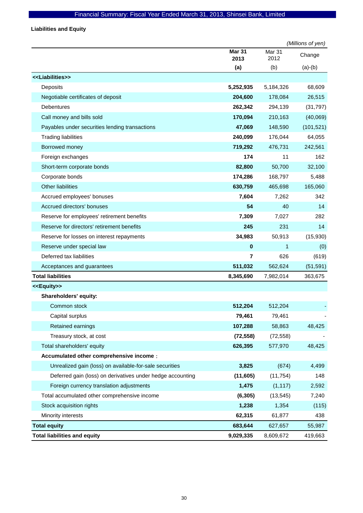**Liabilities and Equity** 

|                                                            |                       |                | (Millions of yen) |
|------------------------------------------------------------|-----------------------|----------------|-------------------|
|                                                            | <b>Mar 31</b><br>2013 | Mar 31<br>2012 | Change            |
|                                                            | (a)                   | (b)            | $(a)-(b)$         |
| < <liabilities>&gt;</liabilities>                          |                       |                |                   |
| Deposits                                                   | 5,252,935             | 5,184,326      | 68,609            |
| Negotiable certificates of deposit                         | 204,600               | 178,084        | 26,515            |
| <b>Debentures</b>                                          | 262,342               | 294,139        | (31, 797)         |
| Call money and bills sold                                  | 170,094               | 210,163        | (40,069)          |
| Payables under securities lending transactions             | 47,069                | 148,590        | (101, 521)        |
| <b>Trading liabilities</b>                                 | 240,099               | 176,044        | 64,055            |
| Borrowed money                                             | 719,292               | 476,731        | 242,561           |
| Foreign exchanges                                          | 174                   | 11             | 162               |
| Short-term corporate bonds                                 | 82,800                | 50,700         | 32,100            |
| Corporate bonds                                            | 174,286               | 168,797        | 5,488             |
| <b>Other liabilities</b>                                   | 630,759               | 465,698        | 165,060           |
| Accrued employees' bonuses                                 | 7,604                 | 7,262          | 342               |
| Accrued directors' bonuses                                 | 54                    | 40             | 14                |
| Reserve for employees' retirement benefits                 | 7,309                 | 7,027          | 282               |
| Reserve for directors' retirement benefits                 | 245                   | 231            | 14                |
| Reserve for losses on interest repayments                  | 34,983                | 50,913         | (15,930)          |
| Reserve under special law                                  | $\pmb{0}$             | 1              | (0)               |
| Deferred tax liabilities                                   | $\overline{7}$        | 626            | (619)             |
| Acceptances and guarantees                                 | 511,032               | 562,624        | (51, 591)         |
| <b>Total liabilities</b>                                   | 8,345,690             | 7,982,014      | 363,675           |
| < <equity>&gt;</equity>                                    |                       |                |                   |
| Shareholders' equity:                                      |                       |                |                   |
| Common stock                                               | 512,204               | 512,204        |                   |
| Capital surplus                                            | 79,461                | 79,461         |                   |
| Retained earnings                                          | 107,288               | 58,863         | 48,425            |
| Treasury stock, at cost                                    | (72, 558)             | (72, 558)      |                   |
| Total shareholders' equity                                 | 626,395               | 577,970        | 48,425            |
| Accumulated other comprehensive income :                   |                       |                |                   |
| Unrealized gain (loss) on available-for-sale securities    | 3,825                 | (674)          | 4,499             |
| Deferred gain (loss) on derivatives under hedge accounting | (11,605)              | (11, 754)      | 148               |
| Foreign currency translation adjustments                   | 1,475                 | (1, 117)       | 2,592             |
| Total accumulated other comprehensive income               | (6, 305)              | (13, 545)      | 7,240             |
| Stock acquisition rights                                   | 1,238                 | 1,354          | (115)             |
| Minority interests                                         | 62,315                | 61,877         | 438               |
| <b>Total equity</b>                                        | 683,644               | 627,657        | 55,987            |
| <b>Total liabilities and equity</b>                        | 9,029,335             | 8,609,672      | 419,663           |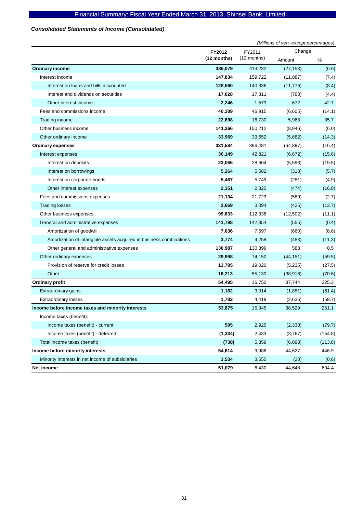### *Consolidated Statements of Income (Consolidated)*

|                                                                     |             |               | (Millions of yen, except percentages) |         |
|---------------------------------------------------------------------|-------------|---------------|---------------------------------------|---------|
|                                                                     | FY2012      | FY2011        | Change                                |         |
|                                                                     | (12 months) | $(12$ months) | Amount                                | %       |
| <b>Ordinary income</b>                                              | 386,079     | 413,232       | (27, 153)                             | (6.6)   |
| Interest income                                                     | 147,834     | 159,722       | (11, 887)                             | (7.4)   |
| Interest on loans and bills discounted                              | 128,560     | 140,336       | (11, 776)                             | (8.4)   |
| Interest and dividends on securities                                | 17,028      | 17,811        | (783)                                 | (4.4)   |
| Other interest income                                               | 2,246       | 1,573         | 672                                   | 42.7    |
| Fees and commissions income                                         | 40,309      | 46,915        | (6,605)                               | (14.1)  |
| Trading income                                                      | 22,698      | 16,730        | 5,968                                 | 35.7    |
| Other business income                                               | 141,266     | 150,212       | (8,946)                               | (6.0)   |
| Other ordinary income                                               | 33,969      | 39,652        | (5,682)                               | (14.3)  |
| <b>Ordinary expenses</b>                                            | 331,584     | 396,481       | (64, 897)                             | (16.4)  |
| Interest expenses                                                   | 36,149      | 42,821        | (6,672)                               | (15.6)  |
| Interest on deposits                                                | 23,066      | 28,664        | (5,598)                               | (19.5)  |
| Interest on borrowings                                              | 5,264       | 5,582         | (318)                                 | (5.7)   |
| Interest on corporate bonds                                         | 5,467       | 5,749         | (281)                                 | (4.9)   |
| Other interest expenses                                             | 2,351       | 2,825         | (474)                                 | (16.8)  |
| Fees and commissions expenses                                       | 21,134      | 21,723        | (589)                                 | (2.7)   |
| <b>Trading losses</b>                                               | 2,669       | 3,094         | (425)                                 | (13.7)  |
| Other business expenses                                             | 99,833      | 112,336       | (12,502)                              | (11.1)  |
| General and administrative expenses                                 | 141,798     | 142,354       | (555)                                 | (0.4)   |
| Amortization of goodwill                                            | 7,036       | 7,697         | (660)                                 | (8.6)   |
| Amortization of intangible assets acquired in business combinations | 3,774       | 4,258         | (483)                                 | (11.3)  |
| Other general and administrative expenses                           | 130,987     | 130,399       | 588                                   | 0.5     |
| Other ordinary expenses                                             | 29,998      | 74,150        | (44, 151)                             | (59.5)  |
| Provision of reserve for credit losses                              | 13,785      | 19,020        | (5,235)                               | (27.5)  |
| Other                                                               | 16,213      | 55,130        | (38, 916)                             | (70.6)  |
| <b>Ordinary profit</b>                                              | 54,495      | 16,750        | 37,744                                | 225.3   |
| Extraordinary gains                                                 | 1,162       | 3,014         | (1,851)                               | (61.4)  |
| <b>Extraordinary losses</b>                                         | 1,782       | 4,419         | (2,636)                               | (59.7)  |
| Income before income taxes and minority interests                   | 53,875      | 15,345        | 38,529                                | 251.1   |
| Income taxes (benefit):                                             |             |               |                                       |         |
| Income taxes (benefit) - current                                    | 595         | 2,925         | (2, 330)                              | (79.7)  |
| Income taxes (benefit) - deferred                                   | (1, 334)    | 2,433         | (3,767)                               | (154.8) |
| Total income taxes (benefit)                                        | (738)       | 5,359         | (6,098)                               | (113.8) |
| Income before minority interests                                    | 54,614      | 9,986         | 44,627                                | 446.9   |
| Minority interests in net income of subsidiaries                    | 3,534       | 3,555         | (20)                                  | (0.6)   |
| Net income                                                          | 51,079      | 6,430         | 44,648                                | 694.4   |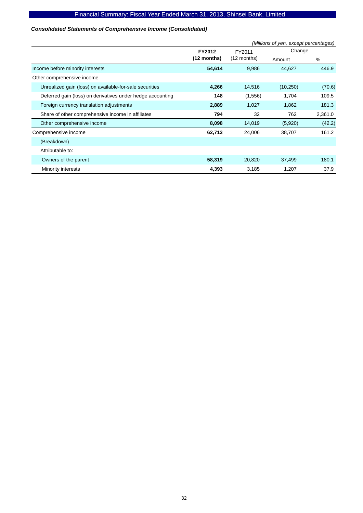### *Consolidated Statements of Comprehensive Income (Consolidated)*

|                                                            |               | (Millions of yen, except percentages) |           |         |  |  |
|------------------------------------------------------------|---------------|---------------------------------------|-----------|---------|--|--|
|                                                            | <b>FY2012</b> | FY2011                                | Change    |         |  |  |
|                                                            | $(12$ months) | $(12$ months)                         | Amount    | %       |  |  |
| Income before minority interests                           | 54,614        | 9,986                                 | 44,627    | 446.9   |  |  |
| Other comprehensive income                                 |               |                                       |           |         |  |  |
| Unrealized gain (loss) on available-for-sale securities    | 4,266         | 14,516                                | (10, 250) | (70.6)  |  |  |
| Deferred gain (loss) on derivatives under hedge accounting | 148           | (1,556)                               | 1,704     | 109.5   |  |  |
| Foreign currency translation adjustments                   | 2,889         | 1,027                                 | 1,862     | 181.3   |  |  |
| Share of other comprehensive income in affiliates          | 794           | 32                                    | 762       | 2,361.0 |  |  |
| Other comprehensive income                                 | 8,098         | 14,019                                | (5,920)   | (42.2)  |  |  |
| Comprehensive income                                       | 62,713        | 24,006                                | 38,707    | 161.2   |  |  |
| (Breakdown)                                                |               |                                       |           |         |  |  |
| Attributable to:                                           |               |                                       |           |         |  |  |
| Owners of the parent                                       | 58,319        | 20,820                                | 37,499    | 180.1   |  |  |
| Minority interests                                         | 4,393         | 3,185                                 | 1,207     | 37.9    |  |  |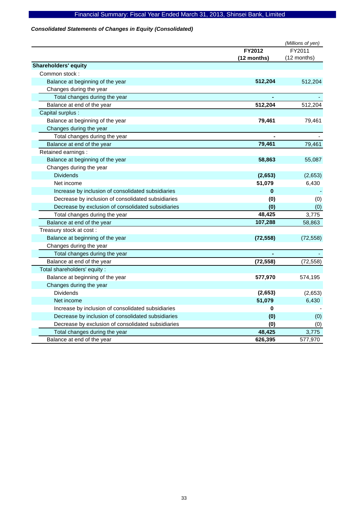### *Consolidated Statements of Changes in Equity (Consolidated)*

|                                                    |             | (Millions of yen) |
|----------------------------------------------------|-------------|-------------------|
|                                                    | FY2012      | FY2011            |
|                                                    | (12 months) | (12 months)       |
| <b>Shareholders' equity</b>                        |             |                   |
| Common stock:                                      |             |                   |
| Balance at beginning of the year                   | 512,204     | 512,204           |
| Changes during the year                            |             |                   |
| Total changes during the year                      |             |                   |
| Balance at end of the year                         | 512,204     | 512,204           |
| Capital surplus :                                  |             |                   |
| Balance at beginning of the year                   | 79,461      | 79,461            |
| Changes during the year                            |             |                   |
| Total changes during the year                      |             |                   |
| Balance at end of the year                         | 79,461      | 79,461            |
| Retained earnings :                                |             |                   |
| Balance at beginning of the year                   | 58,863      | 55,087            |
| Changes during the year                            |             |                   |
| <b>Dividends</b>                                   | (2,653)     | (2,653)           |
| Net income                                         | 51,079      | 6,430             |
| Increase by inclusion of consolidated subsidiaries | $\bf{0}$    |                   |
| Decrease by inclusion of consolidated subsidiaries | (0)         | (0)               |
| Decrease by exclusion of consolidated subsidiaries | (0)         | (0)               |
| Total changes during the year                      | 48,425      | 3,775             |
| Balance at end of the year                         | 107,288     | 58,863            |
| Treasury stock at cost:                            |             |                   |
| Balance at beginning of the year                   | (72, 558)   | (72, 558)         |
| Changes during the year                            |             |                   |
| Total changes during the year                      |             |                   |
| Balance at end of the year                         | (72, 558)   | (72, 558)         |
| Total shareholders' equity :                       |             |                   |
| Balance at beginning of the year                   | 577,970     | 574,195           |
| Changes during the year                            |             |                   |
| <b>Dividends</b>                                   | (2,653)     | (2,653)           |
| Net income                                         | 51,079      | 6,430             |
| Increase by inclusion of consolidated subsidiaries | 0           |                   |
| Decrease by inclusion of consolidated subsidiaries | (0)         | (0)               |
| Decrease by exclusion of consolidated subsidiaries | (0)         | (0)               |
| Total changes during the year                      | 48,425      | 3,775             |
| Balance at end of the year                         | 626,395     | 577,970           |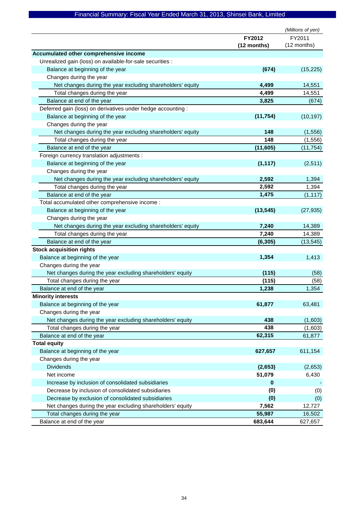|                                                              |             | (Millions of yen) |
|--------------------------------------------------------------|-------------|-------------------|
|                                                              | FY2012      | FY2011            |
|                                                              | (12 months) | (12 months)       |
| Accumulated other comprehensive income                       |             |                   |
| Unrealized gain (loss) on available-for-sale securities :    |             |                   |
| Balance at beginning of the year                             | (674)       | (15, 225)         |
| Changes during the year                                      |             |                   |
| Net changes during the year excluding shareholders' equity   | 4,499       | 14,551            |
| Total changes during the year                                | 4,499       | 14,551            |
| Balance at end of the year                                   | 3,825       | (674)             |
| Deferred gain (loss) on derivatives under hedge accounting : |             |                   |
| Balance at beginning of the year                             | (11, 754)   | (10, 197)         |
| Changes during the year                                      |             |                   |
| Net changes during the year excluding shareholders' equity   | 148         | (1, 556)          |
| Total changes during the year                                | 148         | (1, 556)          |
| Balance at end of the year                                   | (11, 605)   | (11, 754)         |
| Foreign currency translation adjustments :                   |             |                   |
| Balance at beginning of the year                             | (1, 117)    | (2,511)           |
| Changes during the year                                      |             |                   |
| Net changes during the year excluding shareholders' equity   | 2,592       | 1,394             |
| Total changes during the year                                | 2,592       | 1,394             |
| Balance at end of the year                                   | 1,475       | (1, 117)          |
| Total accumulated other comprehensive income :               |             |                   |
| Balance at beginning of the year                             | (13, 545)   | (27, 935)         |
| Changes during the year                                      |             |                   |
| Net changes during the year excluding shareholders' equity   | 7,240       | 14,389            |
| Total changes during the year                                | 7,240       | 14,389            |
| Balance at end of the year                                   | (6, 305)    | (13, 545)         |
| <b>Stock acquisition rights</b>                              |             |                   |
| Balance at beginning of the year                             | 1,354       | 1,413             |
| Changes during the year                                      |             |                   |
| Net changes during the year excluding shareholders' equity   | (115)       | (58)              |
| Total changes during the year                                | (115)       | (58)              |
| Balance at end of the year                                   | 1,238       | 1,354             |
| <b>Minority interests</b>                                    |             |                   |
| Balance at beginning of the year                             | 61,877      | 63,481            |
| Changes during the year                                      |             |                   |
| Net changes during the year excluding shareholders' equity   | 438         | (1,603)           |
| Total changes during the year                                | 438         | (1,603)           |
| Balance at end of the year                                   | 62,315      | 61,877            |
| <b>Total equity</b>                                          |             |                   |
| Balance at beginning of the year                             | 627,657     | 611,154           |
| Changes during the year                                      |             |                   |
| <b>Dividends</b>                                             | (2,653)     | (2,653)           |
| Net income                                                   | 51,079      | 6,430             |
| Increase by inclusion of consolidated subsidiaries           | 0           |                   |
| Decrease by inclusion of consolidated subsidiaries           | (0)         | (0)               |
| Decrease by exclusion of consolidated subsidiaries           | (0)         | (0)               |
| Net changes during the year excluding shareholders' equity   | 7,562       | 12,727            |
| Total changes during the year                                | 55,987      | 16,502            |
| Balance at end of the year                                   | 683,644     | 627,657           |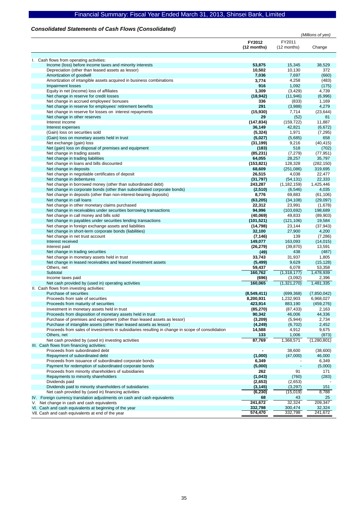### *Consolidated Statements of Cash Flows (Consolidated)*

|                                                                                                                                        | (Millions of yen)     |                           |                     |
|----------------------------------------------------------------------------------------------------------------------------------------|-----------------------|---------------------------|---------------------|
|                                                                                                                                        | FY2012<br>(12 months) | FY2011<br>$(12$ months)   | Change              |
|                                                                                                                                        |                       |                           |                     |
| I. Cash flows from operating activities:<br>Income (loss) before income taxes and minority interests                                   | 53.875                | 15,345                    | 38,529              |
| Depreciation (other than leased assets as lessor)                                                                                      | 10,502                | 10,130                    | 372                 |
| Amortization of goodwill                                                                                                               | 7,036                 | 7,697                     | (660)               |
| Amortization of intangible assets acquired in business combinations                                                                    | 3,774                 | 4,258                     | (483)               |
| Impairment losses                                                                                                                      | 916                   | 1,092                     | (175)               |
| Equity in net (income) loss of affiliates                                                                                              | 1,309                 | (3, 429)                  | 4,739               |
| Net change in reserve for credit losses                                                                                                | (18, 942)             | (11, 946)                 | (6,996)             |
| Net change in accrued employees' bonuses                                                                                               | 336                   | (833)                     | 1,169               |
| Net change in reserve for employees' retirement benefits                                                                               | 291                   | (3,988)                   | 4,279               |
| Net change in reserve for losses on interest repayments                                                                                | (15,930)              | 7,714                     | (23, 644)           |
| Net change in other reserves<br>Interest income                                                                                        | 29                    | (52)                      | 81<br>11,887        |
| Interest expenses                                                                                                                      | (147, 834)<br>36,149  | (159, 722)<br>42,821      | (6, 672)            |
| (Gain) loss on securities sold                                                                                                         | (5, 324)              | 1,971                     | (7, 295)            |
| (Gain) loss on monetary assets held in trust                                                                                           | (5,027)               | (5,685)                   | 658                 |
| Net exchange (gain) loss                                                                                                               | (31, 199)             | 9,216                     | (40, 415)           |
| Net (gain) loss on disposal of premises and equipment                                                                                  | (183)                 | 518                       | (702)               |
| Net change in trading assets                                                                                                           | (85, 231)             | (7, 279)                  | (77, 951)           |
| Net change in trading liabilities                                                                                                      | 64,055                | 28,257                    | 35,797              |
| Net change in loans and bills discounted                                                                                               | (153, 821)            | 128,328                   | (282, 150)          |
| Net change in deposits                                                                                                                 | 68,609                | (251,086)                 | 319,695             |
| Net change in negotiable certificates of deposit                                                                                       | 26,515                | 4,038                     | 22,477              |
| Net change in debentures                                                                                                               | (31, 797)<br>243,287  | (54, 131)                 | 22,333<br>1,425,446 |
| Net change in borrowed money (other than subordinated debt)<br>Net change in corporate bonds (other than subordinated corporate bonds) | (2,510)               | (1, 182, 159)<br>(6, 546) | 4,035               |
| Net change in deposits (other than non-interest-bearing deposits)                                                                      | 8,776                 | 69,883                    | (61, 106)           |
| Net change in call loans                                                                                                               | (63, 205)             | (34, 108)                 | (29,097)            |
| Net change in other monetary claims purchased                                                                                          | 22,312                | 23,991                    | (1,678)             |
| Net change in receivables under securities borrowing transactions                                                                      | 94,996                | (103, 692)                | 198,689             |
| Net change in call money and bills sold                                                                                                | (40,069)              | 49,833                    | (89,903)            |
| Net change in payables under securities lending transactions                                                                           | (101, 521)            | (121, 106)                | 19,584              |
| Net change in foreign exchange assets and liabilities                                                                                  | (14, 798)             | 23,144                    | (37, 943)           |
| Net change in short-term corporate bonds (liabilities)                                                                                 | 32,100                | 27,900                    | 4,200               |
| Net change in net trust account                                                                                                        | (7, 146)              | 139                       | (7, 286)            |
| Interest received                                                                                                                      | 149,077               | 163,093                   | (14, 015)           |
| Interest paid<br>Net change in trading securities                                                                                      | (26, 279)<br>(49)     | (39, 870)<br>438          | 13,591<br>(487)     |
| Net change in monetary assets held in trust                                                                                            | 33,743                | 31,937                    | 1,805               |
| Net change in leased receivables and leased investment assets                                                                          | (5, 499)              | 9,629                     | (15, 128)           |
| Others, net                                                                                                                            | 59,437                | 6,078                     | 53,358              |
| Subtotal                                                                                                                               | 160,762               | (1,318,177)               | 1,478,939           |
| Income taxes paid                                                                                                                      | (696)                 | (3,092)                   | 2,396               |
| Net cash provided by (used in) operating activities                                                                                    | 160,065               | (1,321,270)               | 1,481,335           |
| II. Cash flows from investing activities:                                                                                              |                       |                           |                     |
| Purchase of securities                                                                                                                 | (8,549,411)           | (699, 368)                | (7,850,042)         |
| Proceeds from sale of securities                                                                                                       | 8,200,931             | 1,232,903                 | 6,968,027           |
| Proceeds from maturity of securities                                                                                                   | 423,914               | 883,190                   | (459, 276)          |
| Investment in monetary assets held in trust<br>Proceeds from disposition of monetary assets held in trust                              | (85, 270)<br>90,342   | (87, 433)<br>46,006       | 2,163<br>44,336     |
| Purchase of premises and equipment (other than leased assets as lessor)                                                                | (3,209)               | (5,944)                   | 2,734               |
| Purchase of intangible assets (other than leased assets as lessor)                                                                     | (4,249)               | (6, 702)                  | 2,452               |
| Proceeds from sales of investments in subsidiaries resulting in change in scope of consolidation                                       | 14,588                | 4,912                     | 9,675               |
| Others, net                                                                                                                            | 133                   | 1,006                     | (873)               |
| Net cash provided by (used in) investing activities                                                                                    | 87,769                | 1,368,571                 | (1,280,801)         |
| III. Cash flows from financing activities:                                                                                             |                       |                           |                     |
| Proceeds from subordinated debt                                                                                                        | $\blacksquare$        | 38,600                    | (38,600)            |
| Repayment of subordinated debt                                                                                                         | (1,000)               | (47,000)                  | 46,000              |
| Proceeds from issuance of subordinated corporate bonds                                                                                 | 6,349                 |                           | 6,349               |
| Payment for redemption of subordinated corporate bonds                                                                                 | (5,000)               |                           | (5,000)             |
| Proceeds from minority shareholders of subsidiaries                                                                                    | 262                   | 91                        | 171                 |
| Repayments to minority shareholders<br>Dividends paid                                                                                  | (1,043)<br>(2,653)    | (760)<br>(2,653)          | (283)               |
| Dividends paid to minority shareholders of subsidiaries                                                                                | (3, 145)              | (3,297)                   | 151                 |
| Net cash provided by (used in) financing activities                                                                                    | (6, 230)              | (15,019)                  | 8,788               |
| IV. Foreign currency translation adjustments on cash and cash equivalents                                                              | 68                    | 43                        | 25                  |
| V. Net change in cash and cash equivalents                                                                                             | 241,672               | 32,324                    | 209,347             |
| VI. Cash and cash equivalents at beginning of the year                                                                                 | 332,798               | 300,474                   | 32,324              |
| VII. Cash and cash equivalents at end of the year                                                                                      | 574,470               | 332,798                   | 241,672             |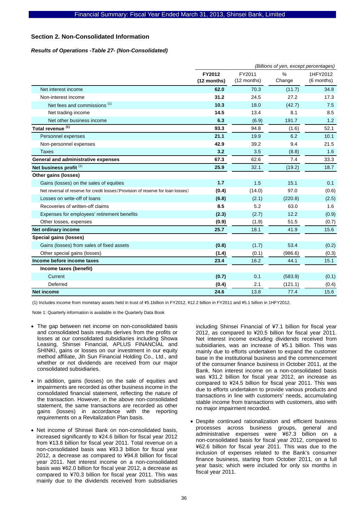### **Section 2. Non-Consolidated Information**

### *Results of Operations -Table 27- (Non-Consolidated)*

|                                                                                  | (Billions of yen, except percentages) |                       |             |                        |  |  |
|----------------------------------------------------------------------------------|---------------------------------------|-----------------------|-------------|------------------------|--|--|
|                                                                                  | FY2012<br>(12 months)                 | FY2011<br>(12 months) | %<br>Change | 1HFY2012<br>(6 months) |  |  |
| Net interest income                                                              | 62.0                                  | 70.3                  | (11.7)      | 34.8                   |  |  |
| Non-interest income                                                              | 31.2                                  | 24.5                  | 27.2        | 17.3                   |  |  |
| Net fees and commissions <sup>(1)</sup>                                          | 10.3                                  | 18.0                  | (42.7)      | 7.5                    |  |  |
| Net trading income                                                               | 14.5                                  | 13.4                  | 8.1         | 8.5                    |  |  |
| Net other business income                                                        | 6.3                                   | (6.9)                 | 191.7       | 1.2                    |  |  |
| Total revenue <sup>(1)</sup>                                                     | 93.3                                  | 94.8                  | (1.6)       | 52.1                   |  |  |
| Personnel expenses                                                               | 21.1                                  | 19.9                  | 6.2         | 10.1                   |  |  |
| Non-personnel expenses                                                           | 42.9                                  | 39.2                  | 9.4         | 21.5                   |  |  |
| <b>Taxes</b>                                                                     | 3.2                                   | 3.5                   | (8.8)       | 1.6                    |  |  |
| General and administrative expenses                                              | 67.3                                  | 62.6                  | 7.4         | 33.3                   |  |  |
| Net business profit <sup>(1)</sup>                                               | 25.9                                  | 32.1                  | (19.2)      | 18.7                   |  |  |
| Other gains (losses)                                                             |                                       |                       |             |                        |  |  |
| Gains (losses) on the sales of equities                                          | 1.7                                   | 1.5                   | 15.1        | 0.1                    |  |  |
| Net reversal of reserve for credit losses (Provision of reserve for loan losses) | (0.4)                                 | (14.0)                | 97.0        | (0.6)                  |  |  |
| Losses on write-off of loans                                                     | (6.8)                                 | (2.1)                 | (220.8)     | (2.5)                  |  |  |
| Recoveries of written-off claims                                                 | 8.5                                   | 5.2                   | 63.0        | 1.6                    |  |  |
| Expenses for employees' retirement benefits                                      | (2.3)                                 | (2.7)                 | 12.2        | (0.9)                  |  |  |
| Other losses, expenses                                                           | (0.9)                                 | (1.9)                 | 51.5        | (0.7)                  |  |  |
| Net ordinary income                                                              | 25.7                                  | 18.1                  | 41.9        | 15.6                   |  |  |
| <b>Special gains (losses)</b>                                                    |                                       |                       |             |                        |  |  |
| Gains (losses) from sales of fixed assets                                        | (0.8)                                 | (1.7)                 | 53.4        | (0.2)                  |  |  |
| Other special gains (losses)                                                     | (1.4)                                 | (0.1)                 | (986.6)     | (0.3)                  |  |  |
| Income before income taxes                                                       | 23.4                                  | 16.2                  | 44.1        | 15.1                   |  |  |
| Income taxes (benefit)                                                           |                                       |                       |             |                        |  |  |
| Current                                                                          | (0.7)                                 | 0.1                   | (583.9)     | (0.1)                  |  |  |
| Deferred                                                                         | (0.4)                                 | 2.1                   | (121.1)     | (0.4)                  |  |  |
| <b>Net income</b>                                                                | 24.6                                  | 13.8                  | 77.4        | 15.6                   |  |  |

(1) Includes income from monetary assets held in trust of \5.1billion in FY2012, \12.2 billion in FY2011 and \5.1 billion in 1HFY2012.

Note 1: Quarterly information is available in the Quarterly Data Book

- The gap between net income on non-consolidated basis and consolidated basis results derives from the profits or losses at our consolidated subsidiaries including Showa Leasing, Shinsei Financial, APLUS FINANCIAL and SHINKI, gains or losses on our investment in our equity method affiliate, Jih Sun Financial Holding Co., Ltd., and whether or not dividends are received from our major consolidated subsidiaries.
- In addition, gains (losses) on the sale of equities and impairments are recorded as other business income in the consolidated financial statement, reflecting the nature of the transaction. However, in the above non-consolidated statement, the same transactions are recorded as other gains (losses) in accordance with the reporting requirements on a Revitalization Plan basis.
- Net income of Shinsei Bank on non-consolidated basis, increased significantly to ¥24.6 billion for fiscal year 2012 from ¥13.8 billion for fiscal year 2011. Total revenue on a non-consolidated basis was ¥93.3 billion for fiscal year 2012, a decrease as compared to ¥94.8 billion for fiscal year 2011. Net interest income on a non-consolidated basis was ¥62.0 billion for fiscal year 2012, a decrease as compared to ¥70.3 billion for fiscal year 2011. This was mainly due to the dividends received from subsidiaries

including Shinsei Financial of ¥7.1 billion for fiscal year 2012, as compared to ¥20.5 billion for fiscal year 2011. Net interest income excluding dividends received from subsidiaries, was an increase of ¥5.1 billion. This was mainly due to efforts undertaken to expand the customer base in the institutional business and the commencement of the consumer finance business in October 2011, at the Bank. Non interest income on a non-consolidated basis was ¥31.2 billion for fiscal year 2012, an increase as compared to ¥24.5 billion for fiscal year 2011. This was due to efforts undertaken to provide various products and transactions in line with customers' needs, accumulating stable income from transactions with customers, also with no major impairment recorded.

• Despite continued rationalization and efficient business processes across business groups, general and administrative expenses were ¥67.3 billion on a non-consolidated basis for fiscal year 2012, compared to ¥62.6 billion for fiscal year 2011. This was due to the inclusion of expenses related to the Bank's consumer finance business, starting from October 2011, on a full year basis; which were included for only six months in fiscal year 2011.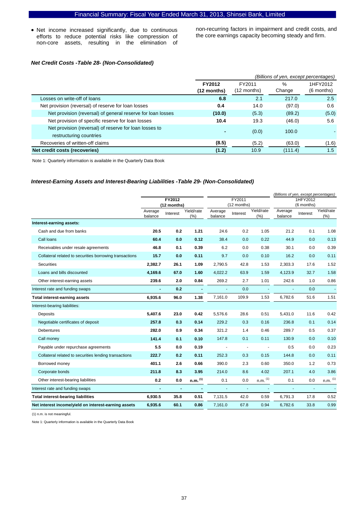• Net income increased significantly, due to continuous efforts to reduce potential risks like compression of non-core assets, resulting in the elimination of non-recurring factors in impairment and credit costs, and the core earnings capacity becoming steady and firm.

### *Net Credit Costs -Table 28- (Non-Consolidated)*

|                                                             | (Billions of yen, except percentages) |               |          |               |  |
|-------------------------------------------------------------|---------------------------------------|---------------|----------|---------------|--|
|                                                             | FY2012                                | FY2011        | 1HFY2012 |               |  |
|                                                             | (12 months)                           | $(12$ months) | Change   | $(6$ months)  |  |
| Losses on write-off of loans                                | 6.8                                   | 2.1           | 217.0    | $2.5^{\circ}$ |  |
| Net provision (reversal) of reserve for loan losses         | 0.4                                   | 14.0          | (97.0)   | 0.6           |  |
| Net provision (reversal) of general reserve for loan losses | (10.0)                                | (5.3)         | (89.2)   | (5.0)         |  |
| Net provision of specific reserve for loan losses           | 10.4                                  | 19.3          | (46.0)   | 5.6           |  |
| Net provision (reversal) of reserve for loan losses to      |                                       | (0.0)         | 100.0    |               |  |
| restructuring countries                                     |                                       |               |          |               |  |
| Recoveries of written-off claims                            | (8.5)                                 | (5.2)         | (63.0)   | (1.6)         |  |
| Net credit costs (recoveries)                               | (1.2)                                 | 10.9          | (111.4)  | 1.5           |  |

Note 1: Quarterly information is available in the Quarterly Data Book

### *Interest-Earning Assets and Interest-Bearing Liabilities -Table 29- (Non-Consolidated)*

|                                                         |         |                       |                       |         |                       |              | (Billions of yen, except percentages) |                        |                |  |
|---------------------------------------------------------|---------|-----------------------|-----------------------|---------|-----------------------|--------------|---------------------------------------|------------------------|----------------|--|
|                                                         |         | FY2012<br>(12 months) |                       |         | FY2011<br>(12 months) |              |                                       | 1HFY2012<br>(6 months) |                |  |
|                                                         | Average | Interest              | Yield/rate            | Average | Interest              | Yield/rate   | Average                               | Interest               | Yield/rate     |  |
|                                                         | balance |                       | (%)                   | balance |                       | (%)          | balance                               |                        | $(\% )$        |  |
| Interest-earning assets:                                |         |                       |                       |         |                       |              |                                       |                        |                |  |
| Cash and due from banks                                 | 20.5    | 0.2                   | 1.21                  | 24.6    | 0.2                   | 1.05         | 21.2                                  | 0.1                    | 1.08           |  |
| Call loans                                              | 60.4    | 0.0                   | 0.12                  | 38.4    | 0.0                   | 0.22         | 44.9                                  | 0.0                    | 0.13           |  |
| Receivables under resale agreements                     | 46.8    | 0.1                   | 0.39                  | 6.2     | 0.0                   | 0.38         | 30.1                                  | 0.0                    | 0.39           |  |
| Collateral related to securities borrowing transactions | 15.7    | 0.0                   | 0.11                  | 9.7     | 0.0                   | 0.10         | 16.2                                  | 0.0                    | 0.11           |  |
| <b>Securities</b>                                       | 2.382.7 | 26.1                  | 1.09                  | 2.790.5 | 42.8                  | 1.53         | 2,303.3                               | 17.6                   | 1.52           |  |
| Loans and bills discounted                              | 4,169.6 | 67.0                  | 1.60                  | 4,022.2 | 63.9                  | 1.59         | 4,123.9                               | 32.7                   | 1.58           |  |
| Other interest-earning assets                           | 239.6   | 2.0                   | 0.84                  | 269.2   | 2.7                   | 1.01         | 242.6                                 | 1.0                    | 0.86           |  |
| Interest rate and funding swaps                         |         | 0.2                   |                       |         | 0.0                   |              |                                       | 0.0                    | $\blacksquare$ |  |
| <b>Total interest-earning assets</b>                    | 6,935.6 | 96.0                  | 1.38                  | 7,161.0 | 109.9                 | 1.53         | 6,782.6                               | 51.6                   | 1.51           |  |
| Interest-bearing liabilities:                           |         |                       |                       |         |                       |              |                                       |                        |                |  |
| Deposits                                                | 5,407.6 | 23.0                  | 0.42                  | 5,576.6 | 28.6                  | 0.51         | 5,431.0                               | 11.6                   | 0.42           |  |
| Negotiable certificates of deposit                      | 257.8   | 0.3                   | 0.14                  | 229.2   | 0.3                   | 0.16         | 236.8                                 | 0.1                    | 0.14           |  |
| Debentures                                              | 282.0   | 0.9                   | 0.34                  | 321.2   | 1.4                   | 0.46         | 289.7                                 | 0.5                    | 0.37           |  |
| Call money                                              | 141.4   | 0.1                   | 0.10                  | 147.8   | 0.1                   | 0.11         | 130.9                                 | 0.0                    | 0.10           |  |
| Payable under repurchase agreements                     | 5.5     | 0.0                   | 0.19                  |         | ÷                     |              | 0.5                                   | 0.0                    | 0.23           |  |
| Collateral related to securities lending transactions   | 222.7   | 0.2                   | 0.11                  | 252.3   | 0.3                   | 0.15         | 144.8                                 | 0.0                    | 0.11           |  |
| Borrowed money                                          | 401.1   | 2.6                   | 0.66                  | 390.0   | 2.3                   | 0.60         | 350.0                                 | 1.2                    | 0.73           |  |
| Corporate bonds                                         | 211.8   | 8.3                   | 3.95                  | 214.0   | 8.6                   | 4.02         | 207.1                                 | 4.0                    | 3.86           |  |
| Other interest-bearing liabilities                      | 0.2     | 0.0                   | $n.m.$ <sup>(1)</sup> | 0.1     | 0.0                   | $n.m.$ $(1)$ | 0.1                                   | 0.0                    | $n.m.$ $(1)$   |  |
| Interest rate and funding swaps                         |         | ÷,                    |                       | ä,      | $\omega$              |              |                                       | ä,                     |                |  |
| <b>Total interest-bearing liabilities</b>               | 6,930.5 | 35.8                  | 0.51                  | 7,131.5 | 42.0                  | 0.59         | 6,791.3                               | 17.8                   | 0.52           |  |
| Net interest income/yield on interest-earning assets    | 6,935.6 | 60.1                  | 0.86                  | 7,161.0 | 67.8                  | 0.94         | 6,782.6                               | 33.8                   | 0.99           |  |

(1) n.m. is not meaningful.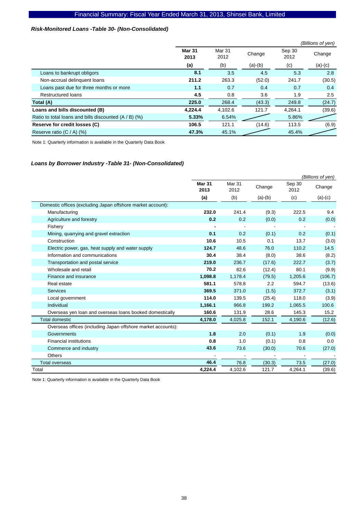### *Risk-Monitored Loans -Table 30- (Non-Consolidated)*

|                                                         |                       |                |           |                | (Billions of yen) |
|---------------------------------------------------------|-----------------------|----------------|-----------|----------------|-------------------|
|                                                         | <b>Mar 31</b><br>2013 | Mar 31<br>2012 | Change    | Sep 30<br>2012 | Change            |
|                                                         | (a)                   | (b)            | $(a)-(b)$ | (c)            | $(a)-(c)$         |
| Loans to bankrupt obligors                              | 8.1                   | 3.5            | 4.5       | 5.3            | 2.8               |
| Non-accrual delinquent loans                            | 211.2                 | 263.3          | (52.0)    | 241.7          | (30.5)            |
| Loans past due for three months or more                 | 1.1                   | 0.7            | 0.4       | 0.7            | 0.4               |
| <b>Restructured loans</b>                               | 4.5                   | 0.8            | 3.6       | 1.9            | 2.5               |
| Total (A)                                               | 225.0                 | 268.4          | (43.3)    | 249.8          | (24.7)            |
| Loans and bills discounted (B)                          | 4,224.4               | 4,102.6        | 121.7     | 4,264.1        | (39.6)            |
| Ratio to total loans and bills discounted $(A / B)$ (%) | 5.33%                 | 6.54%          |           | 5.86%          |                   |
| Reserve for credit losses (C)                           | 106.5                 | 121.1          | (14.6)    | 113.5          | (6.9)             |
| Reserve ratio $(C / A)$ (%)                             | 47.3%                 | 45.1%          |           | 45.4%          |                   |

Note 1: Quarterly information is available in the Quarterly Data Book

### *Loans by Borrower Industry -Table 31- (Non-Consolidated)*

|                                                              | (Billions of yen)     |                |           |                |           |
|--------------------------------------------------------------|-----------------------|----------------|-----------|----------------|-----------|
|                                                              | <b>Mar 31</b><br>2013 | Mar 31<br>2012 | Change    | Sep 30<br>2012 | Change    |
|                                                              | (a)                   | (b)            | $(a)-(b)$ | (c)            | $(a)-(c)$ |
| Domestic offices (excluding Japan offshore market account):  |                       |                |           |                |           |
| Manufacturing                                                | 232.0                 | 241.4          | (9.3)     | 222.5          | 9.4       |
| Agriculture and forestry                                     | 0.2                   | 0.2            | (0.0)     | 0.2            | (0.0)     |
| Fisherv                                                      |                       |                |           |                |           |
| Mining, quarrying and gravel extraction                      | 0.1                   | 0.2            | (0.1)     | 0.2            | (0.1)     |
| Construction                                                 | 10.6                  | 10.5           | 0.1       | 13.7           | (3.0)     |
| Electric power, gas, heat supply and water supply            | 124.7                 | 48.6           | 76.0      | 110.2          | 14.5      |
| Information and communications                               | 30.4                  | 38.4           | (8.0)     | 38.6           | (8.2)     |
| Transportation and postal service                            | 219.0                 | 236.7          | (17.6)    | 222.7          | (3.7)     |
| Wholesale and retail                                         | 70.2                  | 82.6           | (12.4)    | 80.1           | (9.9)     |
| Finance and insurance                                        | 1,098.8               | 1,178.4        | (79.5)    | 1,205.6        | (106.7)   |
| Real estate                                                  | 581.1                 | 578.8          | 2.2       | 594.7          | (13.6)    |
| Services                                                     | 369.5                 | 371.0          | (1.5)     | 372.7          | (3.1)     |
| Local government                                             | 114.0                 | 139.5          | (25.4)    | 118.0          | (3.9)     |
| Individual                                                   | 1,166.1               | 966.8          | 199.2     | 1,065.5        | 100.6     |
| Overseas yen loan and overseas loans booked domestically     | 160.6                 | 131.9          | 28.6      | 145.3          | 15.2      |
| <b>Total domestic</b>                                        | 4,178.0               | 4,025.8        | 152.1     | 4,190.6        | (12.6)    |
| Overseas offices (including Japan offshore market accounts): |                       |                |           |                |           |
| Governments                                                  | 1.8                   | 2.0            | (0.1)     | 1.9            | (0.0)     |
| <b>Financial institutions</b>                                | 0.8                   | 1.0            | (0.1)     | 0.8            | 0.0       |
| Commerce and industry                                        | 43.6                  | 73.6           | (30.0)    | 70.6           | (27.0)    |
| <b>Others</b>                                                |                       |                |           |                |           |
| <b>Total overseas</b>                                        | 46.4                  | 76.8           | (30.3)    | 73.5           | (27.0)    |
| Total                                                        | 4,224.4               | 4,102.6        | 121.7     | 4,264.1        | (39.6)    |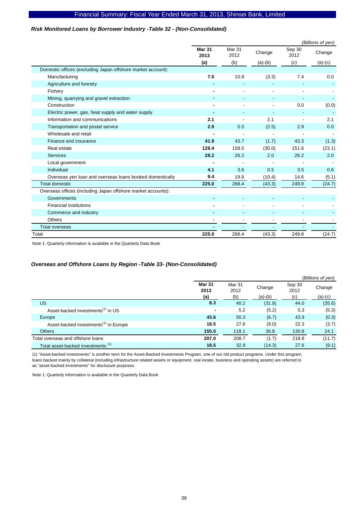### *Risk Monitored Loans by Borrower Industry -Table 32 - (Non-Consolidated)*

|                                                              | (Billions of yen)     |                |           |                |           |  |  |
|--------------------------------------------------------------|-----------------------|----------------|-----------|----------------|-----------|--|--|
|                                                              | <b>Mar 31</b><br>2013 | Mar 31<br>2012 | Change    | Sep 30<br>2012 | Change    |  |  |
|                                                              | (a)                   | (b)            | $(a)-(b)$ | (c)            | $(a)-(c)$ |  |  |
| Domestic offices (excluding Japan offshore market account):  |                       |                |           |                |           |  |  |
| Manufacturing                                                | 7.5                   | 10.8           | (3.3)     | 7.4            | 0.0       |  |  |
| Agriculture and forestry                                     |                       |                |           |                |           |  |  |
| Fishery                                                      |                       |                | ٠         |                |           |  |  |
| Mining, quarrying and gravel extraction                      |                       |                |           |                |           |  |  |
| Construction                                                 |                       |                |           | 0.0            | (0.0)     |  |  |
| Electric power, gas, heat supply and water supply            |                       |                |           |                |           |  |  |
| Information and communications                               | 2.1                   |                | 2.1       |                | 2.1       |  |  |
| Transportation and postal service                            | 2.9                   | 5.5            | (2.5)     | 2.9            | 0.0       |  |  |
| Wholesale and retail                                         |                       |                |           |                |           |  |  |
| Finance and insurance                                        | 41.9                  | 43.7           | (1.7)     | 43.3           | (1.3)     |  |  |
| Real estate                                                  | 128.4                 | 158.5          | (30.0)    | 151.6          | (23.1)    |  |  |
| <b>Services</b>                                              | 28.2                  | 26.2           | 2.0       | 26.2           | 2.0       |  |  |
| Local government                                             |                       |                |           |                |           |  |  |
| Individual                                                   | 4.1                   | 3.6            | 0.5       | 3.5            | 0.6       |  |  |
| Overseas yen loan and overseas loans booked domestically     | 9.4                   | 19.9           | (10.4)    | 14.6           | (5.1)     |  |  |
| <b>Total domestic</b>                                        | 225.0                 | 268.4          | (43.3)    | 249.8          | (24.7)    |  |  |
| Overseas offices (including Japan offshore market accounts): |                       |                |           |                |           |  |  |
| Governments                                                  |                       |                |           |                |           |  |  |
| <b>Financial institutions</b>                                |                       |                | ٠         |                |           |  |  |
| Commerce and industry                                        |                       |                |           |                |           |  |  |
| <b>Others</b>                                                |                       |                |           |                |           |  |  |
| <b>Total overseas</b>                                        |                       |                |           |                |           |  |  |
| Total                                                        | 225.0                 | 268.4          | (43.3)    | 249.8          | (24.7)    |  |  |

Note 1: Quarterly information is available in the Quarterly Data Book

### *Overseas and Offshore Loans by Region -Table 33- (Non-Consolidated)*

|                                                   |                       |                |           |                | (Billions of yen) |
|---------------------------------------------------|-----------------------|----------------|-----------|----------------|-------------------|
|                                                   | <b>Mar 31</b><br>2013 | Mar 31<br>2012 | Change    | Sep 30<br>2012 | Change            |
|                                                   | (a)                   | (b)            | $(a)-(b)$ | (c)            | $(a)-(c)$         |
| US                                                | 8.3                   | 40.2           | (31.8)    | 44.0           | (35.6)            |
| Asset-backed investments <sup>(1)</sup> in US     | $\blacksquare$        | 5.2            | (5.2)     | 5.3            | (5.3)             |
| Europe                                            | 43.6                  | 50.3           | (6.7)     | 43.9           | (0.3)             |
| Asset-backed investments <sup>(1)</sup> in Europe | 18.5                  | 27.6           | (9.0)     | 22.3           | (3.7)             |
| <b>Others</b>                                     | 155.0                 | 118.1          | 36.8      | 130.8          | 24.1              |
| Total overseas and offshore loans                 | 207.0                 | 208.7          | (1.7)     | 218.8          | (11.7)            |
| Total asset-backed investments <sup>(1)</sup>     | 18.5                  | 32.9           | (14.3)    | 27.6           | (9.1)             |

(1) "Asset-backed investments" is another term for the Asset-Backed Investments Program, one of our old product programs. Under this program, loans backed mainly by collateral (including infrastructure related assets or equipment, real estate, business and operating assets) are referred to as "asset-backed investments" for disclosure purposes.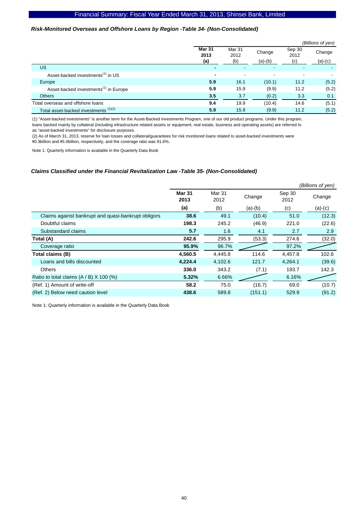### *Risk-Monitored Overseas and Offshore Loans by Region -Table 34- (Non-Consolidated)*

|                                                   |                              |                          |                     |                       | (Billions of yen)   |
|---------------------------------------------------|------------------------------|--------------------------|---------------------|-----------------------|---------------------|
|                                                   | <b>Mar 31</b><br>2013<br>(a) | Mar 31<br>2012<br>(b)    | Change<br>$(a)-(b)$ | Sep 30<br>2012<br>(c) | Change<br>$(a)-(c)$ |
| US                                                |                              |                          | ٠                   |                       |                     |
| Asset-backed investments <sup>(1)</sup> in US     | $\blacksquare$               | $\overline{\phantom{a}}$ | $\blacksquare$      | -                     |                     |
| Europe                                            | 5.9                          | 16.1                     | (10.1)              | 11.2                  | (5.2)               |
| Asset-backed investments <sup>(1)</sup> in Europe | 5.9                          | 15.9                     | (9.9)               | 11.2                  | (5.2)               |
| <b>Others</b>                                     | 3.5                          | 3.7                      | (0.2)               | 3.3                   | 0.1                 |
| Total overseas and offshore loans                 | 9.4                          | 19.9                     | (10.4)              | 14.6                  | (5.1)               |
| Total asset-backed investments (1)(2)             | 5.9                          | 15.9                     | (9.9)               | 11.2                  | (5.2)               |

(1) "Asset-backed investments" is another term for the Asset-Backed Investments Program, one of our old product programs. Under this program, loans backed mainly by collateral (including infrastructure related assets or equipment, real estate, business and operating assets) are referred to as "asset-backed investments" for disclosure purposes.

(2) As of March 31, 2013, reserve for loan losses and collateral/guarantees for risk monitored loans related to asset-backed investments were \0.3billion and \5.0billion, respectively, and the coverage ratio was 91.6%.

Note 1: Quarterly information is available in the Quarterly Data Book

#### *Claims Classified under the Financial Revitalization Law -Table 35- (Non-Consolidated)*

|                                                     |                       |                |           |                | (Billions of yen) |
|-----------------------------------------------------|-----------------------|----------------|-----------|----------------|-------------------|
|                                                     | <b>Mar 31</b><br>2013 | Mar 31<br>2012 | Change    | Sep 30<br>2012 | Change            |
|                                                     | (a)                   | (b)            | $(a)-(b)$ | (c)            | $(a)-(c)$         |
| Claims against bankrupt and quasi-bankrupt obligors | 38.6                  | 49.1           | (10.4)    | 51.0           | (12.3)            |
| Doubtful claims                                     | 198.3                 | 245.2          | (46.9)    | 221.0          | (22.6)            |
| Substandard claims                                  | 5.7                   | 1.6            | 4.1       | 2.7            | 2.9               |
| Total (A)                                           | 242.6                 | 295.9          | (53.3)    | 274.6          | (32.0)            |
| Coverage ratio                                      | 95.9%                 | 96.7%          |           | 97.2%          |                   |
| Total claims (B)                                    | 4,560.5               | 4,445.8        | 114.6     | 4,457.8        | 102.6             |
| Loans and bills discounted                          | 4,224.4               | 4,102.6        | 121.7     | 4,264.1        | (39.6)            |
| <b>Others</b>                                       | 336.0                 | 343.2          | (7.1)     | 193.7          | 142.3             |
| Ratio to total claims $(A / B)$ X 100 (%)           | 5.32%                 | 6.66%          |           | 6.16%          |                   |
| (Ref. 1) Amount of write-off                        | 58.2                  | 75.0           | (16.7)    | 69.0           | (10.7)            |
| (Ref. 2) Below need caution level                   | 438.6                 | 589.8          | (151.1)   | 529.9          | (91.2)            |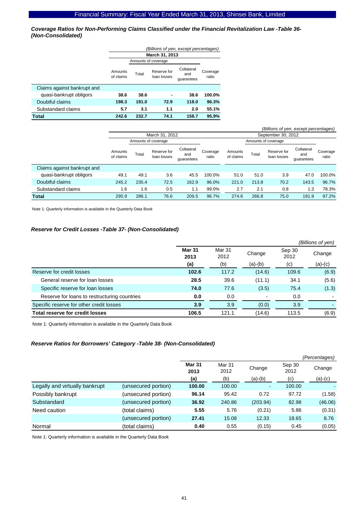*Coverage Ratios for Non-Performing Claims Classified under the Financial Revitalization Law -Table 36- (Non-Consolidated)* 

|                             | (Billions of yen, except percentages) |       |                            |                                 |                   |  |  |  |  |
|-----------------------------|---------------------------------------|-------|----------------------------|---------------------------------|-------------------|--|--|--|--|
|                             |                                       |       | <b>March 31, 2013</b>      |                                 |                   |  |  |  |  |
|                             |                                       |       | Amounts of coverage        |                                 |                   |  |  |  |  |
|                             | Amounts<br>of claims                  | Total | Reserve for<br>loan losses | Collateral<br>and<br>quarantees | Coverage<br>ratio |  |  |  |  |
| Claims against bankrupt and |                                       |       |                            |                                 |                   |  |  |  |  |
| quasi-bankrupt obligors     | 38.6                                  | 38.6  |                            | 38.6                            | 100.0%            |  |  |  |  |
| Doubtful claims             | 198.3                                 | 191.0 | 72.9                       | 118.0                           | 96.3%             |  |  |  |  |
| Substandard claims          | 5.7                                   | 3.1   | 1.1                        | 2.0                             | 55.1%             |  |  |  |  |
| Total                       | 242.6                                 | 232.7 | 74.1                       | 158.7                           | 95.9%             |  |  |  |  |

| (Billions of yen, except percentages) |                      |       |                            |                                 |                   |                      |                     |                            |                                 |                   |
|---------------------------------------|----------------------|-------|----------------------------|---------------------------------|-------------------|----------------------|---------------------|----------------------------|---------------------------------|-------------------|
|                                       |                      |       | March 31, 2012             |                                 |                   |                      |                     | September 30, 2012         |                                 |                   |
|                                       |                      |       | Amounts of coverage        |                                 |                   |                      | Amounts of coverage |                            |                                 |                   |
|                                       | Amounts<br>of claims | Total | Reserve for<br>loan losses | Collateral<br>and<br>quarantees | Coverage<br>ratio | Amounts<br>of claims | Total               | Reserve for<br>loan losses | Collateral<br>and<br>quarantees | Coverage<br>ratio |
| Claims against bankrupt and           |                      |       |                            |                                 |                   |                      |                     |                            |                                 |                   |
| quasi-bankrupt obligors               | 49.1                 | 49.1  | 3.6                        | 45.5                            | 100.0%            | 51.0                 | 51.0                | 3.9                        | 47.0                            | 100.0%            |
| Doubtful claims                       | 245.2                | 235.4 | 72.5                       | 162.9                           | 96.0%             | 221.0                | 213.8               | 70.2                       | 143.5                           | 96.7%             |
| Substandard claims                    | 1.6                  | 1.6   | 0.5                        | 1.1                             | 99.0%             | 2.7                  | 2.1                 | 0.8                        | 1.3                             | 78.3%             |
| <b>Total</b>                          | 295.9                | 286.1 | 76.6                       | 209.5                           | 96.7%             | 274.6                | 266.8               | 75.0                       | 191.9                           | 97.2%             |

Note 1: Quarterly information is available in the Quarterly Data Book

### *Reserve for Credit Losses -Table 37- (Non-Consolidated)*

|                                              |                       |                |                |                | (Billions of yen) |
|----------------------------------------------|-----------------------|----------------|----------------|----------------|-------------------|
|                                              | <b>Mar 31</b><br>2013 | Mar 31<br>2012 | Change         | Sep 30<br>2012 | Change            |
|                                              | (a)                   | (b)            | $(a)-(b)$      | (c)            | $(a)-(c)$         |
| Reserve for credit losses                    | 102.6                 | 117.2          | (14.6)         | 109.6          | (6.9)             |
| General reserve for loan losses              | 28.5                  | 39.6           | (11.1)         | 34.1           | (5.6)             |
| Specific reserve for loan losses             | 74.0                  | 77.6           | (3.5)          | 75.4           | (1.3)             |
| Reserve for loans to restructuring countries | 0.0                   | 0.0            | $\blacksquare$ | 0.0            |                   |
| Specific reserve for other credit losses     | 3.9                   | 3.9            | (0.0)          | 3.9            |                   |
| Total reserve for credit losses              | 106.5                 | 121.1          | (14.6)         | 113.5          | (6.9)             |

Note 1: Quarterly information is available in the Quarterly Data Book

### *Reserve Ratios for Borrowers' Category -Table 38- (Non-Consolidated)*

|                                |                     |                       |                |                | (Percentages)  |           |  |  |
|--------------------------------|---------------------|-----------------------|----------------|----------------|----------------|-----------|--|--|
|                                |                     | <b>Mar 31</b><br>2013 | Mar 31<br>2012 | Change         | Sep 30<br>2012 | Change    |  |  |
|                                |                     | (a)                   | (b)            | $(a)-(b)$      | (c)            | $(a)-(c)$ |  |  |
| Legally and virtually bankrupt | (unsecured portion) | 100.00                | 100.00         | $\blacksquare$ | 100.00         |           |  |  |
| Possibly bankrupt              | (unsecured portion) | 96.14                 | 95.42          | 0.72           | 97.72          | (1.58)    |  |  |
| Substandard                    | (unsecured portion) | 36.92                 | 240.86         | (203.94)       | 82.98          | (46.06)   |  |  |
| Need caution                   | (total claims)      | 5.55                  | 5.76           | (0.21)         | 5.86           | (0.31)    |  |  |
|                                | (unsecured portion) | 27.41                 | 15.08          | 12.33          | 18.65          | 8.76      |  |  |
| Normal                         | (total claims)      | 0.40                  | 0.55           | (0.15)         | 0.45           | (0.05)    |  |  |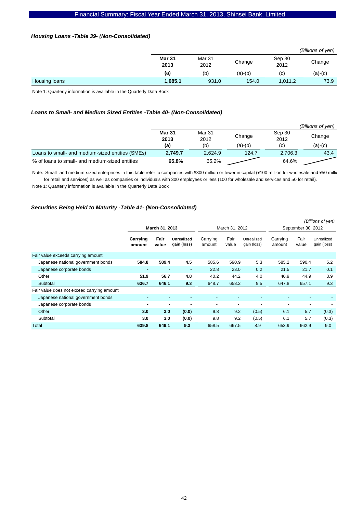### *Housing Loans -Table 39- (Non-Consolidated)*

|               |                |                |         |                | (Billions of yen) |
|---------------|----------------|----------------|---------|----------------|-------------------|
|               | Mar 31<br>2013 | Mar 31<br>2012 | Change  | Sep 30<br>2012 | Change            |
|               | (a)            | (b)            | (a)-(b) | (C)            | $(a)-(c)$         |
| Housing loans | 1,085.1        | 931.0          | 154.0   | 1,011.2        | 73.9              |

Note 1: Quarterly information is available in the Quarterly Data Book

### *Loans to Small- and Medium Sized Entities -Table 40- (Non-Consolidated)*

|                                                  |                       |                |         |                | (Billions of ven) |
|--------------------------------------------------|-----------------------|----------------|---------|----------------|-------------------|
|                                                  | <b>Mar 31</b><br>2013 | Mar 31<br>2012 | Change  | Sep 30<br>2012 | Change            |
|                                                  | (a)                   | (b)            | (a)-(b) | (C)            | (a)-(c)           |
| Loans to small- and medium-sized entities (SMEs) | 2.749.7               | 2,624.9        | 124.7   | 2,706.3        | 43.4              |
| % of loans to small- and medium-sized entities   | 65.8%                 | 65.2%          |         | 64.6%          |                   |

Note: Small- and medium-sized enterprises in this table refer to companies with ¥300 million or fewer in capital (¥100 million for wholesale and ¥50 millio for retail and services) as well as companies or individuals with 300 employees or less (100 for wholesale and services and 50 for retail). Note 1: Quarterly information is available in the Quarterly Data Book

## *Securities Being Held to Maturity -Table 41- (Non-Consolidated)*

|                                            | (Billions of yen)  |               |                           |                          |                |                           |                    |                |                           |
|--------------------------------------------|--------------------|---------------|---------------------------|--------------------------|----------------|---------------------------|--------------------|----------------|---------------------------|
|                                            | March 31, 2013     |               |                           |                          | March 31, 2012 |                           | September 30, 2012 |                |                           |
|                                            | Carrying<br>amount | Fair<br>value | Unrealized<br>gain (loss) | Carrying<br>amount       | Fair<br>value  | Unrealized<br>gain (loss) | Carrying<br>amount | Fair<br>value  | Unrealized<br>gain (loss) |
| Fair value exceeds carrying amount         |                    |               |                           |                          |                |                           |                    |                |                           |
| Japanese national government bonds         | 584.8              | 589.4         | 4.5                       | 585.6                    | 590.9          | 5.3                       | 585.2              | 590.4          | 5.2                       |
| Japanese corporate bonds                   |                    | ۰             | ۰                         | 22.8                     | 23.0           | 0.2                       | 21.5               | 21.7           | 0.1                       |
| Other                                      | 51.9               | 56.7          | 4.8                       | 40.2                     | 44.2           | 4.0                       | 40.9               | 44.9           | 3.9                       |
| Subtotal                                   | 636.7              | 646.1         | 9.3                       | 648.7                    | 658.2          | 9.5                       | 647.8              | 657.1          | 9.3                       |
| Fair value does not exceed carrying amount |                    |               |                           |                          |                |                           |                    |                |                           |
| Japanese national government bonds         |                    |               |                           |                          |                |                           |                    | $\overline{a}$ |                           |
| Japanese corporate bonds                   | ٠                  | ٠             | ٠                         | $\overline{\phantom{a}}$ |                | $\overline{\phantom{a}}$  |                    |                |                           |
| Other                                      | 3.0                | 3.0           | (0.0)                     | 9.8                      | 9.2            | (0.5)                     | 6.1                | 5.7            | (0.3)                     |
| Subtotal                                   | 3.0                | 3.0           | (0.0)                     | 9.8                      | 9.2            | (0.5)                     | 6.1                | 5.7            | (0.3)                     |
| Total                                      | 639.8              | 649.1         | 9.3                       | 658.5                    | 667.5          | 8.9                       | 653.9              | 662.9          | 9.0                       |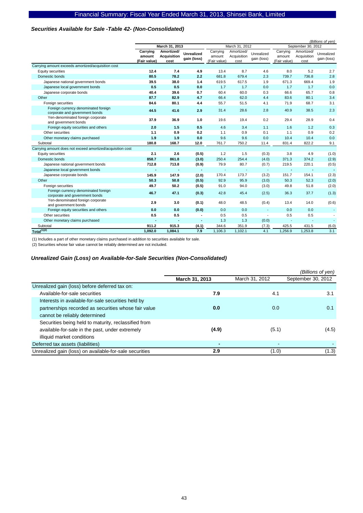### *Securities Available for Sale -Table 42- (Non-Consolidated)*

|                                                            |              |                |                   |                          |                |                          |                          | (Billions of yen)  |                |
|------------------------------------------------------------|--------------|----------------|-------------------|--------------------------|----------------|--------------------------|--------------------------|--------------------|----------------|
|                                                            |              | March 31, 2013 |                   |                          | March 31, 2012 |                          |                          | September 30, 2012 |                |
|                                                            | Carrying     | Amortized/     | <b>Unrealized</b> | Carrying                 | Amortized/     | Unrealized               | Carrying                 | Amortized/         | Unrealized     |
|                                                            | amount       | Acquisition    | gain (loss)       | amount                   | Acquisition    | gain (loss)              | amount                   | Acquisition        | gain (loss)    |
|                                                            | (Fair value) | cost           |                   | (Fair value)             | cost           |                          | (Fair value)             | cost               |                |
| Carrying amount exceeds amortized/acquisition cost         |              |                |                   |                          |                |                          |                          |                    |                |
| Equity securities                                          | 12.4         | 7.4            | 4.9               | 13.4                     | 8.7            | 4.6                      | 8.0                      | 5.2                | 2.7            |
| Domestic bonds                                             | 80.5         | 78.2           | 2.2               | 681.8                    | 679.4          | 2.3                      | 739.7                    | 736.8              | 2.8            |
| Japanese national government bonds                         | 39.5         | 38.0           | 1.4               | 619.5                    | 617.5          | 1.9                      | 671.3                    | 669.4              | 1.9            |
| Japanese local government bonds                            | 0.5          | 0.5            | 0.0               | 1.7                      | 1.7            | 0.0                      | 1.7                      | 1.7                | 0.0            |
| Japanese corporate bonds                                   | 40.4         | 39.6           | 0.7               | 60.4                     | 60.0           | 0.3                      | 66.6                     | 65.7               | 0.8            |
| Other                                                      | 87.7         | 82.9           | 4.7               | 66.4                     | 62.0           | 4.4                      | 83.6                     | 80.1               | 3.4            |
| Foreign securities                                         | 84.6         | 80.1           | 4.4               | 55.7                     | 51.5           | 4.1                      | 71.9                     | 68.7               | 3.1            |
| Foreign currency denominated foreign                       | 44.5         | 41.6           | 2.9               | 31.4                     | 28.6           | 2.8                      | 40.9                     | 38.5               | 2.3            |
| corporate and government bonds                             |              |                |                   |                          |                |                          |                          |                    |                |
| Yen-denominated foreign corporate<br>and government bonds  | 37.9         | 36.9           | 1.0               | 19.6                     | 19.4           | 0.2                      | 29.4                     | 28.9               | 0.4            |
| Foreign equity securities and others                       | 2.0          | 1.5            | 0.5               | 4.6                      | 3.4            | 1.1                      | 1.6                      | 1.2                | 0.3            |
| Other securities                                           | 1.1          | 0.9            | 0.2               | 1.1                      | 0.9            | 0.1                      | 1.1                      | 0.9                | 0.2            |
| Other monetary claims purchased                            | 1.9          | 1.9            | 0.0               | 9.6                      | 9.6            | 0.0                      | 10.4                     | 10.4               | 0.0            |
| Subtotal                                                   | 180.8        | 168.7          | 12.0              | 761.7                    | 750.2          | 11.4                     | 831.4                    | 822.2              | 9.1            |
| Carrying amount does not exceed amortized/acquisition cost |              |                |                   |                          |                |                          |                          |                    |                |
| Equity securities                                          | 2.1          | 2.6            | (0.5)             | 1.2                      | 1.5            | (0.3)                    | 3.8                      | 4.9                | (1.0)          |
| Domestic bonds                                             | 858.7        | 861.8          | (3.0)             | 250.4                    | 254.4          | (4.0)                    | 371.3                    | 374.2              | (2.9)          |
| Japanese national government bonds                         | 712.8        | 713.8          | (0.9)             | 79.9                     | 80.7           | (0.7)                    | 219.5                    | 220.1              | (0.5)          |
| Japanese local government bonds                            |              |                | ٠                 | $\overline{\phantom{a}}$ |                | $\blacksquare$           |                          | $\blacksquare$     | $\blacksquare$ |
| Japanese corporate bonds                                   | 145.9        | 147.9          | (2.0)             | 170.4                    | 173.7          | (3.2)                    | 151.7                    | 154.1              | (2.3)          |
| Other                                                      | 50.3         | 50.8           | (0.5)             | 92.9                     | 95.9           | (3.0)                    | 50.3                     | 52.3               | (2.0)          |
| Foreign securities                                         | 49.7         | 50.2           | (0.5)             | 91.0                     | 94.0           | (3.0)                    | 49.8                     | 51.8               | (2.0)          |
| Foreign currency denominated foreign                       |              |                |                   | 42.8                     | 45.4           | (2.5)                    | 36.3                     | 37.7               |                |
| corporate and government bonds                             | 46.7         | 47.1           | (0.3)             |                          |                |                          |                          |                    | (1.3)          |
| Yen-denominated foreign corporate                          | 2.9          | 3.0            | (0.1)             | 48.0                     | 48.5           | (0.4)                    | 13.4                     | 14.0               | (0.6)          |
| and government bonds                                       |              |                |                   |                          |                |                          |                          |                    |                |
| Foreign equity securities and others                       | 0.0          | 0.0            | (0.0)             | 0.0                      | 0.0            | $\overline{\phantom{a}}$ | 0.0                      | 0.0                |                |
| Other securities                                           | 0.5          | 0.5            |                   | 0.5                      | 0.5            | $\overline{a}$           | 0.5                      | 0.5                |                |
| Other monetary claims purchased                            |              |                | ٠                 | 1.3                      | 1.3            | (0.0)                    | $\overline{\phantom{a}}$ | $\sim$             |                |
| Subtotal                                                   | 911.2        | 915.3          | (4.1)             | 344.6                    | 351.9          | (7.3)                    | 425.5                    | 431.5              | (6.0)          |
| Total <sup>(1)(2)</sup>                                    | 1,092.0      | 1,084.1        | 7.9               | 1,106.3                  | 1,102.1        | 4.1                      | 1,256.9                  | 1,253.8            | 3.1            |

(1) Includes a part of other monetary claims purchased in addition to securities available for sale.

(2) Securities whose fair value cannot be reliably determined are not included.

### *Unrealized Gain (Loss) on Available-for-Sale Securities (Non-Consolidated)*

|                                                         |                |                | (Billions of yen)  |
|---------------------------------------------------------|----------------|----------------|--------------------|
|                                                         | March 31, 2013 | March 31, 2012 | September 30, 2012 |
| Unrealized gain (loss) before deferred tax on:          |                |                |                    |
| Available-for-sale securities                           | 7.9            | 4.1            | 3.1                |
| Interests in available-for-sale securities held by      |                |                |                    |
| partnerships recorded as securities whose fair value    | 0.0            | 0.0            | 0.1                |
| cannot be reliably determined                           |                |                |                    |
| Securities being held to maturity, reclassified from    |                |                |                    |
| available-for-sale in the past, under extremely         | (4.9)          | (5.1)          | (4.5)              |
| illiquid market conditions                              |                |                |                    |
| Deferred tax assets (liabilities)                       |                | ٠              |                    |
| Unrealized gain (loss) on available-for-sale securities | 2.9            | (1.0)          | (1.3)              |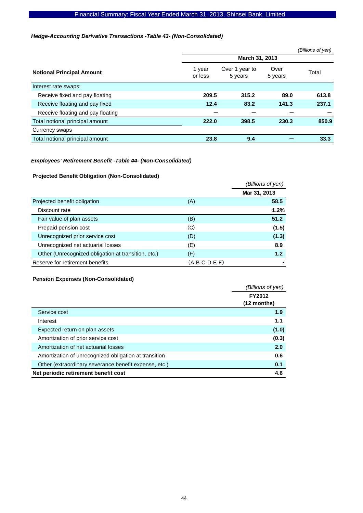### *Hedge-Accounting Derivative Transactions -Table 43- (Non-Consolidated)*

|                                   |                   |                           |                 | (Billions of yen) |  |  |  |
|-----------------------------------|-------------------|---------------------------|-----------------|-------------------|--|--|--|
|                                   | March 31, 2013    |                           |                 |                   |  |  |  |
| <b>Notional Principal Amount</b>  | 1 year<br>or less | Over 1 year to<br>5 years | Over<br>5 years | Total             |  |  |  |
| Interest rate swaps:              |                   |                           |                 |                   |  |  |  |
| Receive fixed and pay floating    | 209.5             | 315.2                     | 89.0            | 613.8             |  |  |  |
| Receive floating and pay fixed    | 12.4              | 83.2                      | 141.3           | 237.1             |  |  |  |
| Receive floating and pay floating |                   |                           |                 |                   |  |  |  |
| Total notional principal amount   | 222.0             | 398.5                     | 230.3           | 850.9             |  |  |  |
| Currency swaps                    |                   |                           |                 |                   |  |  |  |
| Total notional principal amount   | 23.8              | 9.4                       |                 | 33.3              |  |  |  |

### *Employees' Retirement Benefit -Table 44- (Non-Consolidated)*

### **Projected Benefit Obligation (Non-Consolidated)**

|                                                     |                 | (Billions of yen) |
|-----------------------------------------------------|-----------------|-------------------|
|                                                     |                 | Mar 31, 2013      |
| Projected benefit obligation                        | (A)             | 58.5              |
| Discount rate                                       |                 | 1.2%              |
| Fair value of plan assets                           | (B)             | 51.2              |
| Prepaid pension cost                                | (C)             | (1.5)             |
| Unrecognized prior service cost                     | (D)             | (1.3)             |
| Unrecognized net actuarial losses                   | (E)             | 8.9               |
| Other (Unrecognized obligation at transition, etc.) | (F)             | 1.2               |
| Reserve for retirement benefits                     | $(A-B-C-D-E-F)$ |                   |

### **Pension Expenses (Non-Consolidated)**

|                                                       | (Billions of yen) |
|-------------------------------------------------------|-------------------|
|                                                       | FY2012            |
|                                                       | $(12$ months)     |
| Service cost                                          | 1.9               |
| Interest                                              | 1.1               |
| Expected return on plan assets                        | (1.0)             |
| Amortization of prior service cost                    | (0.3)             |
| Amortization of net actuarial losses                  | 2.0               |
| Amortization of unrecognized obligation at transition | 0.6               |
| Other (extraordinary severance benefit expense, etc.) | 0.1               |
| Net periodic retirement benefit cost                  | 4.6               |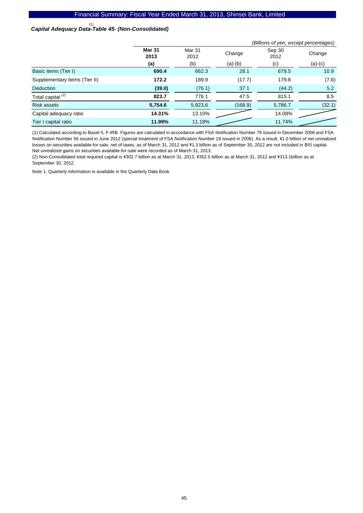# *Capital Adequacy Data-Table 45- (Non-Consolidated)*  (1)

|                               | (Billions of yen, except percentages) |                           |           |                |           |  |
|-------------------------------|---------------------------------------|---------------------------|-----------|----------------|-----------|--|
|                               | <b>Mar 31</b><br>2013                 | Mar <sub>31</sub><br>2012 | Change    | Sep 30<br>2012 | Change    |  |
|                               | (a)                                   | (b)                       | $(a)-(b)$ | (c)            | $(a)-(c)$ |  |
| Basic items (Tier I)          | 690.4                                 | 662.3                     | 28.1      | 679.5          | 10.9      |  |
| Supplementary items (Tier II) | 172.2                                 | 189.9                     | (17.7)    | 179.8          | (7.6)     |  |
| <b>Deduction</b>              | (39.0)                                | (76.1)                    | 37.1      | (44.2)         | 5.2       |  |
| Total capital <sup>(2)</sup>  | 823.7                                 | 776.1                     | 47.5      | 815.1          | 8.5       |  |
| <b>Risk assets</b>            | 5,754.6                               | 5,923.6                   | (168.9)   | 5,786.7        | (32.1)    |  |
| Capital adequacy ratio        | 14.31%                                | 13.10%                    |           | 14.08%         |           |  |
| Tier I capital ratio          | 11.99%                                | 11.18%                    |           | 11.74%         |           |  |

(1) Calculated according to Basel II, F-IRB. Figures are calculated in accordance with FSA Notification Number 79 issued in December 2008 and FSA Notification Number 56 issued in June 2012 (special treatment of FSA Notification Number 19 issued in 2006). As a result, ¥1.0 billion of net unrealized losses on securities available-for-sale, net of taxes, as of March 31, 2012 and ¥1.3 billion as of September 30, 2012 are not included in BIS capital. Net unrealized gains on securities available-for-sale were recorded as of March 31, 2013.

(2) Non-Consolidated total required capital is ¥302.7 billion as at March 31, 2013, ¥352.5 billion as at March 31, 2012 and ¥313.1 billion as at September 30, 2012.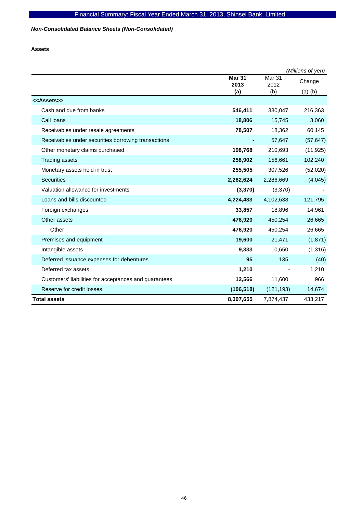*Non-Consolidated Balance Sheets (Non-Consolidated)* 

**Assets** 

|                                                       |                       |                           | (Millions of yen) |
|-------------------------------------------------------|-----------------------|---------------------------|-------------------|
|                                                       | <b>Mar 31</b><br>2013 | Mar <sub>31</sub><br>2012 | Change            |
|                                                       | (a)                   | (b)                       | $(a)-(b)$         |
| < <assets>&gt;</assets>                               |                       |                           |                   |
| Cash and due from banks                               | 546,411               | 330,047                   | 216,363           |
| Call loans                                            | 18,806                | 15,745                    | 3,060             |
| Receivables under resale agreements                   | 78,507                | 18,362                    | 60,145            |
| Receivables under securities borrowing transactions   |                       | 57,647                    | (57, 647)         |
| Other monetary claims purchased                       | 198,768               | 210,693                   | (11, 925)         |
| <b>Trading assets</b>                                 | 258,902               | 156,661                   | 102,240           |
| Monetary assets held in trust                         | 255,505               | 307,526                   | (52,020)          |
| <b>Securities</b>                                     | 2,282,624             | 2,286,669                 | (4,045)           |
| Valuation allowance for investments                   | (3, 370)              | (3,370)                   |                   |
| Loans and bills discounted                            | 4,224,433             | 4,102,638                 | 121,795           |
| Foreign exchanges                                     | 33,857                | 18,896                    | 14,961            |
| Other assets                                          | 476,920               | 450,254                   | 26,665            |
| Other                                                 | 476,920               | 450,254                   | 26,665            |
| Premises and equipment                                | 19,600                | 21,471                    | (1, 871)          |
| Intangible assets                                     | 9,333                 | 10,650                    | (1, 316)          |
| Deferred issuance expenses for debentures             | 95                    | 135                       | (40)              |
| Deferred tax assets                                   | 1,210                 |                           | 1,210             |
| Customers' liabilities for acceptances and guarantees | 12,566                | 11,600                    | 966               |
| Reserve for credit losses                             | (106, 518)            | (121, 193)                | 14,674            |
| <b>Total assets</b>                                   | 8,307,655             | 7,874,437                 | 433,217           |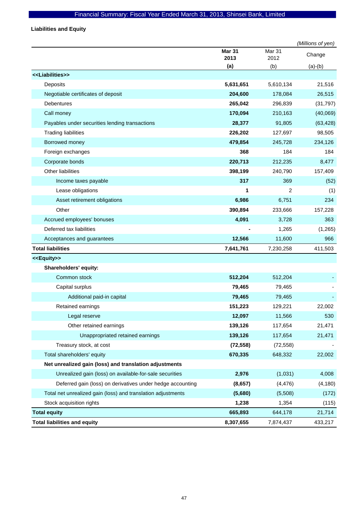**Liabilities and Equity** 

|                                                              |                       |                | (Millions of yen) |
|--------------------------------------------------------------|-----------------------|----------------|-------------------|
|                                                              | <b>Mar 31</b><br>2013 | Mar 31<br>2012 | Change            |
|                                                              | (a)                   | (b)            | $(a)-(b)$         |
| < <liabilities>&gt;</liabilities>                            |                       |                |                   |
| Deposits                                                     | 5,631,651             | 5,610,134      | 21,516            |
| Negotiable certificates of deposit                           | 204,600               | 178,084        | 26,515            |
| <b>Debentures</b>                                            | 265,042               | 296,839        | (31, 797)         |
| Call money                                                   | 170,094               | 210,163        | (40,069)          |
| Payables under securities lending transactions               | 28,377                | 91,805         | (63, 428)         |
| <b>Trading liabilities</b>                                   | 226,202               | 127,697        | 98,505            |
| Borrowed money                                               | 479,854               | 245,728        | 234,126           |
| Foreign exchanges                                            | 368                   | 184            | 184               |
| Corporate bonds                                              | 220,713               | 212,235        | 8,477             |
| <b>Other liabilities</b>                                     | 398,199               | 240,790        | 157,409           |
| Income taxes payable                                         | 317                   | 369            | (52)              |
| Lease obligations                                            | 1                     | $\overline{2}$ | (1)               |
| Asset retirement obligations                                 | 6,986                 | 6,751          | 234               |
| Other                                                        | 390,894               | 233,666        | 157,228           |
| Accrued employees' bonuses                                   | 4,091                 | 3,728          | 363               |
| Deferred tax liabilities                                     |                       | 1,265          | (1, 265)          |
| Acceptances and guarantees                                   | 12,566                | 11,600         | 966               |
| <b>Total liabilities</b>                                     | 7,641,761             | 7,230,258      | 411,503           |
| < <equity>&gt;</equity>                                      |                       |                |                   |
| Shareholders' equity:                                        |                       |                |                   |
| Common stock                                                 | 512,204               | 512,204        |                   |
| Capital surplus                                              | 79,465                | 79,465         |                   |
| Additional paid-in capital                                   | 79,465                | 79,465         |                   |
| Retained earnings                                            | 151,223               | 129,221        | 22,002            |
| Legal reserve                                                | 12,097                | 11,566         | 530               |
| Other retained earnings                                      | 139,126               | 117,654        | 21,471            |
| Unappropriated retained earnings                             | 139,126               | 117,654        | 21,471            |
| Treasury stock, at cost                                      | (72, 558)             | (72, 558)      |                   |
| Total shareholders' equity                                   | 670,335               | 648,332        | 22,002            |
| Net unrealized gain (loss) and translation adjustments       |                       |                |                   |
| Unrealized gain (loss) on available-for-sale securities      | 2,976                 | (1,031)        | 4,008             |
| Deferred gain (loss) on derivatives under hedge accounting   | (8,657)               | (4, 476)       | (4, 180)          |
| Total net unrealized gain (loss) and translation adjustments | (5,680)               | (5,508)        | (172)             |
| Stock acquisition rights                                     | 1,238                 | 1,354          | (115)             |
| <b>Total equity</b>                                          | 665,893               | 644,178        | 21,714            |
| <b>Total liabilities and equity</b>                          | 8,307,655             | 7,874,437      | 433,217           |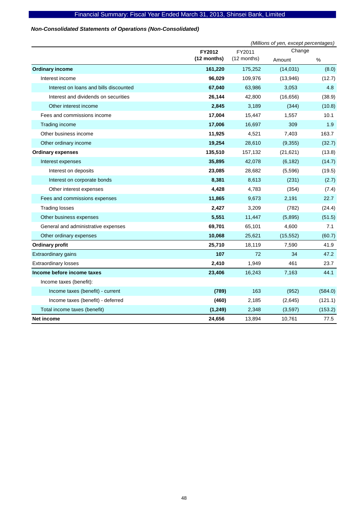### *Non-Consolidated Statements of Operations (Non-Consolidated)*

|                                        | (Millions of yen, except percentages) |             |           |         |
|----------------------------------------|---------------------------------------|-------------|-----------|---------|
|                                        | FY2012                                | FY2011      | Change    |         |
|                                        | (12 months)                           | (12 months) | Amount    | %       |
| <b>Ordinary income</b>                 | 161,220                               | 175,252     | (14, 031) | (8.0)   |
| Interest income                        | 96,029                                | 109,976     | (13,946)  | (12.7)  |
| Interest on loans and bills discounted | 67,040                                | 63,986      | 3,053     | 4.8     |
| Interest and dividends on securities   | 26,144                                | 42,800      | (16, 656) | (38.9)  |
| Other interest income                  | 2,845                                 | 3,189       | (344)     | (10.8)  |
| Fees and commissions income            | 17,004                                | 15,447      | 1,557     | 10.1    |
| Trading income                         | 17,006                                | 16,697      | 309       | 1.9     |
| Other business income                  | 11,925                                | 4,521       | 7,403     | 163.7   |
| Other ordinary income                  | 19,254                                | 28,610      | (9, 355)  | (32.7)  |
| <b>Ordinary expenses</b>               | 135,510                               | 157,132     | (21, 621) | (13.8)  |
| Interest expenses                      | 35,895                                | 42,078      | (6, 182)  | (14.7)  |
| Interest on deposits                   | 23,085                                | 28,682      | (5,596)   | (19.5)  |
| Interest on corporate bonds            | 8,381                                 | 8,613       | (231)     | (2.7)   |
| Other interest expenses                | 4,428                                 | 4,783       | (354)     | (7.4)   |
| Fees and commissions expenses          | 11,865                                | 9,673       | 2,191     | 22.7    |
| <b>Trading losses</b>                  | 2,427                                 | 3,209       | (782)     | (24.4)  |
| Other business expenses                | 5,551                                 | 11,447      | (5,895)   | (51.5)  |
| General and administrative expenses    | 69,701                                | 65,101      | 4,600     | 7.1     |
| Other ordinary expenses                | 10,068                                | 25,621      | (15, 552) | (60.7)  |
| <b>Ordinary profit</b>                 | 25,710                                | 18,119      | 7,590     | 41.9    |
| Extraordinary gains                    | 107                                   | 72          | 34        | 47.2    |
| <b>Extraordinary losses</b>            | 2,410                                 | 1,949       | 461       | 23.7    |
| Income before income taxes             | 23,406                                | 16,243      | 7,163     | 44.1    |
| Income taxes (benefit):                |                                       |             |           |         |
| Income taxes (benefit) - current       | (789)                                 | 163         | (952)     | (584.0) |
| Income taxes (benefit) - deferred      | (460)                                 | 2,185       | (2,645)   | (121.1) |
| Total income taxes (benefit)           | (1, 249)                              | 2,348       | (3,597)   | (153.2) |
| Net income                             | 24,656                                | 13,894      | 10,761    | 77.5    |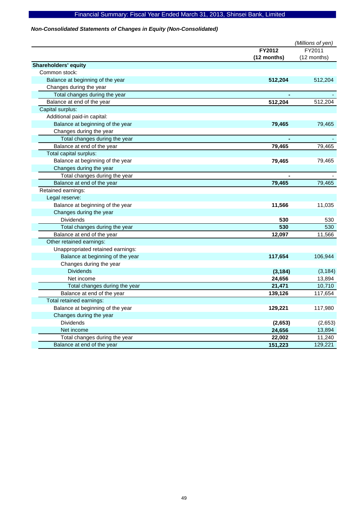### *Non-Consolidated Statements of Changes in Equity (Non-Consolidated)*

|                                   |             | (Millions of yen) |
|-----------------------------------|-------------|-------------------|
|                                   | FY2012      | FY2011            |
|                                   | (12 months) | (12 months)       |
| <b>Shareholders' equity</b>       |             |                   |
| Common stock:                     |             |                   |
| Balance at beginning of the year  | 512,204     | 512,204           |
| Changes during the year           |             |                   |
| Total changes during the year     |             |                   |
| Balance at end of the year        | 512,204     | 512,204           |
| Capital surplus:                  |             |                   |
| Additional paid-in capital:       |             |                   |
| Balance at beginning of the year  | 79,465      | 79,465            |
| Changes during the year           |             |                   |
| Total changes during the year     |             |                   |
| Balance at end of the year        | 79,465      | 79,465            |
| Total capital surplus:            |             |                   |
| Balance at beginning of the year  | 79,465      | 79,465            |
| Changes during the year           |             |                   |
| Total changes during the year     |             |                   |
| Balance at end of the year        | 79,465      | 79,465            |
| Retained earnings:                |             |                   |
| Legal reserve:                    |             |                   |
| Balance at beginning of the year  | 11,566      | 11,035            |
| Changes during the year           |             |                   |
| <b>Dividends</b>                  | 530         | 530               |
| Total changes during the year     | 530         | 530               |
| Balance at end of the year        | 12,097      | 11,566            |
| Other retained earnings:          |             |                   |
| Unappropriated retained earnings: |             |                   |
| Balance at beginning of the year  | 117,654     | 106,944           |
| Changes during the year           |             |                   |
| <b>Dividends</b>                  | (3, 184)    | (3, 184)          |
| Net income                        | 24,656      | 13,894            |
| Total changes during the year     | 21,471      | 10,710            |
| Balance at end of the year        | 139,126     | 117,654           |
| Total retained earnings:          |             |                   |
| Balance at beginning of the year  | 129,221     | 117,980           |
| Changes during the year           |             |                   |
| <b>Dividends</b>                  | (2,653)     | (2,653)           |
| Net income                        | 24,656      | 13,894            |
| Total changes during the year     | 22,002      | 11,240            |
| Balance at end of the year        | 151,223     | 129,221           |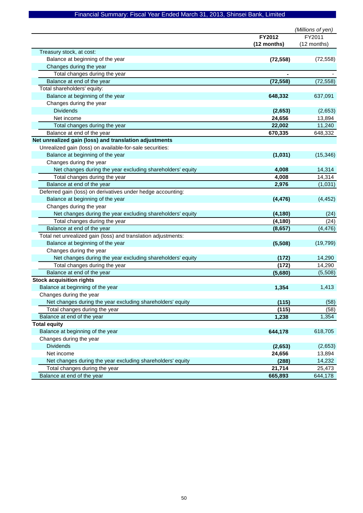|                                                               |             | (Millions of yen) |
|---------------------------------------------------------------|-------------|-------------------|
|                                                               | FY2012      | FY2011            |
|                                                               | (12 months) | (12 months)       |
| Treasury stock, at cost:                                      |             |                   |
| Balance at beginning of the year                              | (72, 558)   | (72, 558)         |
| Changes during the year                                       |             |                   |
| Total changes during the year                                 |             |                   |
| Balance at end of the year                                    | (72, 558)   | (72, 558)         |
| Total shareholders' equity:                                   |             |                   |
| Balance at beginning of the year                              | 648,332     | 637,091           |
| Changes during the year                                       |             |                   |
| <b>Dividends</b>                                              | (2,653)     | (2,653)           |
| Net income                                                    | 24,656      | 13,894            |
| Total changes during the year                                 | 22,002      | 11,240            |
| Balance at end of the year                                    | 670,335     | 648,332           |
| Net unrealized gain (loss) and translation adjustments        |             |                   |
| Unrealized gain (loss) on available-for-sale securities:      |             |                   |
| Balance at beginning of the year                              | (1,031)     | (15, 346)         |
| Changes during the year                                       |             |                   |
| Net changes during the year excluding shareholders' equity    | 4,008       | 14,314            |
| Total changes during the year                                 | 4,008       | 14,314            |
| Balance at end of the year                                    | 2,976       | (1,031)           |
| Deferred gain (loss) on derivatives under hedge accounting:   |             |                   |
| Balance at beginning of the year                              | (4, 476)    | (4, 452)          |
| Changes during the year                                       |             |                   |
| Net changes during the year excluding shareholders' equity    | (4, 180)    | (24)              |
| Total changes during the year                                 | (4, 180)    | (24)              |
| Balance at end of the year                                    | (8,657)     | (4, 476)          |
| Total net unrealized gain (loss) and translation adjustments: |             |                   |
| Balance at beginning of the year                              | (5,508)     | (19, 799)         |
| Changes during the year                                       |             |                   |
| Net changes during the year excluding shareholders' equity    | (172)       | 14,290            |
| Total changes during the year                                 | (172)       | 14,290            |
| Balance at end of the year                                    | (5,680)     | (5,508)           |
| <b>Stock acquisition rights</b>                               |             |                   |
| Balance at beginning of the year                              | 1,354       | 1,413             |
| Changes during the year                                       |             |                   |
| Net changes during the year excluding shareholders' equity    | (115)       | (58)              |
| Total changes during the year                                 | (115)       | (58)              |
| Balance at end of the year                                    | 1,238       | 1,354             |
| <b>Total equity</b>                                           |             |                   |
| Balance at beginning of the year                              | 644,178     | 618,705           |
| Changes during the year                                       |             |                   |
| <b>Dividends</b>                                              | (2,653)     | (2,653)           |
| Net income                                                    | 24,656      | 13,894            |
| Net changes during the year excluding shareholders' equity    | (288)       | 14,232            |
| Total changes during the year                                 | 21,714      | 25,473            |
| Balance at end of the year                                    | 665,893     | 644,178           |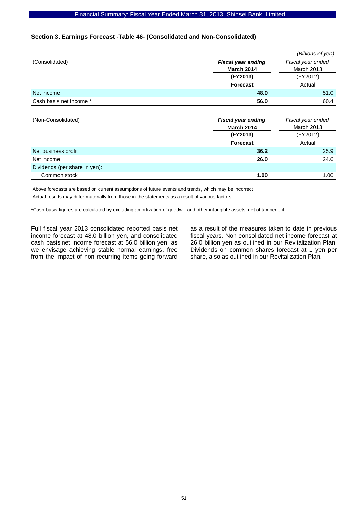### **Section 3. Earnings Forecast -Table 46- (Consolidated and Non-Consolidated)**

|                               |                           | (Billions of yen) |  |  |
|-------------------------------|---------------------------|-------------------|--|--|
| (Consolidated)                | <b>Fiscal year ending</b> | Fiscal year ended |  |  |
|                               | <b>March 2014</b>         | <b>March 2013</b> |  |  |
|                               | (FY2013)                  | (FY2012)          |  |  |
|                               | <b>Forecast</b>           | Actual            |  |  |
| Net income                    | 48.0                      | 51.0              |  |  |
| Cash basis net income *       | 56.0                      | 60.4              |  |  |
|                               |                           |                   |  |  |
| (Non-Consolidated)            | <b>Fiscal year ending</b> | Fiscal year ended |  |  |
|                               | <b>March 2014</b>         | <b>March 2013</b> |  |  |
|                               | (FY2013)                  | (FY2012)          |  |  |
|                               | <b>Forecast</b>           | Actual            |  |  |
| Net business profit           | 36.2                      | 25.9              |  |  |
| Net income                    | 26.0                      | 24.6              |  |  |
| Dividends (per share in yen): |                           |                   |  |  |

**Common stock** 1.00 1.00

Above forecasts are based on current assumptions of future events and trends, which may be incorrect.

Actual results may differ materially from those in the statements as a result of various factors.

\*Cash-basis figures are calculated by excluding amortization of goodwill and other intangible assets, net of tax benefit

Full fiscal year 2013 consolidated reported basis net income forecast at 48.0 billion yen, and consolidated cash basis net income forecast at 56.0 billion yen, as we envisage achieving stable normal earnings, free from the impact of non-recurring items going forward as a result of the measures taken to date in previous fiscal years. Non-consolidated net income forecast at 26.0 billion yen as outlined in our Revitalization Plan. Dividends on common shares forecast at 1 yen per share, also as outlined in our Revitalization Plan.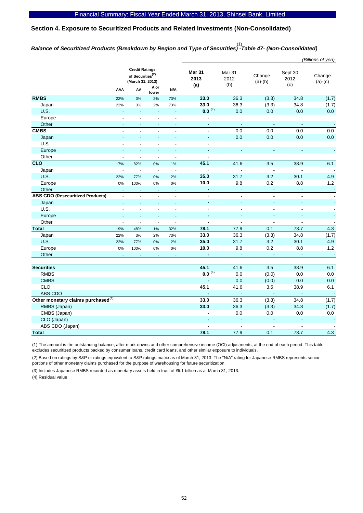### **Section 4. Exposure to Securitized Products and Related Investments (Non-Consolidated)**

# *Balance of Securitized Products (Breakdown by Region and Type of Securities) -Table 47- (Non-Consolidated)*  (1)

|                                                |                          |                                                                           |                          |                          |                              |                       |                     |                        | (Billions of yen)        |
|------------------------------------------------|--------------------------|---------------------------------------------------------------------------|--------------------------|--------------------------|------------------------------|-----------------------|---------------------|------------------------|--------------------------|
|                                                |                          | <b>Credit Ratings</b><br>of Securities <sup>(2)</sup><br>(March 31, 2013) | A or                     |                          | <b>Mar 31</b><br>2013<br>(a) | Mar 31<br>2012<br>(b) | Change<br>$(a)-(b)$ | Sept 30<br>2012<br>(c) | Change<br>$(a)-(c)$      |
|                                                | AAA                      | AA                                                                        | lower                    | N/A                      |                              |                       |                     |                        |                          |
| <b>RMBS</b>                                    | 22%                      | 3%                                                                        | 2%                       | 73%                      | 33.0                         | 36.3                  | (3.3)               | 34.8                   | (1.7)                    |
| Japan                                          | 22%                      | 3%                                                                        | 2%                       | 73%                      | 33.0                         | 36.3                  | (3.3)               | 34.8                   | (1.7)                    |
| <b>U.S.</b>                                    | $\sim$                   | L.                                                                        | L,                       | L,                       | $0.0^{(4)}$                  | 0.0                   | 0.0                 | 0.0                    | 0.0                      |
| Europe                                         |                          |                                                                           |                          | $\overline{a}$           | $\overline{\phantom{a}}$     | $\overline{a}$        |                     |                        | $\overline{\phantom{a}}$ |
| Other                                          | $\sim$                   | ÷,                                                                        | ä,                       | ÷.                       | $\blacksquare$               | $\blacksquare$        | ä,                  | $\blacksquare$         | $\blacksquare$           |
| <b>CMBS</b>                                    |                          |                                                                           |                          | ÷,                       | $\blacksquare$               | 0.0                   | 0.0                 | 0.0                    | 0.0                      |
| Japan                                          | ÷,                       |                                                                           | L,                       | ÷,                       | $\blacksquare$               | 0.0                   | 0.0                 | 0.0                    | 0.0                      |
| U.S.                                           | $\overline{a}$           | $\overline{a}$                                                            | $\overline{a}$           | $\overline{a}$           | $\blacksquare$               | $\overline{a}$        |                     | $\overline{a}$         | $\blacksquare$           |
| Europe                                         |                          |                                                                           |                          |                          | $\blacksquare$               | ÷,                    | $\blacksquare$      | $\blacksquare$         | $\blacksquare$           |
| Other                                          | $\sim$                   | $\overline{a}$                                                            | $\overline{a}$           | ÷,                       | $\blacksquare$               | $\Box$                | $\overline{a}$      | $\blacksquare$         | $\overline{\phantom{a}}$ |
| <b>CLO</b>                                     | 17%                      | 82%                                                                       | 0%                       | 1%                       | 45.1                         | 41.6                  | 3.5                 | 38.9                   | 6.1                      |
| Japan                                          | $\overline{\phantom{a}}$ | ÷,                                                                        | $\overline{\phantom{a}}$ | ÷,                       | $\overline{a}$               | $\overline{a}$        | $\overline{a}$      | ÷,                     | $\overline{\phantom{a}}$ |
| U.S.                                           | 22%                      | 77%                                                                       | 0%                       | 2%                       | 35.0                         | 31.7                  | 3.2                 | 30.1                   | 4.9                      |
| Europe                                         | 0%                       | 100%                                                                      | 0%                       | 0%                       | 10.0                         | 9.8                   | 0.2                 | 8.8                    | 1.2                      |
| Other                                          | ÷.                       | ÷.                                                                        | ÷.                       | ÷.                       | ÷,                           | ä,                    | ä,                  | ä,                     | $\mathbb{Z}$             |
| <b>ABS CDO (Resecuritized Products)</b>        | $\overline{\phantom{a}}$ | $\overline{a}$                                                            | $\overline{a}$           | $\overline{\phantom{a}}$ | $\blacksquare$               | $\overline{a}$        | ÷,                  | $\blacksquare$         | $\blacksquare$           |
| Japan                                          | ÷                        |                                                                           |                          | L.                       | $\blacksquare$               | ä,                    | L,                  | $\blacksquare$         |                          |
| U.S.                                           | $\overline{\phantom{a}}$ | $\overline{a}$                                                            | $\overline{a}$           | $\overline{a}$           | $\blacksquare$               | $\overline{a}$        | $\overline{a}$      | $\overline{a}$         | $\blacksquare$           |
| Europe                                         |                          |                                                                           |                          |                          |                              | ä,                    |                     |                        | ÷,                       |
| Other                                          | $\overline{a}$           | $\overline{a}$                                                            | $\mathbf{r}$             | ÷,                       | $\overline{\phantom{a}}$     | $\overline{a}$        | $\overline{a}$      | $\blacksquare$         | $\overline{\phantom{a}}$ |
| <b>Total</b>                                   | 19%                      | 48%                                                                       | 1%                       | 32%                      | 78.1                         | 77.9                  | 0.1                 | 73.7                   | 4.3                      |
| Japan                                          | 22%                      | 3%                                                                        | 2%                       | 73%                      | 33.0                         | 36.3                  | (3.3)               | 34.8                   | (1.7)                    |
| U.S.                                           | 22%                      | 77%                                                                       | 0%                       | 2%                       | 35.0                         | 31.7                  | 3.2                 | 30.1                   | 4.9                      |
| Europe                                         | 0%                       | 100%                                                                      | $0\%$                    | 0%                       | 10.0                         | 9.8                   | 0.2                 | 8.8                    | $1.2$                    |
| Other                                          | ÷.                       |                                                                           | ÷.                       | ÷                        | $\blacksquare$               | $\sim$                | ÷.                  | ÷.                     | $\sim$                   |
|                                                |                          |                                                                           |                          |                          |                              |                       |                     |                        |                          |
| <b>Securities</b>                              |                          |                                                                           |                          |                          | 45.1                         | 41.6                  | 3.5                 | 38.9                   | 6.1                      |
| <b>RMBS</b>                                    |                          |                                                                           |                          |                          | $0.0^{(4)}$                  | 0.0                   | (0.0)               | 0.0                    | 0.0                      |
| <b>CMBS</b>                                    |                          |                                                                           |                          |                          | ä,                           | 0.0                   | (0.0)               | 0.0                    | 0.0                      |
| CLO                                            |                          |                                                                           |                          |                          | 45.1                         | 41.6                  | 3.5                 | 38.9                   | 6.1                      |
| ABS CDO                                        |                          |                                                                           |                          |                          |                              | $\blacksquare$        |                     |                        | $\sim$                   |
| Other monetary claims purchased <sup>(3)</sup> |                          |                                                                           |                          |                          | 33.0                         | 36.3                  | (3.3)               | 34.8                   | (1.7)                    |
| RMBS (Japan)                                   |                          |                                                                           |                          |                          | 33.0                         | 36.3                  | (3.3)               | 34.8                   | (1.7)                    |
| CMBS (Japan)                                   |                          |                                                                           |                          |                          | $\blacksquare$               | 0.0                   | 0.0                 | 0.0                    | $0.0\,$                  |
| CLO (Japan)                                    |                          |                                                                           |                          |                          | $\blacksquare$               | ÷,                    | ä,                  | $\blacksquare$         | ÷                        |
| ABS CDO (Japan)                                |                          |                                                                           |                          |                          |                              | $\blacksquare$        |                     | $\blacksquare$         |                          |
| <b>Total</b>                                   |                          |                                                                           |                          |                          | 78.1                         | 77.9                  | 0.1                 | 73.7                   | 4.3                      |

(1) The amount is the outstanding balance, after mark-downs and other comprehensive income (OCI) adjustments, at the end of each period. This table excludes securitized products backed by consumer loans, credit card loans, and other similar exposure to individuals.

(2) Based on ratings by S&P or ratings equivalent to S&P ratings matrix as of March 31, 2013. The "N/A" rating for Japanese RMBS represents senior portions of other monetary claims purchased for the purpose of warehousing for future securitization.

(3) Includes Japanese RMBS recorded as monetary assets held in trust of \5.1 billion as at March 31, 2013.

(4) Residual value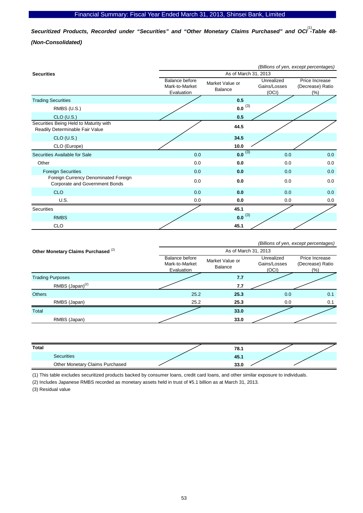Securitized Products, Recorded under "Securities" and "Other Monetary Claims Purchased" and OCI<sup>(1)</sup>-Table 48-*(Non-Consolidated)* 

|                                                                           |                                                       |                            |                                     | (Billions of yen, except percentages)      |  |
|---------------------------------------------------------------------------|-------------------------------------------------------|----------------------------|-------------------------------------|--------------------------------------------|--|
| <b>Securities</b>                                                         | As of March 31, 2013                                  |                            |                                     |                                            |  |
|                                                                           | <b>Balance before</b><br>Mark-to-Market<br>Evaluation | Market Value or<br>Balance | Unrealized<br>Gains/Losses<br>(OCI) | Price Increase<br>(Decrease) Ratio<br>(% ) |  |
| <b>Trading Securities</b>                                                 |                                                       | 0.5                        |                                     |                                            |  |
| RMBS (U.S.)                                                               |                                                       | $0.0^{(3)}$                |                                     |                                            |  |
| $CLO$ (U.S.)                                                              |                                                       | 0.5                        |                                     |                                            |  |
| Securities Being Held to Maturity with<br>Readily Determinable Fair Value |                                                       | 44.5                       |                                     |                                            |  |
| $CLO$ (U.S.)                                                              |                                                       | 34.5                       |                                     |                                            |  |
| CLO (Europe)                                                              |                                                       | 10.0                       |                                     |                                            |  |
| Securities Available for Sale                                             | 0.0                                                   | $0.0^{(3)}$                | 0.0                                 | 0.0                                        |  |
| Other                                                                     | 0.0                                                   | 0.0                        | 0.0                                 | 0.0                                        |  |
| <b>Foreign Securities</b>                                                 | 0.0                                                   | 0.0                        | 0.0                                 | 0.0                                        |  |
| Foreign Currency Denominated Foreign<br>Corporate and Government Bonds    | 0.0                                                   | 0.0                        | 0.0                                 | 0.0                                        |  |
| <b>CLO</b>                                                                | 0.0                                                   | 0.0                        | 0.0                                 | 0.0                                        |  |
| U.S.                                                                      | 0.0                                                   | 0.0                        | 0.0                                 | 0.0                                        |  |
| Securities                                                                |                                                       | 45.1                       |                                     |                                            |  |
| <b>RMBS</b>                                                               |                                                       | $0.0^{(3)}$                |                                     |                                            |  |
| <b>CLO</b>                                                                |                                                       | 45.1                       |                                     |                                            |  |

|                                                | (Billions of yen, except percentages)                 |                            |                                     |                                               |  |  |
|------------------------------------------------|-------------------------------------------------------|----------------------------|-------------------------------------|-----------------------------------------------|--|--|
| Other Monetary Claims Purchased <sup>(2)</sup> |                                                       | As of March 31, 2013       |                                     |                                               |  |  |
|                                                | <b>Balance before</b><br>Mark-to-Market<br>Evaluation | Market Value or<br>Balance | Unrealized<br>Gains/Losses<br>(OCI) | Price Increase<br>(Decrease) Ratio<br>$(\% )$ |  |  |
| <b>Trading Purposes</b>                        |                                                       | 7.7                        |                                     |                                               |  |  |
| RMBS (Japan) <sup>(2)</sup>                    |                                                       | 7.7                        |                                     |                                               |  |  |
| <b>Others</b>                                  | 25.2                                                  | 25.3                       | 0.0                                 | 0.1                                           |  |  |
| RMBS (Japan)                                   | 25.2                                                  | 25.3                       | 0.0                                 | 0.1                                           |  |  |
| Total                                          |                                                       | 33.0                       |                                     |                                               |  |  |
| RMBS (Japan)                                   |                                                       | 33.0                       |                                     |                                               |  |  |

| Total                           | 78.1 |  |
|---------------------------------|------|--|
| Securities                      | 45.1 |  |
| Other Monetary Claims Purchased | 33.0 |  |

(1) This table excludes securitized products backed by consumer loans, credit card loans, and other similar exposure to individuals.

(2) Includes Japanese RMBS recorded as monetary assets held in trust of \5.1 billion as at March 31, 2013.

(3) Residual value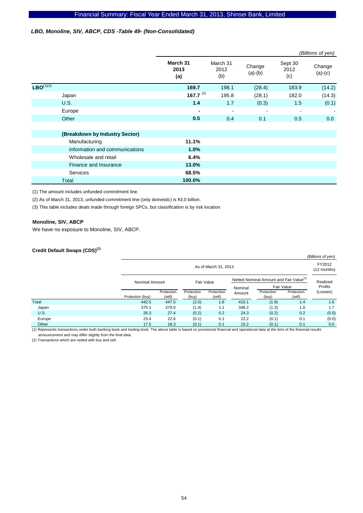### *LBO, Monoline, SIV, ABCP, CDS -Table 49- (Non-Consolidated)*

|                |                                |                         |                          |                     |                        | (Billions of yen)   |
|----------------|--------------------------------|-------------------------|--------------------------|---------------------|------------------------|---------------------|
|                |                                | March 31<br>2013<br>(a) | March 31<br>2012<br>(b)  | Change<br>$(a)-(b)$ | Sept 30<br>2012<br>(c) | Change<br>$(a)-(c)$ |
| $LBO^{(1)(3)}$ |                                | 169.7                   | 198.1                    | (28.4)              | 183.9                  | (14.2)              |
|                | Japan                          | 167.7 $(2)$             | 195.8                    | (28.1)              | 182.0                  | (14.3)              |
|                | <b>U.S.</b>                    | 1.4                     | 1.7                      | (0.3)               | 1.5                    | (0.1)               |
|                | Europe                         | ۰                       | $\overline{\phantom{a}}$ | $\blacksquare$      | $\blacksquare$         |                     |
|                | Other                          | 0.5                     | 0.4                      | 0.1                 | 0.5                    | 0.0                 |
|                |                                |                         |                          |                     |                        |                     |
|                | (Breakdown by Industry Sector) |                         |                          |                     |                        |                     |
|                | Manufacturing                  | 11.1%                   |                          |                     |                        |                     |
|                | Information and communications | 1.0%                    |                          |                     |                        |                     |
|                | Wholesale and retail           | 6.4%                    |                          |                     |                        |                     |
|                | Finance and Insurance          | 13.0%                   |                          |                     |                        |                     |
|                | <b>Services</b>                | 68.5%                   |                          |                     |                        |                     |
|                | Total                          | 100.0%                  |                          |                     |                        |                     |

(1) The amount includes unfunded commitment line.

(2) As of March 31, 2013, unfunded commitment line (only domestic) is ¥3.0 billion.

(3) This table includes deals made through foreign SPCs, but classification is by risk location.

#### **Monoline, SIV, ABCP**

We have no exposure to Monoline, SIV, ABCP.

### **Credit Default Swaps (CDS)(1)**

|             |                  |                              |                     |                      |                                                     |                       |                      | (Billions of yen) |
|-------------|------------------|------------------------------|---------------------|----------------------|-----------------------------------------------------|-----------------------|----------------------|-------------------|
|             |                  | As of March 31, 2013         |                     |                      |                                                     | FY2012<br>(12 months) |                      |                   |
|             |                  | Fair Value<br>Nominal Amount |                     |                      | Netted Nominal Amount and Fair Value <sup>(2)</sup> |                       |                      | Realized          |
|             |                  |                              |                     |                      | Nominal                                             |                       | Fair Value           | Profits           |
|             | Protection (buy) | Protection<br>(sell)         | Protection<br>(buy) | Protection<br>(sell) | Amount                                              | Protection<br>(buy)   | Protection<br>(sell) | (Losses)          |
| Total       | 442.5            | 447.5                        | (2.0)               | 1.6                  | 410.1                                               | (1.9)                 | 1.4                  | 1.6               |
| Japan       | 375.1            | 379.0                        | (1.4)               | 1.1                  | 348.2                                               | (1.3)                 | 1.0                  | 1.7               |
| <b>U.S.</b> | 26.3             | 27.4                         | (0.2)               | 0.2                  | 24.3                                                | (0.2)                 | 0.2                  | (0.0)             |
| Europe      | 23.4             | 22.6                         | (0.1)               | 0.1                  | 22.2                                                | (0.1)                 | 0.1                  | (0.0)             |
| Other       | 17.5             | 18.3                         | (0.1)               | 0.1                  | 15.2                                                | (0.1)                 | 0.1                  | 0.0               |

(1) Represents transactions under both banking book and trading book. The above table is based on provisional financial and operational data at the time of the financial results announcement and may differ slightly from the final data.

(2) Transactions which are netted with buy and sell.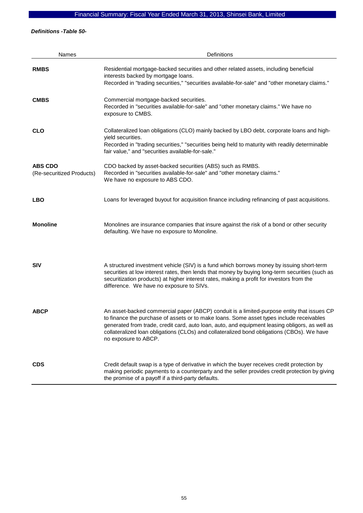*Definitions -Table 50-* 

| <b>Names</b>                                | Definitions                                                                                                                                                                                                                                                                                                                                                                                                    |
|---------------------------------------------|----------------------------------------------------------------------------------------------------------------------------------------------------------------------------------------------------------------------------------------------------------------------------------------------------------------------------------------------------------------------------------------------------------------|
| <b>RMBS</b>                                 | Residential mortgage-backed securities and other related assets, including beneficial<br>interests backed by mortgage loans.<br>Recorded in "trading securities," "securities available-for-sale" and "other monetary claims."                                                                                                                                                                                 |
| <b>CMBS</b>                                 | Commercial mortgage-backed securities.<br>Recorded in "securities available-for-sale" and "other monetary claims." We have no<br>exposure to CMBS.                                                                                                                                                                                                                                                             |
| <b>CLO</b>                                  | Collateralized loan obligations (CLO) mainly backed by LBO debt, corporate loans and high-<br>yield securities.<br>Recorded in "trading securities," "securities being held to maturity with readily determinable<br>fair value," and "securities available-for-sale."                                                                                                                                         |
| <b>ABS CDO</b><br>(Re-securitized Products) | CDO backed by asset-backed securities (ABS) such as RMBS.<br>Recorded in "securities available-for-sale" and "other monetary claims."<br>We have no exposure to ABS CDO.                                                                                                                                                                                                                                       |
| <b>LBO</b>                                  | Loans for leveraged buyout for acquisition finance including refinancing of past acquisitions.                                                                                                                                                                                                                                                                                                                 |
| <b>Monoline</b>                             | Monolines are insurance companies that insure against the risk of a bond or other security<br>defaulting. We have no exposure to Monoline.                                                                                                                                                                                                                                                                     |
| <b>SIV</b>                                  | A structured investment vehicle (SIV) is a fund which borrows money by issuing short-term<br>securities at low interest rates, then lends that money by buying long-term securities (such as<br>securitization products) at higher interest rates, making a profit for investors from the<br>difference. We have no exposure to SIVs.                                                                          |
| <b>ABCP</b>                                 | An asset-backed commercial paper (ABCP) conduit is a limited-purpose entity that issues CP<br>to finance the purchase of assets or to make loans. Some asset types include receivables<br>generated from trade, credit card, auto loan, auto, and equipment leasing obligors, as well as<br>collateralized loan obligations (CLOs) and collateralized bond obligations (CBOs). We have<br>no exposure to ABCP. |
| <b>CDS</b>                                  | Credit default swap is a type of derivative in which the buyer receives credit protection by<br>making periodic payments to a counterparty and the seller provides credit protection by giving<br>the promise of a payoff if a third-party defaults.                                                                                                                                                           |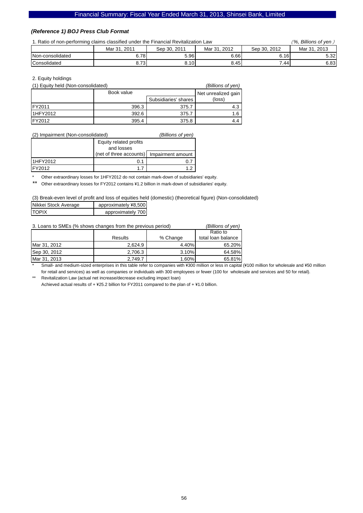### *(Reference 1) BOJ Press Club Format*

|  |  |  | 1. Ratio of non-performing claims classified under the Financial Revitalization La |  |
|--|--|--|------------------------------------------------------------------------------------|--|
|  |  |  |                                                                                    |  |

| 1. Ratio of non-performing claims classified under the Financial Revitalization Law | (%. Billions of ven ) |              |      |      |      |
|-------------------------------------------------------------------------------------|-----------------------|--------------|------|------|------|
|                                                                                     | Sep 30, 2012          | Mar 31, 2013 |      |      |      |
| Non-consolidated                                                                    | 6.781                 | 5.96         | 6.66 | 6.16 | 5.32 |
| Consolidated                                                                        | 8.73                  | 8.10         | 8.45 | 7.44 | 6.83 |

#### 2. Equity holdings

| (1) Equity held (Non-consolidated) |            |                      | (Billions of yen)   |
|------------------------------------|------------|----------------------|---------------------|
|                                    | Book value |                      | Net unrealized gain |
|                                    |            | Subsidiaries' shares | (loss)              |
| <b>IFY2011</b>                     | 396.3      | 375.7                | 4.3                 |
| <b>I1HFY2012</b>                   | 392.6      | 375.7                | 1.6                 |
| FY2012                             | 395.4      | 375.8                |                     |

#### (2) Impairment (Non-consolidated) *(Billions of yen)*

|          | Equity related profits                    |  |  |
|----------|-------------------------------------------|--|--|
|          | and losses                                |  |  |
|          | (net of three accounts) Impairment amount |  |  |
| 1HFY2012 |                                           |  |  |
| IFY2012  |                                           |  |  |

\* Other extraordinary losses for 1HFY2012 do not contain mark-down of subsidiaries' equity.

Other extraordinary losses for FY2012 contains ¥1.2 billion in mark-down of subsidiaries' equity.

#### (3) Break-even level of profit and loss of equities held (domestic) (theoretical figure) (Non-consolidated)

| Nikkei Stock Average | approximately ¥8,500 |
|----------------------|----------------------|
| <b>ITOPIX</b>        | approximately 700    |

| 3. Loans to SMEs (% shows changes from the previous period) | (Billions of yen) |          |                    |
|-------------------------------------------------------------|-------------------|----------|--------------------|
|                                                             |                   |          |                    |
|                                                             | <b>Results</b>    | % Change | total loan balance |
| Mar 31, 2012                                                | 2.624.9           | 4.40%    | 65.20%             |
| Sep 30, 2012                                                | 2.706.3           | 3.10%    | 64.58%             |
| Mar 31, 2013                                                | 2.749.7           | 1.60%    | 65.81%             |

Small- and medium-sized enterprises in this table refer to companies with ¥300 million or less in capital (¥100 million for wholesale and ¥50 million for retail and services) as well as companies or individuals with 300 employees or fewer (100 for wholesale and services and 50 for retail).

Revitalization Law (actual net increase/decrease excluding impact loan) Achieved actual results of  $+$  ¥25.2 billion for FY2011 compared to the plan of  $+$  ¥1.0 billion.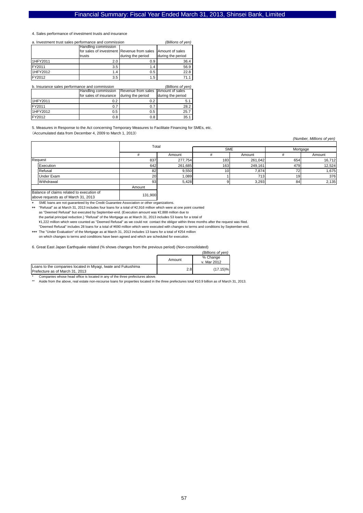#### 4. Sales performance of investment trusts and insurance

| a. Investment trust sales performance and commission | (Billions of yen)                          |                   |                   |
|------------------------------------------------------|--------------------------------------------|-------------------|-------------------|
|                                                      | Handling commission                        |                   |                   |
|                                                      | for sales of investment Revenue from sales |                   | Amount of sales   |
|                                                      | trusts                                     | during the period | during the period |
| 1HFY2011                                             | 2.0                                        | 0.9               | 36.4              |
| FY2011                                               | 3.5                                        | 1.4               | 56.9              |
| 1HFY2012                                             | 1.4                                        | 0.5               | 22.8              |
| FY2012                                               | 3.5                                        | 1.5               |                   |

b. Insurance sales performance and commission *(Billions of yen)* Handling commission for sales of insurance Revenue from sales during the period Amount of sales during the period

| 1HFY2011 | ሰ ባ<br>v.z | ◡.∠  | D. 1 |
|----------|------------|------|------|
| FY2011   | ν. ε       | υ. ι | 28.2 |
| 1HFY2012 | 0.5        | 0.5  | 25.7 |
| FY2012   | 0.8        | 0.8  | 35.  |
|          |            |      |      |

5. Measures in Response to the Act concerning Temporary Measures to Facilitate Financing for SMEs, etc. (Accumulated data from December 4, 2009 to March 1, 2013)

*(Number, Millions of yen)*

|                                           | Total  |         |            |         |          |        |
|-------------------------------------------|--------|---------|------------|---------|----------|--------|
|                                           |        |         | <b>SME</b> |         | Mortgage |        |
|                                           |        | Amount  |            | Amount  |          | Amount |
| Request                                   | 837    | 277,754 | 183        | 261,042 | 654      | 16,712 |
| Execution                                 | 642    | 261,685 | 163        | 249,161 | 479      | 12,524 |
| Refusal                                   | 82     | 9,550   | 10.        | 7,874   | 72       | 1,675  |
| <b>Under Exam</b>                         | 20     | 0.089   |            | 713     | 19       | 376    |
| Withdrawal                                | 93     | 5,428   |            | 3,293   | 84       | 2,135  |
|                                           | Amount |         |            |         |          |        |
| Ralance of claims related to evecution of |        |         |            |         |          |        |

above requests as of March 31, 2013

SME loans are not guaranteed by the Credit Guarantee Association or other organizations.

\*\* "Refusal" as at March 31, 2013 includes four loans for a total of \2,916 million which were at one point counted as "Deemed Refusal" but executed by September-end. (Execution amount was \2,888 million due to the partial principal reduction.) "Refusal" of the Mortgage as at March 31, 2013 includes 53 loans for a total of

\1,222 million which were counted as "Deemed Refusal" as we could not contact the obligor within three months after the request was filed. \*\*\* The "Under Evaluation" of the Mortgage as at March 31, 2013 includes 13 loans for a total of \254 million "Deemed Refusal" includes 28 loans for a total of \690 million which were executed with changes to terms and conditions by September-end.

131,900

on which changes to terms and conditions have been agreed and which are scheduled for execution.

6. Great East Japan Earthquake related (% shows changes from the previous period) (Non-consolidated)

|                                                                                                  |        | (Billions of ven)       |
|--------------------------------------------------------------------------------------------------|--------|-------------------------|
|                                                                                                  | Amount | % Change<br>v. Mar 2012 |
| Loans to the companies located in Miyagi, Iwate and Fukushima<br>Prefecture as of March 31, 2013 | 2.8    | $(17.15)\%$             |

Companies whose head office is located in any of the three prefectures above.

\*\* Aside from the above, real estate non-recourse loans for properties located in the three prefectures total ¥10.9 billion as of March 31, 2013.